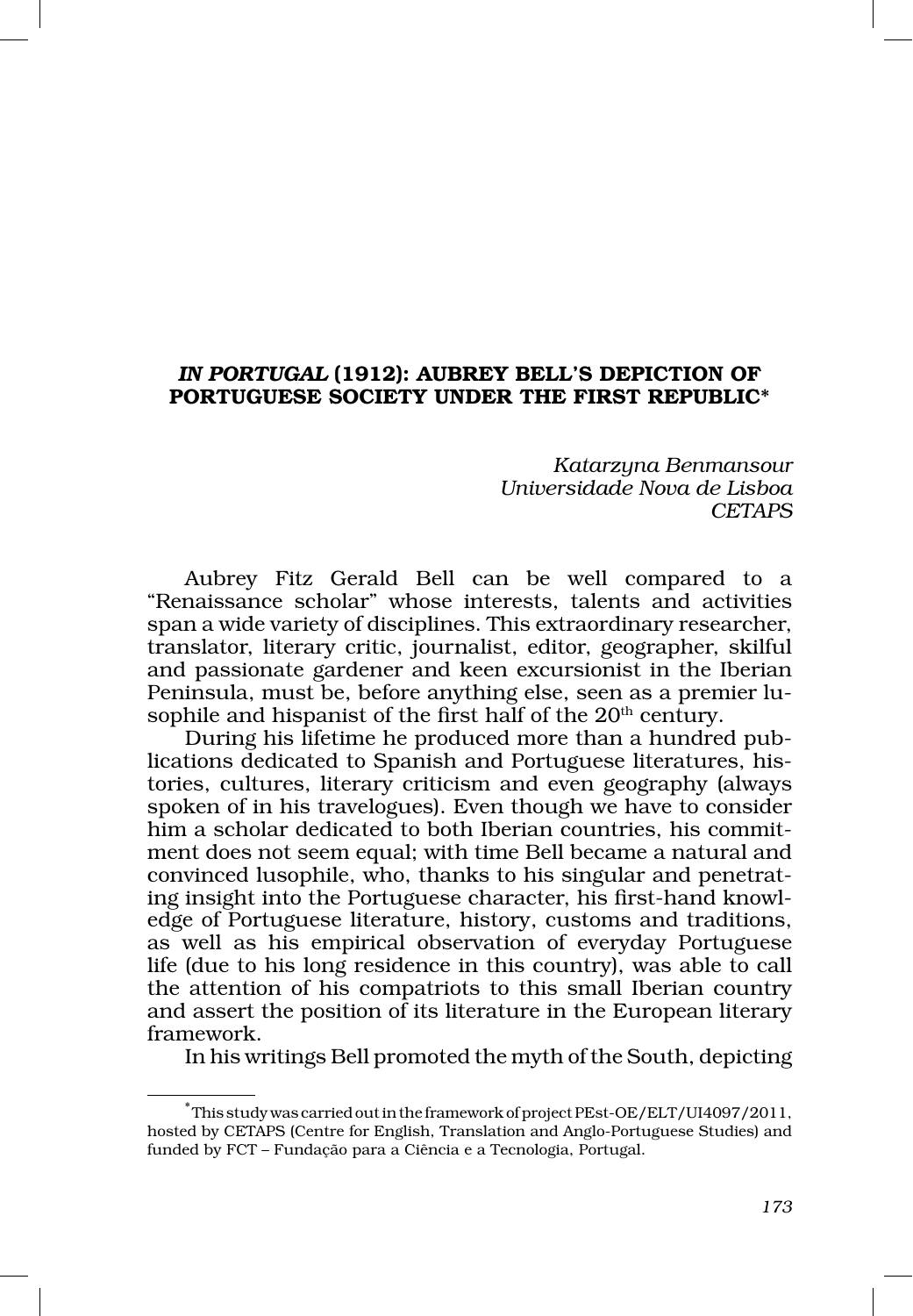# *IN PORTUGAL* (1912): AUBREY BELL'S DEPICTION OF PORTUGUESE SOCIETY UNDER THE FIRST REPUBLIC\*

*Katarzyna Benmansour Universidade Nova de Lisboa CETAPS*

Aubrey Fitz Gerald Bell can be well compared to a "Renaissance scholar" whose interests, talents and activities span a wide variety of disciplines. This extraordinary researcher, translator, literary critic, journalist, editor, geographer, skilful and passionate gardener and keen excursionist in the Iberian Peninsula, must be, before anything else, seen as a premier lusophile and hispanist of the first half of the 20<sup>th</sup> century.

During his lifetime he produced more than a hundred publications dedicated to Spanish and Portuguese literatures, histories, cultures, literary criticism and even geography (always spoken of in his travelogues). Even though we have to consider him a scholar dedicated to both Iberian countries, his commitment does not seem equal; with time Bell became a natural and convinced lusophile, who, thanks to his singular and penetrating insight into the Portuguese character, his first-hand knowledge of Portuguese literature, history, customs and traditions, as well as his empirical observation of everyday Portuguese life (due to his long residence in this country), was able to call the attention of his compatriots to this small Iberian country and assert the position of its literature in the European literary framework.

In his writings Bell promoted the myth of the South, depicting

<sup>\*</sup> This study was carried out in the framework of project PEst-OE/ELT/UI4097/2011, hosted by CETAPS (Centre for English, Translation and Anglo-Portuguese Studies) and funded by FCT – Fundação para a Ciência e a Tecnologia, Portugal.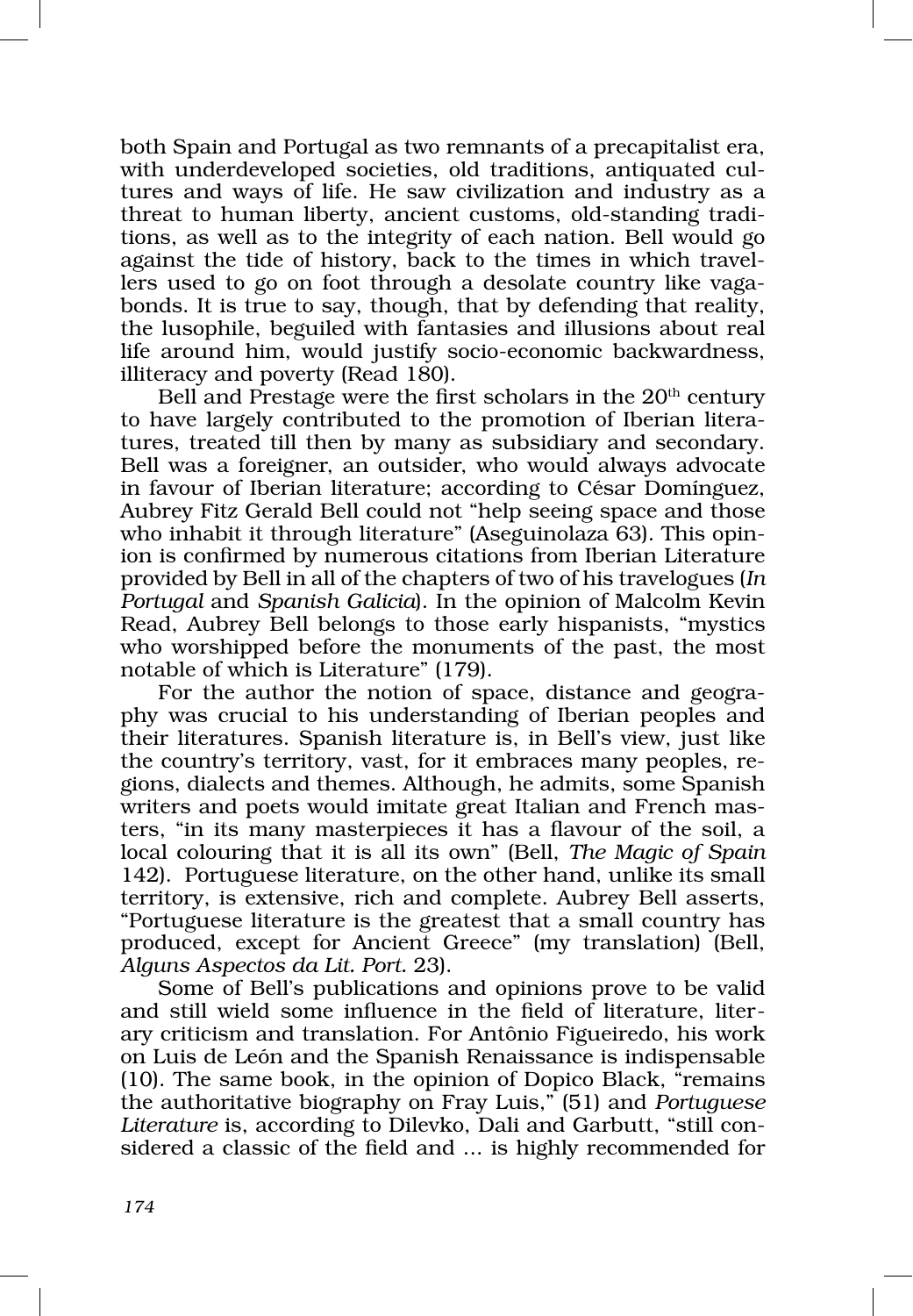both Spain and Portugal as two remnants of a precapitalist era, with underdeveloped societies, old traditions, antiquated cultures and ways of life. He saw civilization and industry as a threat to human liberty, ancient customs, old‑standing tradi‑ tions, as well as to the integrity of each nation. Bell would go against the tide of history, back to the times in which travellers used to go on foot through a desolate country like vagabonds. It is true to say, though, that by defending that reality, the lusophile, beguiled with fantasies and illusions about real life around him, would justify socio‑economic backwardness, illiteracy and poverty (Read 180).

Bell and Prestage were the first scholars in the  $20<sup>th</sup>$  century to have largely contributed to the promotion of Iberian literatures, treated till then by many as subsidiary and secondary. Bell was a foreigner, an outsider, who would always advocate in favour of Iberian literature; according to César Domínguez, Aubrey Fitz Gerald Bell could not "help seeing space and those who inhabit it through literature" (Aseguinolaza 63). This opinion is confirmed by numerous citations from Iberian Literature provided by Bell in all of the chapters of two of his travelogues (*In Portugal* and *Spanish Galicia*). In the opinion of Malcolm Kevin Read, Aubrey Bell belongs to those early hispanists, "mystics who worshipped before the monuments of the past, the most notable of which is Literature" (179).

For the author the notion of space, distance and geography was crucial to his understanding of Iberian peoples and their literatures. Spanish literature is, in Bell's view, just like the country's territory, vast, for it embraces many peoples, re‑ gions, dialects and themes. Although, he admits, some Spanish writers and poets would imitate great Italian and French masters, "in its many masterpieces it has a flavour of the soil, a local colouring that it is all its own" (Bell, *The Magic of Spain* 142). Portuguese literature, on the other hand, unlike its small territory, is extensive, rich and complete. Aubrey Bell asserts, "Portuguese literature is the greatest that a small country has produced, except for Ancient Greece" (my translation) (Bell, *Alguns Aspectos da Lit. Port.* 23).

Some of Bell's publications and opinions prove to be valid and still wield some influence in the field of literature, liter– ary criticism and translation. For Antônio Figueiredo, his work on Luis de León and the Spanish Renaissance is indispensable (10). The same book, in the opinion of Dopico Black, "remains the authoritative biography on Fray Luis," (51) and *Portuguese*  Literature is, according to Dilevko, Dali and Garbutt, "still considered a classic of the field and ... is highly recommended for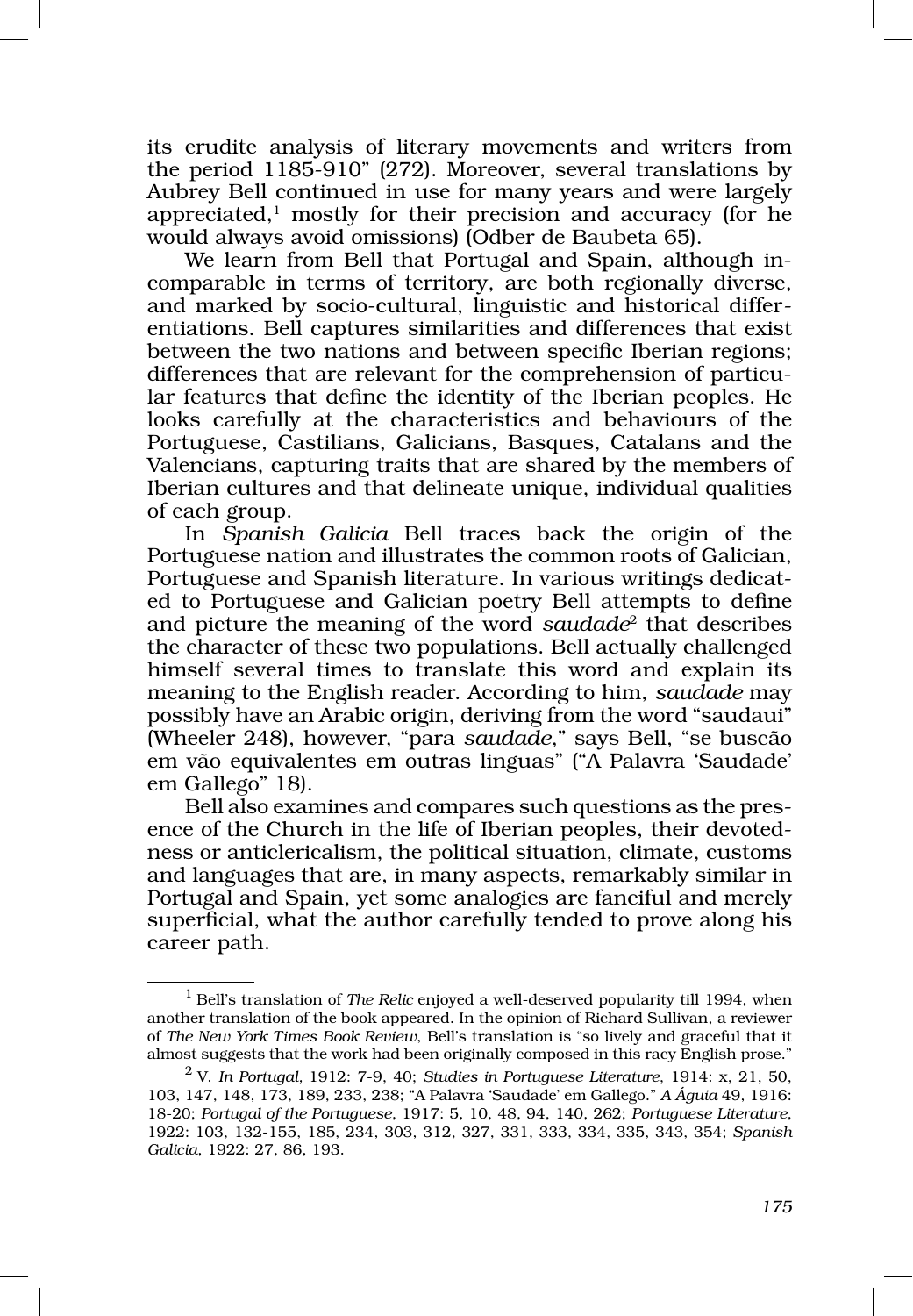its erudite analysis of literary movements and writers from the period 1185‑910" (272). Moreover, several translations by Aubrey Bell continued in use for many years and were largely appreciated, $<sup>1</sup>$  mostly for their precision and accuracy (for he</sup> would always avoid omissions) (Odber de Baubeta 65).

We learn from Bell that Portugal and Spain, although incomparable in terms of territory, are both regionally diverse, and marked by socio-cultural, linguistic and historical differentiations. Bell captures similarities and differences that exist between the two nations and between specific Iberian regions; differences that are relevant for the comprehension of particular features that define the identity of the Iberian peoples. He looks carefully at the characteristics and behaviours of the Portuguese, Castilians, Galicians, Basques, Catalans and the Valencians, capturing traits that are shared by the members of Iberian cultures and that delineate unique, individual qualities of each group.

In *Spanish Galicia* Bell traces back the origin of the Portuguese nation and illustrates the common roots of Galician, Portuguese and Spanish literature. In various writings dedicated to Portuguese and Galician poetry Bell attempts to define and picture the meaning of the word *saudade*2 that describes the character of these two populations. Bell actually challenged himself several times to translate this word and explain its meaning to the English reader. According to him, *saudade* may possibly have an Arabic origin, deriving from the word "saudaui" (Wheeler 248), however, "para *saudade*," says Bell, "se buscão em vão equivalentes em outras linguas" ("A Palavra 'Saudade' em Gallego" 18).

Bell also examines and compares such questions as the presence of the Church in the life of Iberian peoples, their devotedness or anticlericalism, the political situation, climate, customs and languages that are, in many aspects, remarkably similar in Portugal and Spain, yet some analogies are fanciful and merely superficial, what the author carefully tended to prove along his career path.

<sup>1</sup> Bell's translation of *The Relic* enjoyed a well‑deserved popularity till 1994, when another translation of the book appeared. In the opinion of Richard Sullivan, a reviewer of *The New York Times Book Review*, Bell's translation is "so lively and graceful that it almost suggests that the work had been originally composed in this racy English prose."

<sup>2</sup> V. *In Portugal,* 1912: 7‑9, 40; *Studies in Portuguese Literature*, 1914: x, 21, 50, 103, 147, 148, 173, 189, 233, 238; "A Palavra 'Saudade' em Gallego." *A Águia* 49, 1916: 18‑20; *Portugal of the Portuguese*, 1917: 5, 10, 48, 94, 140, 262; *Portuguese Literature*, 1922: 103, 132‑155, 185, 234, 303, 312, 327, 331, 333, 334, 335, 343, 354; *Spanish Galicia*, 1922: 27, 86, 193.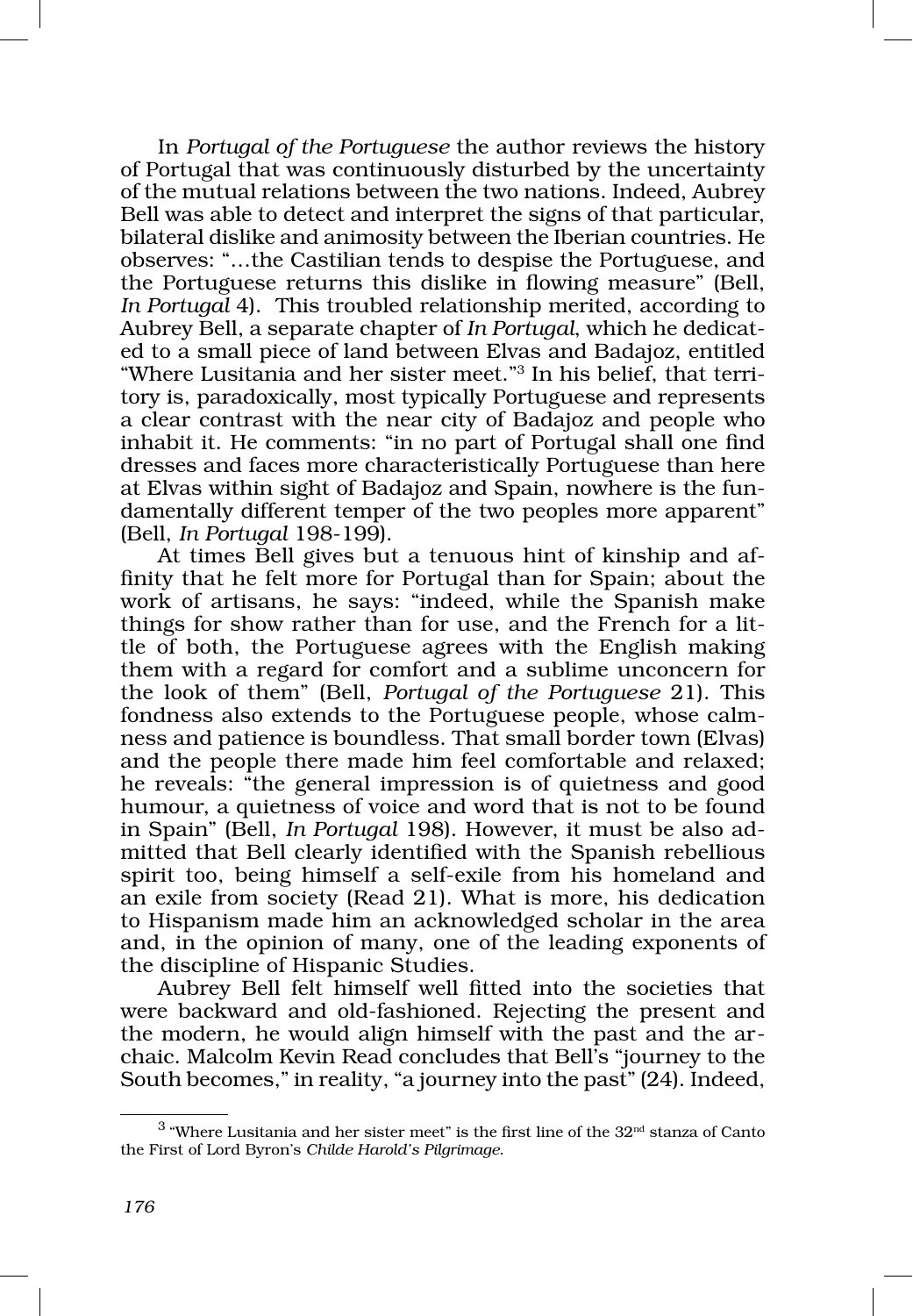In *Portugal of the Portuguese* the author reviews the history of Portugal that was continuously disturbed by the uncertainty of the mutual relations between the two nations. Indeed, Aubrey Bell was able to detect and interpret the signs of that particular, bilateral dislike and animosity between the Iberian countries. He observes: "…the Castilian tends to despise the Portuguese, and the Portuguese returns this dislike in flowing measure" (Bell, *In Portugal* 4). This troubled relationship merited, according to Aubrey Bell, a separate chapter of *In Portugal*, which he dedicat‑ ed to a small piece of land between Elvas and Badajoz, entitled "Where Lusitania and her sister meet."<sup>3</sup> In his belief, that territory is, paradoxically, most typically Portuguese and represents a clear contrast with the near city of Badajoz and people who inhabit it. He comments: "in no part of Portugal shall one find dresses and faces more characteristically Portuguese than here at Elvas within sight of Badajoz and Spain, nowhere is the fundamentally different temper of the two peoples more apparent" (Bell, *In Portugal* 198‑199).

At times Bell gives but a tenuous hint of kinship and affinity that he felt more for Portugal than for Spain; about the work of artisans, he says: "indeed, while the Spanish make things for show rather than for use, and the French for a little of both, the Portuguese agrees with the English making them with a regard for comfort and a sublime unconcern for the look of them" (Bell, *Portugal of the Portuguese* 21). This fondness also extends to the Portuguese people, whose calmness and patience is boundless. That small border town (Elvas) and the people there made him feel comfortable and relaxed; he reveals: "the general impression is of quietness and good humour, a quietness of voice and word that is not to be found in Spain" (Bell, *In Portugal* 198). However, it must be also ad‑ mitted that Bell clearly identified with the Spanish rebellious spirit too, being himself a self‑exile from his homeland and an exile from society (Read 21). What is more, his dedication to Hispanism made him an acknowledged scholar in the area and, in the opinion of many, one of the leading exponents of the discipline of Hispanic Studies.

Aubrey Bell felt himself well fitted into the societies that were backward and old-fashioned. Rejecting the present and the modern, he would align himself with the past and the archaic. Malcolm Kevin Read concludes that Bell's "journey to the South becomes," in reality, "a journey into the past" (24). Indeed,

 $^3$  "Where Lusitania and her sister meet" is the first line of the  $32<sup>nd</sup>$  stanza of Canto the First of Lord Byron's *Childe Harold's Pilgrimage*.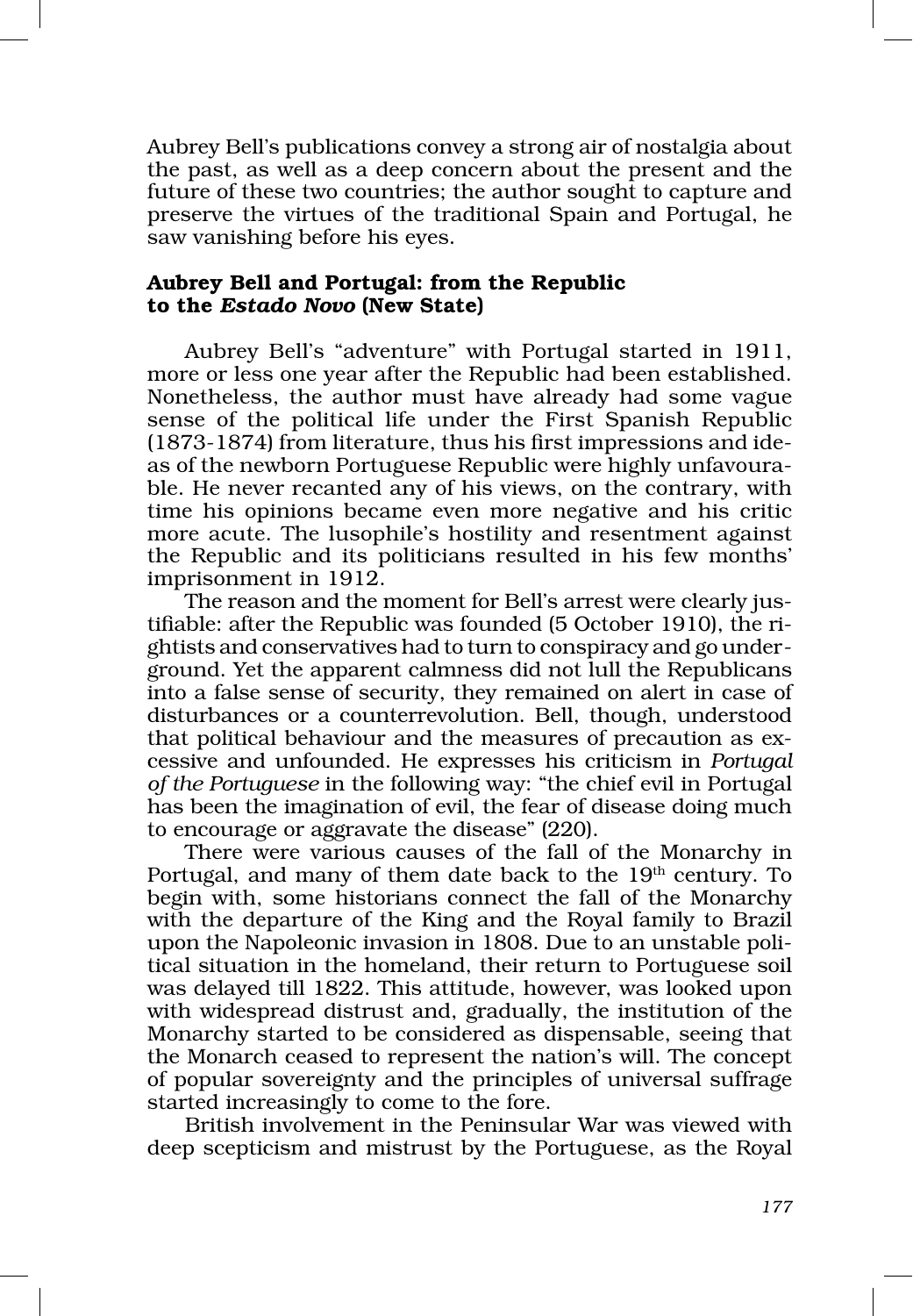Aubrey Bell's publications convey a strong air of nostalgia about the past, as well as a deep concern about the present and the future of these two countries; the author sought to capture and preserve the virtues of the traditional Spain and Portugal, he saw vanishing before his eyes.

# Aubrey Bell and Portugal: from the Republic to the *Estado Novo* (New State)

Aubrey Bell's "adventure" with Portugal started in 1911, more or less one year after the Republic had been established. Nonetheless, the author must have already had some vague sense of the political life under the First Spanish Republic (1873‑1874) from literature, thus his first impressions and ide‑ as of the newborn Portuguese Republic were highly unfavourable. He never recanted any of his views, on the contrary, with time his opinions became even more negative and his critic more acute. The lusophile's hostility and resentment against the Republic and its politicians resulted in his few months' imprisonment in 1912.

The reason and the moment for Bell's arrest were clearly justifiable: after the Republic was founded (5 October 1910), the ri‑ ghtists and conservatives had to turn to conspiracy and go under‑ ground. Yet the apparent calmness did not lull the Republicans into a false sense of security, they remained on alert in case of disturbances or a counterrevolution. Bell, though, understood that political behaviour and the measures of precaution as excessive and unfounded. He expresses his criticism in *Portugal of the Portuguese* in the following way: "the chief evil in Portugal has been the imagination of evil, the fear of disease doing much to encourage or aggravate the disease" (220).

There were various causes of the fall of the Monarchy in Portugal, and many of them date back to the 19<sup>th</sup> century. To begin with, some historians connect the fall of the Monarchy with the departure of the King and the Royal family to Brazil upon the Napoleonic invasion in 1808. Due to an unstable political situation in the homeland, their return to Portuguese soil was delayed till 1822. This attitude, however, was looked upon with widespread distrust and, gradually, the institution of the Monarchy started to be considered as dispensable, seeing that the Monarch ceased to represent the nation's will. The concept of popular sovereignty and the principles of universal suffrage started increasingly to come to the fore.

British involvement in the Peninsular War was viewed with deep scepticism and mistrust by the Portuguese, as the Royal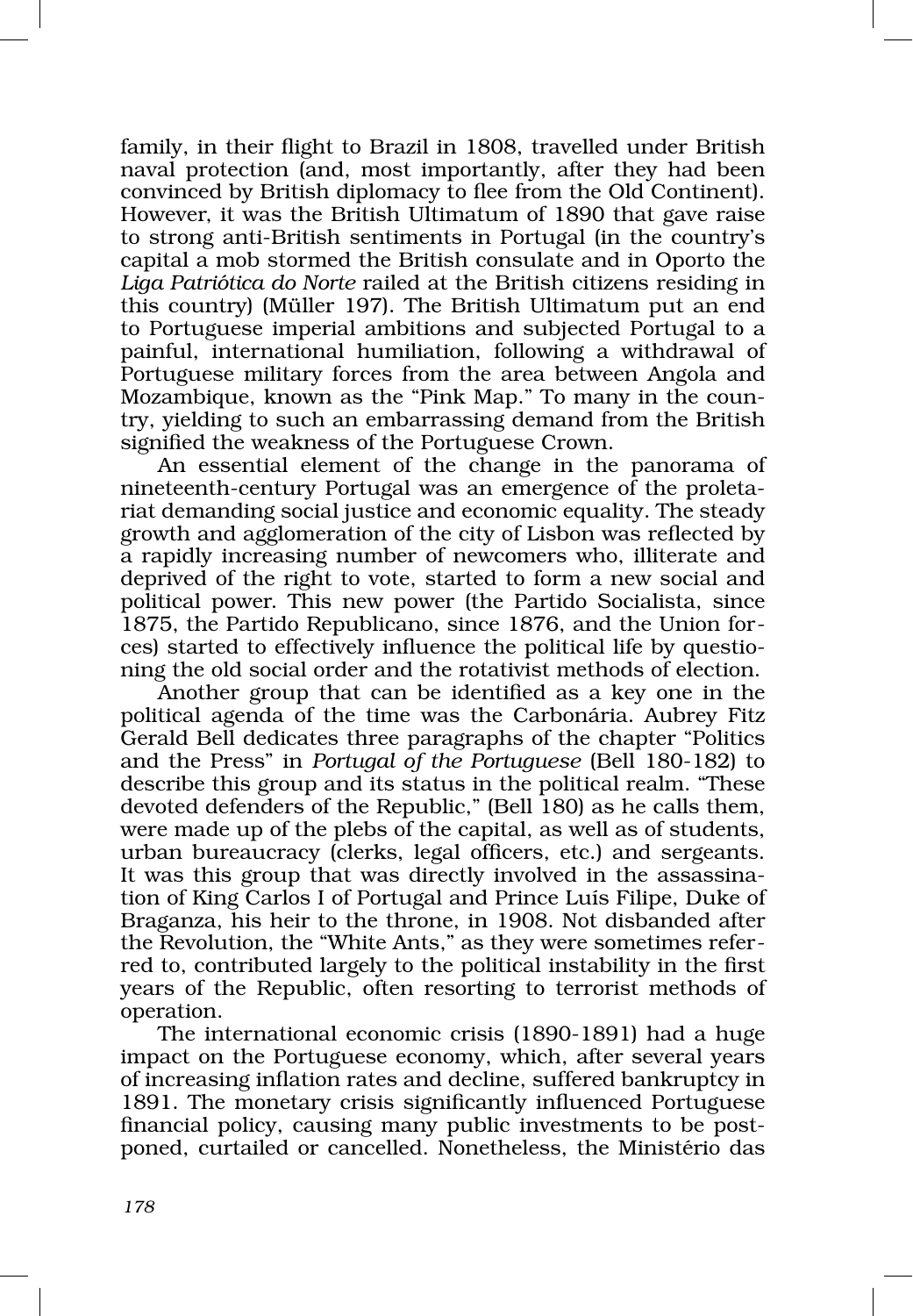family, in their flight to Brazil in 1808, travelled under British naval protection (and, most importantly, after they had been convinced by British diplomacy to flee from the Old Continent). However, it was the British Ultimatum of 1890 that gave raise to strong anti‑British sentiments in Portugal (in the country's capital a mob stormed the British consulate and in Oporto the *Liga Patriótica do Norte* railed at the British citizens residing in this country) (Müller 197). The British Ultimatum put an end to Portuguese imperial ambitions and subjected Portugal to a painful, international humiliation, following a withdrawal of Portuguese military forces from the area between Angola and Mozambique, known as the "Pink Map." To many in the country, yielding to such an embarrassing demand from the British signified the weakness of the Portuguese Crown.

An essential element of the change in the panorama of nineteenth-century Portugal was an emergence of the proletariat demanding social justice and economic equality. The steady growth and agglomeration of the city of Lisbon was reflected by a rapidly increasing number of newcomers who, illiterate and deprived of the right to vote, started to form a new social and political power. This new power (the Partido Socialista, since 1875, the Partido Republicano, since 1876, and the Union forces) started to effectively influence the political life by questioning the old social order and the rotativist methods of election.

Another group that can be identified as a key one in the political agenda of the time was the Carbonária. Aubrey Fitz Gerald Bell dedicates three paragraphs of the chapter "Politics and the Press" in *Portugal of the Portuguese* (Bell 180‑182) to describe this group and its status in the political realm. "These devoted defenders of the Republic," (Bell 180) as he calls them, were made up of the plebs of the capital, as well as of students, urban bureaucracy (clerks, legal officers, etc.) and sergeants. It was this group that was directly involved in the assassination of King Carlos I of Portugal and Prince Luís Filipe, Duke of Braganza, his heir to the throne, in 1908. Not disbanded after the Revolution, the "White Ants," as they were sometimes refer‑ red to, contributed largely to the political instability in the first years of the Republic, often resorting to terrorist methods of operation.

The international economic crisis (1890‑1891) had a huge impact on the Portuguese economy, which, after several years of increasing inflation rates and decline, suffered bankruptcy in 1891. The monetary crisis significantly influenced Portuguese financial policy, causing many public investments to be postponed, curtailed or cancelled. Nonetheless, the Ministério das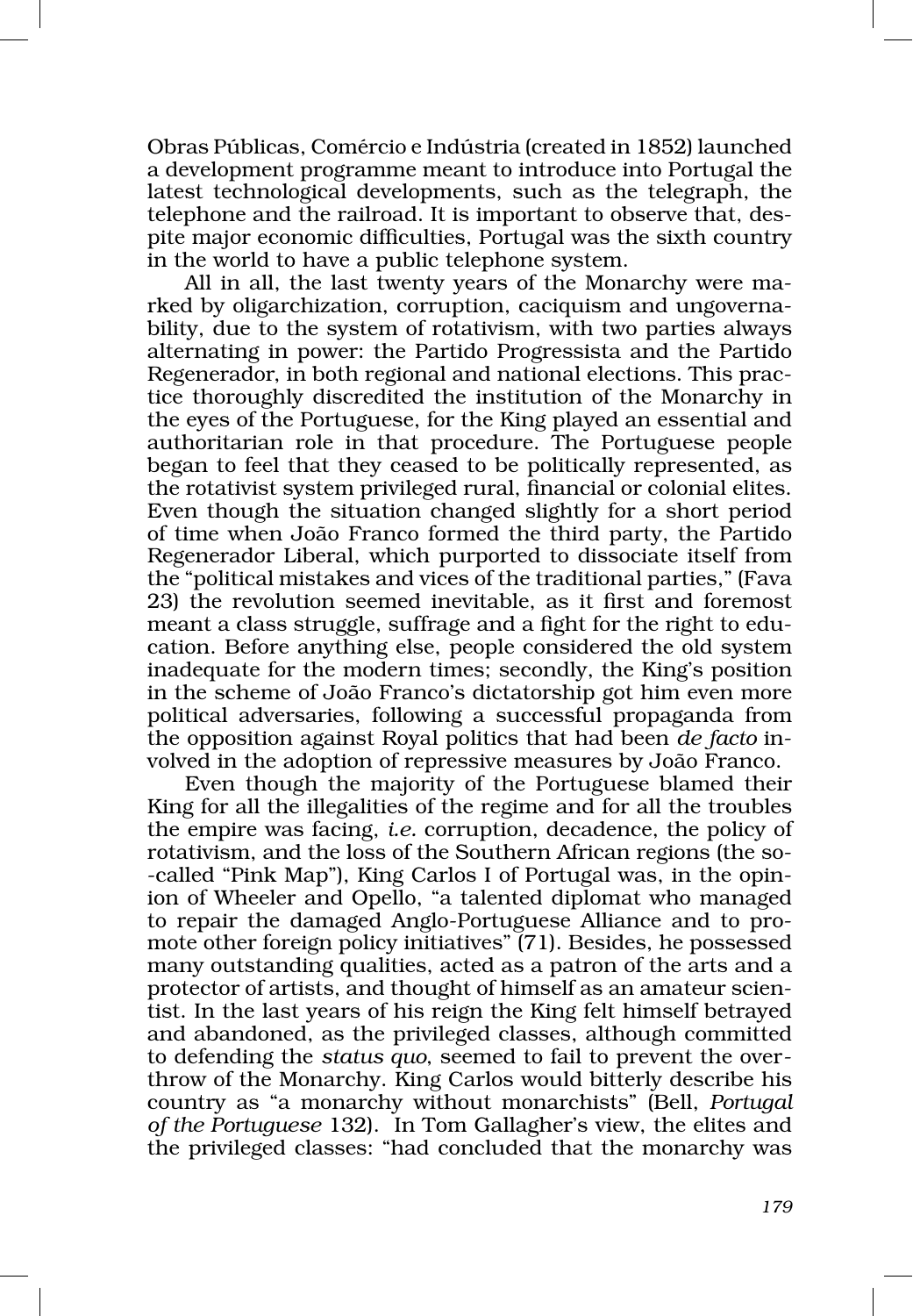Obras Públicas, Comércio e Indústria (created in 1852) launched a development programme meant to introduce into Portugal the latest technological developments, such as the telegraph, the telephone and the railroad. It is important to observe that, despite major economic difficulties, Portugal was the sixth country in the world to have a public telephone system.

All in all, the last twenty years of the Monarchy were marked by oligarchization, corruption, caciquism and ungovernability, due to the system of rotativism, with two parties always alternating in power: the Partido Progressista and the Partido Regenerador, in both regional and national elections. This practice thoroughly discredited the institution of the Monarchy in the eyes of the Portuguese, for the King played an essential and authoritarian role in that procedure. The Portuguese people began to feel that they ceased to be politically represented, as the rotativist system privileged rural, financial or colonial elites. Even though the situation changed slightly for a short period of time when João Franco formed the third party, the Partido Regenerador Liberal, which purported to dissociate itself from the "political mistakes and vices of the traditional parties," (Fava 23) the revolution seemed inevitable, as it first and foremost meant a class struggle, suffrage and a fight for the right to education. Before anything else, people considered the old system inadequate for the modern times; secondly, the King's position in the scheme of João Franco's dictatorship got him even more political adversaries, following a successful propaganda from the opposition against Royal politics that had been *de facto* in‑ volved in the adoption of repressive measures by João Franco.

Even though the majority of the Portuguese blamed their King for all the illegalities of the regime and for all the troubles the empire was facing, *i.e.* corruption, decadence, the policy of rotativism, and the loss of the Southern African regions (the so-‑called "Pink Map"), King Carlos I of Portugal was, in the opin‑ ion of Wheeler and Opello, "a talented diplomat who managed to repair the damaged Anglo-Portuguese Alliance and to promote other foreign policy initiatives" (71). Besides, he possessed many outstanding qualities, acted as a patron of the arts and a protector of artists, and thought of himself as an amateur scientist. In the last years of his reign the King felt himself betrayed and abandoned, as the privileged classes, although committed to defending the *status quo*, seemed to fail to prevent the over‑ throw of the Monarchy. King Carlos would bitterly describe his country as "a monarchy without monarchists" (Bell, *Portugal of the Portuguese* 132). In Tom Gallagher's view, the elites and the privileged classes: "had concluded that the monarchy was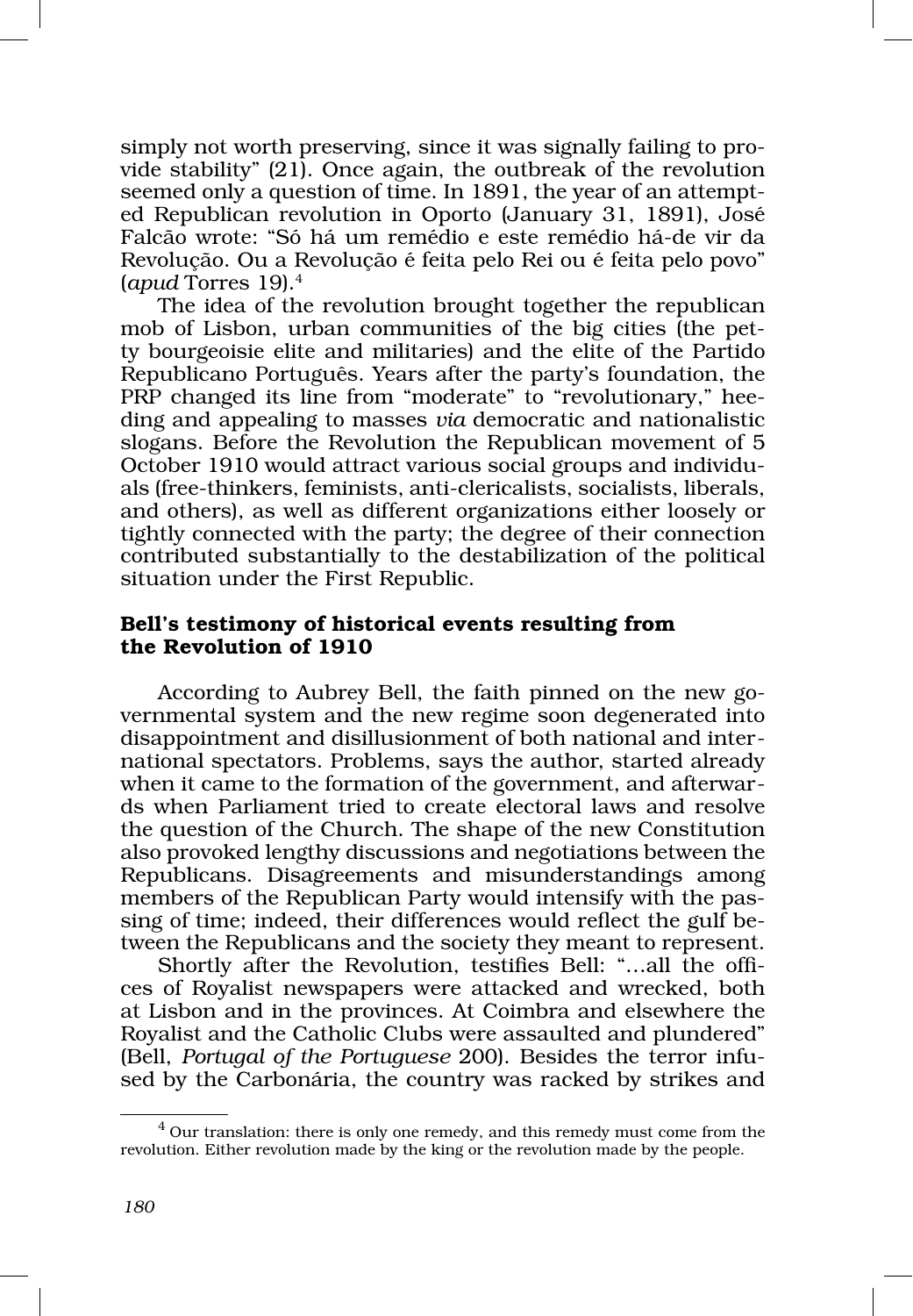simply not worth preserving, since it was signally failing to provide stability" (21). Once again, the outbreak of the revolution seemed only a question of time. In 1891, the year of an attempted Republican revolution in Oporto (January 31, 1891), José Falcão wrote: "Só há um remédio e este remédio há‑de vir da Revolução. Ou a Revolução é feita pelo Rei ou é feita pelo povo" (*apud* Torres 19).4

The idea of the revolution brought together the republican mob of Lisbon, urban communities of the big cities (the petty bourgeoisie elite and militaries) and the elite of the Partido Republicano Português. Years after the party's foundation, the PRP changed its line from "moderate" to "revolutionary," heeding and appealing to masses *via* democratic and nationalistic slogans. Before the Revolution the Republican movement of 5 October 1910 would attract various social groups and individuals (free‑thinkers, feminists, anti‑clericalists, socialists, liberals, and others), as well as different organizations either loosely or tightly connected with the party; the degree of their connection contributed substantially to the destabilization of the political situation under the First Republic.

# Bell's testimony of historical events resulting from the Revolution of 1910

According to Aubrey Bell, the faith pinned on the new governmental system and the new regime soon degenerated into disappointment and disillusionment of both national and international spectators. Problems, says the author, started already when it came to the formation of the government, and afterwards when Parliament tried to create electoral laws and resolve the question of the Church. The shape of the new Constitution also provoked lengthy discussions and negotiations between the Republicans. Disagreements and misunderstandings among members of the Republican Party would intensify with the passing of time; indeed, their differences would reflect the gulf between the Republicans and the society they meant to represent.

Shortly after the Revolution, testifies Bell: "...all the offices of Royalist newspapers were attacked and wrecked, both at Lisbon and in the provinces. At Coimbra and elsewhere the Royalist and the Catholic Clubs were assaulted and plundered" (Bell, *Portugal of the Portuguese* 200). Besides the terror infu‑ sed by the Carbonária, the country was racked by strikes and

 $4$  Our translation: there is only one remedy, and this remedy must come from the revolution. Either revolution made by the king or the revolution made by the people.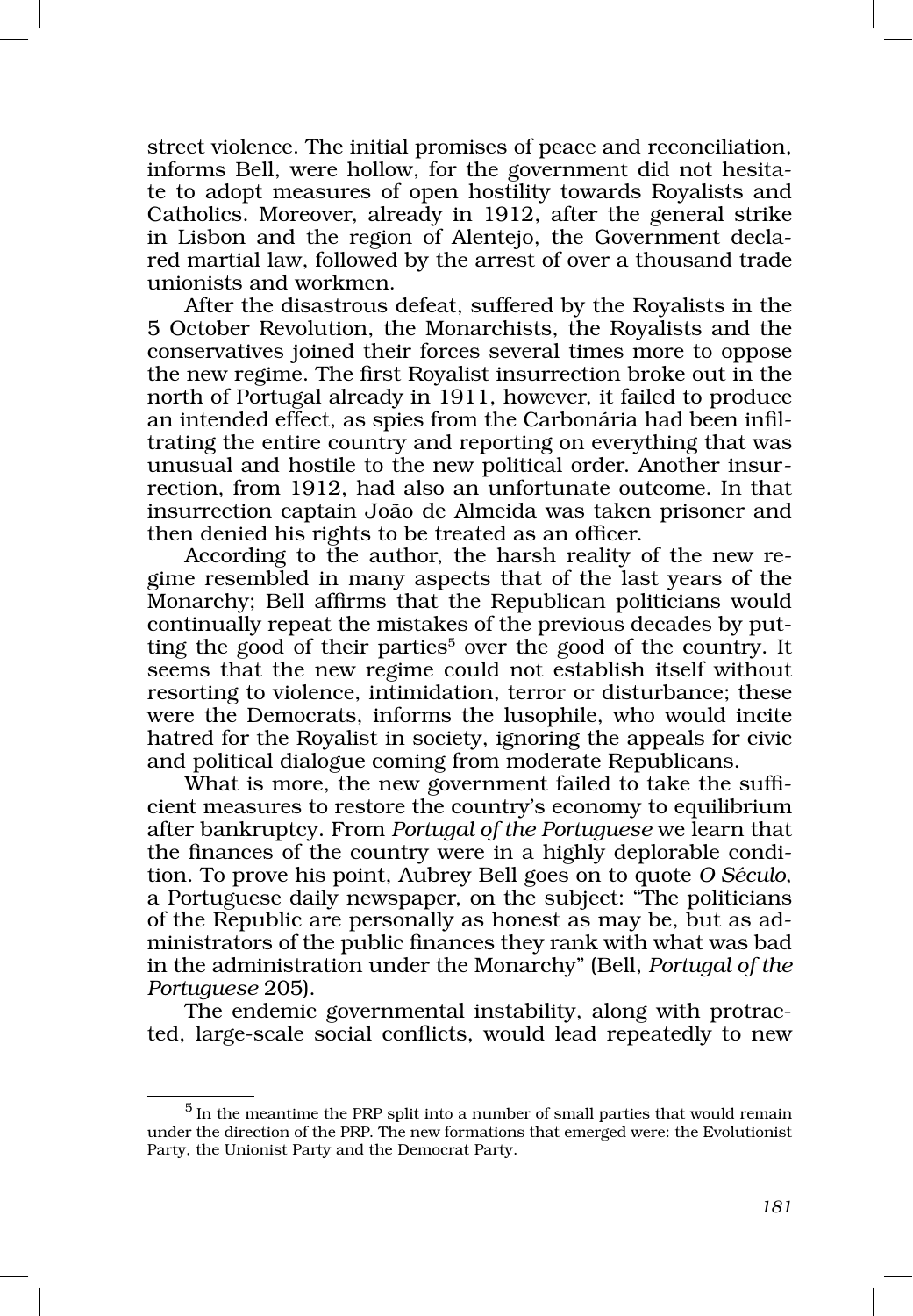street violence. The initial promises of peace and reconciliation, informs Bell, were hollow, for the government did not hesitate to adopt measures of open hostility towards Royalists and Catholics. Moreover, already in 1912, after the general strike in Lisbon and the region of Alentejo, the Government declared martial law, followed by the arrest of over a thousand trade unionists and workmen.

After the disastrous defeat, suffered by the Royalists in the 5 October Revolution, the Monarchists, the Royalists and the conservatives joined their forces several times more to oppose the new regime. The first Royalist insurrection broke out in the north of Portugal already in 1911, however, it failed to produce an intended effect, as spies from the Carbonária had been infiltrating the entire country and reporting on everything that was unusual and hostile to the new political order. Another insurrection, from 1912, had also an unfortunate outcome. In that insurrection captain João de Almeida was taken prisoner and then denied his rights to be treated as an officer.

According to the author, the harsh reality of the new regime resembled in many aspects that of the last years of the Monarchy; Bell affirms that the Republican politicians would continually repeat the mistakes of the previous decades by putting the good of their parties<sup>5</sup> over the good of the country. It seems that the new regime could not establish itself without resorting to violence, intimidation, terror or disturbance; these were the Democrats, informs the lusophile, who would incite hatred for the Royalist in society, ignoring the appeals for civic and political dialogue coming from moderate Republicans.

What is more, the new government failed to take the sufficient measures to restore the country's economy to equilibrium after bankruptcy. From *Portugal of the Portuguese* we learn that the finances of the country were in a highly deplorable condition. To prove his point, Aubrey Bell goes on to quote *O Século*, a Portuguese daily newspaper, on the subject: "The politicians of the Republic are personally as honest as may be, but as ad‑ ministrators of the public finances they rank with what was bad in the administration under the Monarchy" (Bell, *Portugal of the Portuguese* 205).

The endemic governmental instability, along with protracted, large‑scale social conflicts, would lead repeatedly to new

 $5$  In the meantime the PRP split into a number of small parties that would remain under the direction of the PRP. The new formations that emerged were: the Evolutionist Party, the Unionist Party and the Democrat Party.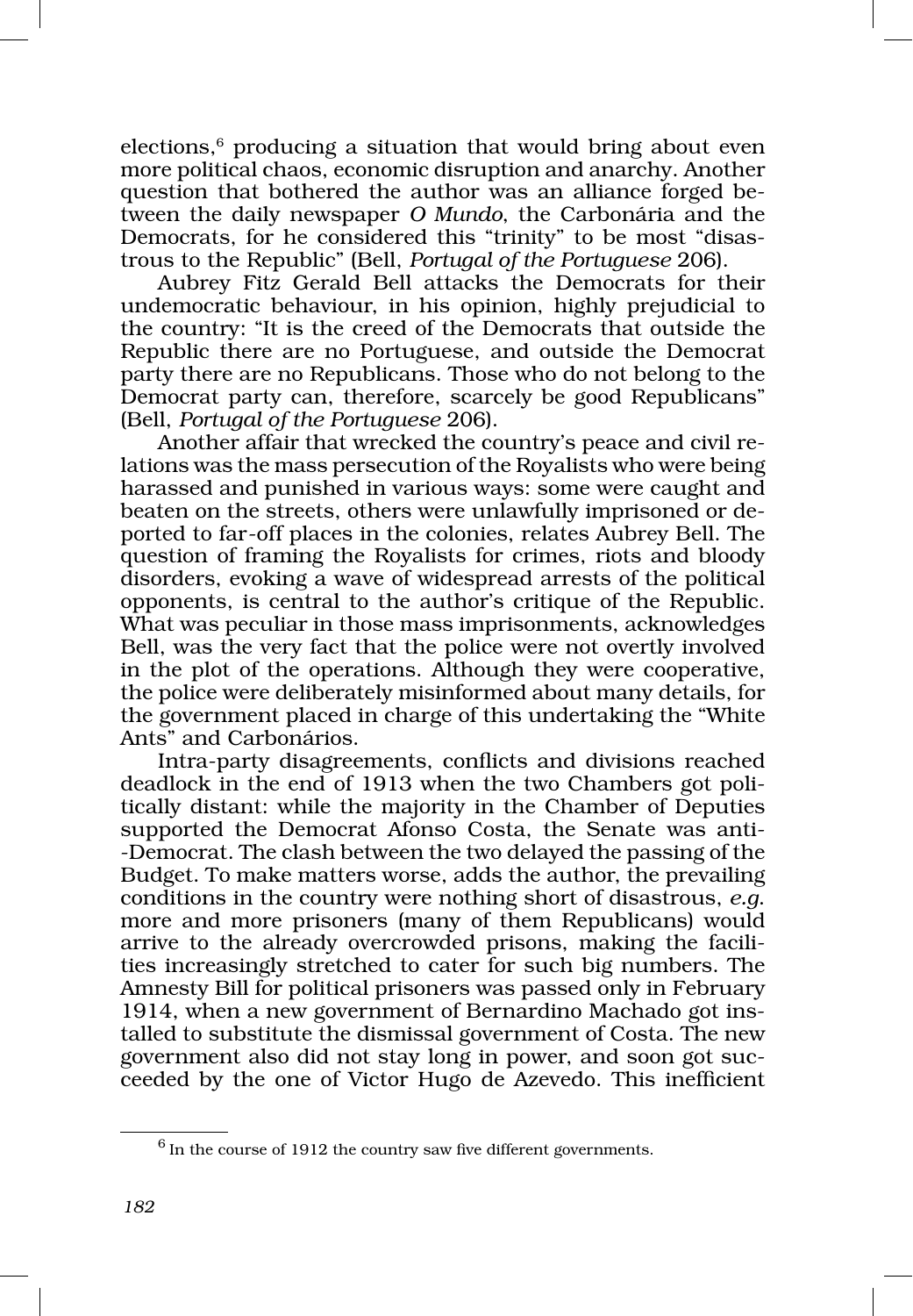$e$ lections, $6$  producing a situation that would bring about even more political chaos, economic disruption and anarchy. Another question that bothered the author was an alliance forged between the daily newspaper *O Mundo*, the Carbonária and the Democrats, for he considered this "trinity" to be most "disastrous to the Republic" (Bell, *Portugal of the Portuguese* 206).

Aubrey Fitz Gerald Bell attacks the Democrats for their undemocratic behaviour, in his opinion, highly prejudicial to the country: "It is the creed of the Democrats that outside the Republic there are no Portuguese, and outside the Democrat party there are no Republicans. Those who do not belong to the Democrat party can, therefore, scarcely be good Republicans" (Bell, *Portugal of the Portuguese* 206).

Another affair that wrecked the country's peace and civil relations was the mass persecution of the Royalists who were being harassed and punished in various ways: some were caught and beaten on the streets, others were unlawfully imprisoned or deported to far‑off places in the colonies, relates Aubrey Bell. The question of framing the Royalists for crimes, riots and bloody disorders, evoking a wave of widespread arrests of the political opponents, is central to the author's critique of the Republic. What was peculiar in those mass imprisonments, acknowledges Bell, was the very fact that the police were not overtly involved in the plot of the operations. Although they were cooperative, the police were deliberately misinformed about many details, for the government placed in charge of this undertaking the "White Ants" and Carbonários.

Intra‑party disagreements, conflicts and divisions reached deadlock in the end of 1913 when the two Chambers got politically distant: while the majority in the Chamber of Deputies supported the Democrat Afonso Costa, the Senate was anti-‑Democrat. The clash between the two delayed the passing of the Budget. To make matters worse, adds the author, the prevailing conditions in the country were nothing short of disastrous, *e.g*. more and more prisoners (many of them Republicans) would arrive to the already overcrowded prisons, making the facilities increasingly stretched to cater for such big numbers. The Amnesty Bill for political prisoners was passed only in February 1914, when a new government of Bernardino Machado got ins– talled to substitute the dismissal government of Costa. The new government also did not stay long in power, and soon got suc‑ ceeded by the one of Victor Hugo de Azevedo. This inefficient

 $6$  In the course of 1912 the country saw five different governments.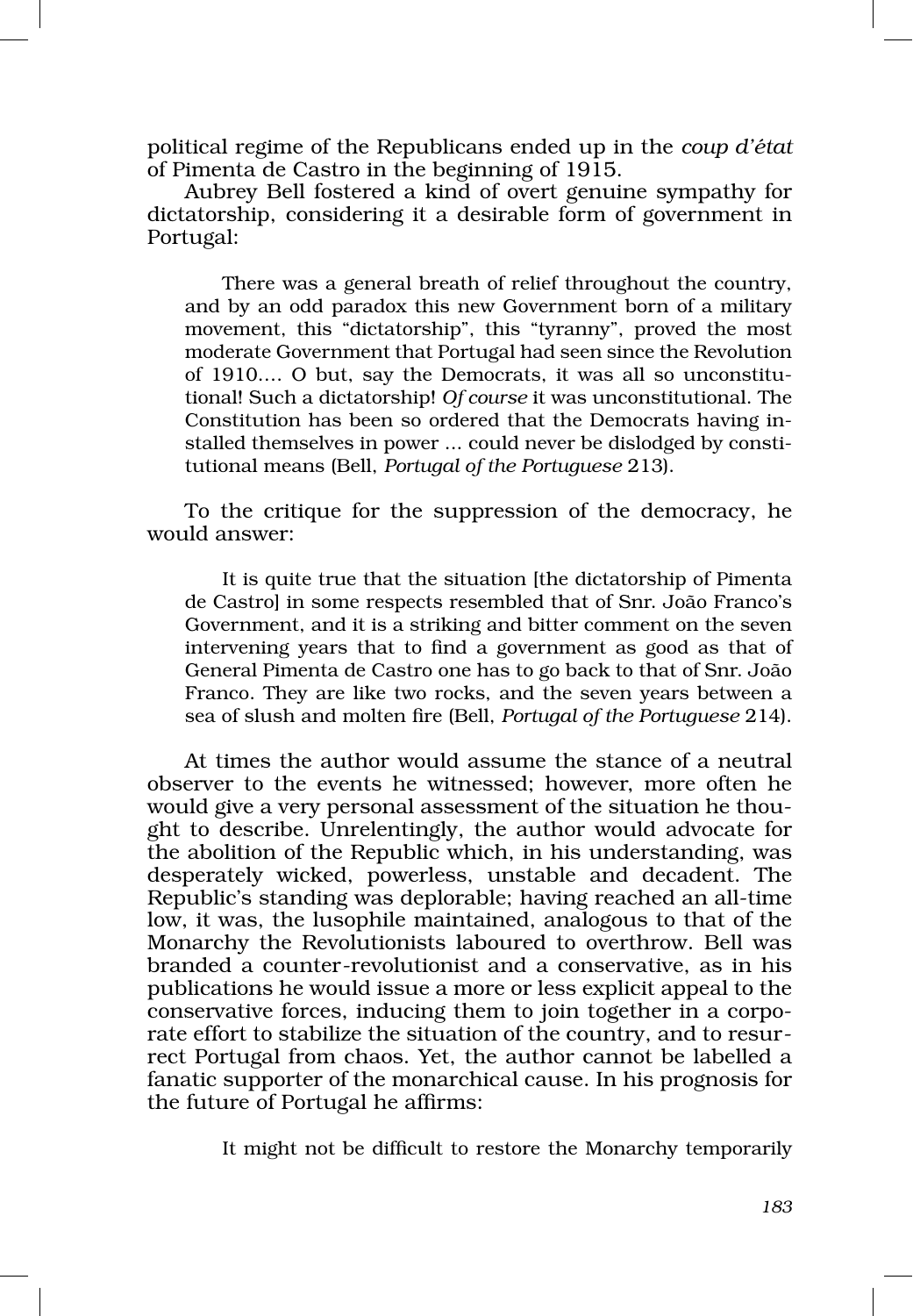political regime of the Republicans ended up in the *coup d'état* of Pimenta de Castro in the beginning of 1915.

Aubrey Bell fostered a kind of overt genuine sympathy for dictatorship, considering it a desirable form of government in Portugal:

There was a general breath of relief throughout the country, and by an odd paradox this new Government born of a military movement, this "dictatorship", this "tyranny", proved the most moderate Government that Portugal had seen since the Revolution of 1910.... O but, say the Democrats, it was all so unconstitutional! Such a dictatorship! *Of course* it was unconstitutional. The Constitution has been so ordered that the Democrats having in‑ stalled themselves in power ... could never be dislodged by constitutional means (Bell, *Portugal of the Portuguese* 213).

To the critique for the suppression of the democracy, he would answer:

It is quite true that the situation [the dictatorship of Pimenta de Castro] in some respects resembled that of Snr. João Franco's Government, and it is a striking and bitter comment on the seven intervening years that to find a government as good as that of General Pimenta de Castro one has to go back to that of Snr. João Franco. They are like two rocks, and the seven years between a sea of slush and molten fire (Bell, *Portugal of the Portuguese* 214).

At times the author would assume the stance of a neutral observer to the events he witnessed; however, more often he would give a very personal assessment of the situation he thought to describe. Unrelentingly, the author would advocate for the abolition of the Republic which, in his understanding, was desperately wicked, powerless, unstable and decadent. The Republic's standing was deplorable; having reached an all-time low, it was, the lusophile maintained, analogous to that of the Monarchy the Revolutionists laboured to overthrow. Bell was branded a counter‑revolutionist and a conservative, as in his publications he would issue a more or less explicit appeal to the conservative forces, inducing them to join together in a corporate effort to stabilize the situation of the country, and to resurrect Portugal from chaos. Yet, the author cannot be labelled a fanatic supporter of the monarchical cause. In his prognosis for the future of Portugal he affirms:

It might not be difficult to restore the Monarchy temporarily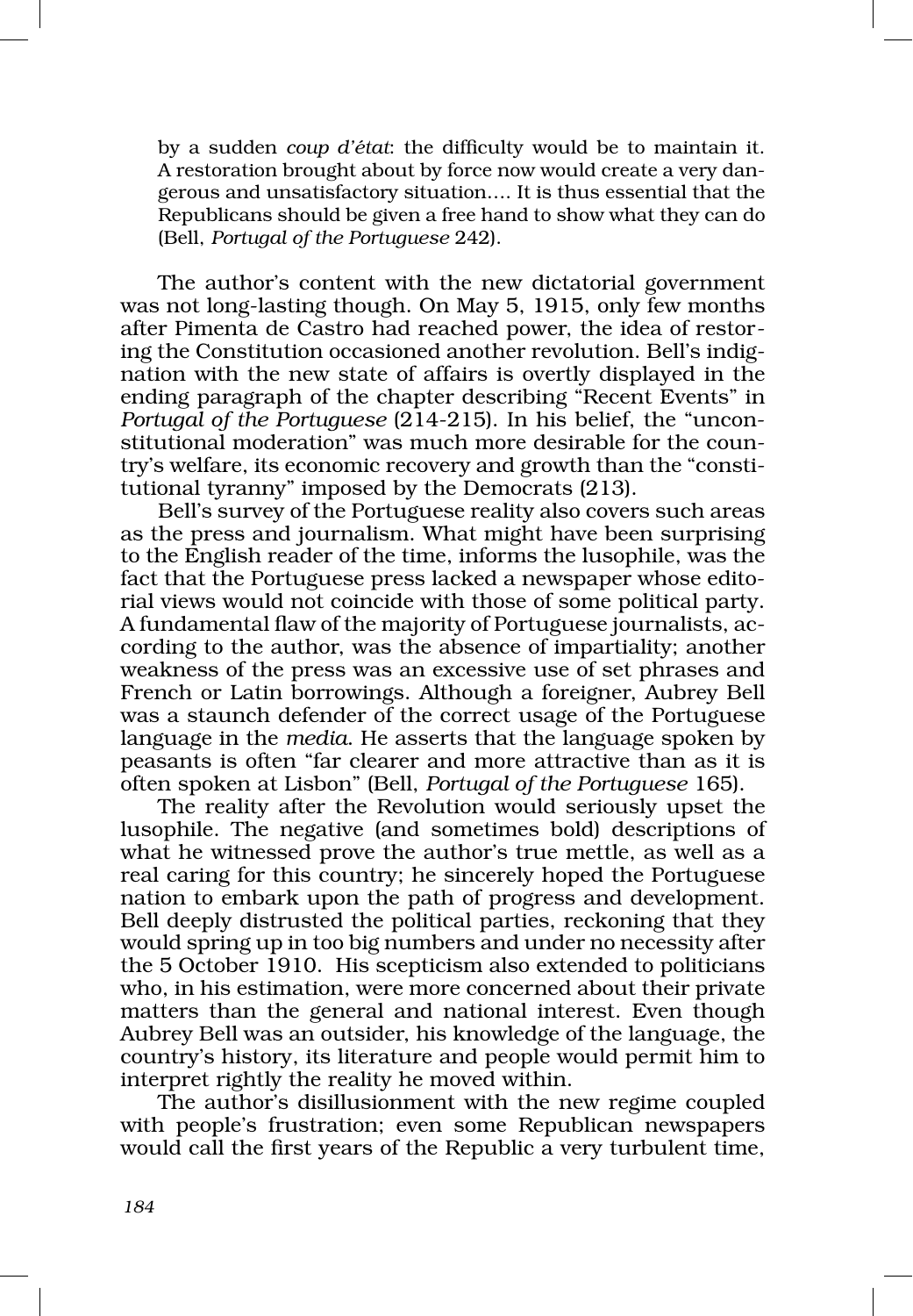by a sudden *coup d'état*: the difficulty would be to maintain it. A restoration brought about by force now would create a very dangerous and unsatisfactory situation…. It is thus essential that the Republicans should be given a free hand to show what they can do (Bell, *Portugal of the Portuguese* 242).

The author's content with the new dictatorial government was not long-lasting though. On May 5, 1915, only few months after Pimenta de Castro had reached power, the idea of restor‑ ing the Constitution occasioned another revolution. Bell's indignation with the new state of affairs is overtly displayed in the ending paragraph of the chapter describing "Recent Events" in *Portugal of the Portuguese* (214-215). In his belief, the "unconstitutional moderation" was much more desirable for the country's welfare, its economic recovery and growth than the "constitutional tyranny" imposed by the Democrats (213).

Bell's survey of the Portuguese reality also covers such areas as the press and journalism. What might have been surprising to the English reader of the time, informs the lusophile, was the fact that the Portuguese press lacked a newspaper whose editorial views would not coincide with those of some political party. A fundamental flaw of the majority of Portuguese journalists, ac‑ cording to the author, was the absence of impartiality; another weakness of the press was an excessive use of set phrases and French or Latin borrowings. Although a foreigner, Aubrey Bell was a staunch defender of the correct usage of the Portuguese language in the *media*. He asserts that the language spoken by peasants is often "far clearer and more attractive than as it is often spoken at Lisbon" (Bell, *Portugal of the Portuguese* 165).

The reality after the Revolution would seriously upset the lusophile. The negative (and sometimes bold) descriptions of what he witnessed prove the author's true mettle, as well as a real caring for this country; he sincerely hoped the Portuguese nation to embark upon the path of progress and development. Bell deeply distrusted the political parties, reckoning that they would spring up in too big numbers and under no necessity after the 5 October 1910. His scepticism also extended to politicians who, in his estimation, were more concerned about their private matters than the general and national interest. Even though Aubrey Bell was an outsider, his knowledge of the language, the country's history, its literature and people would permit him to interpret rightly the reality he moved within.

The author's disillusionment with the new regime coupled with people's frustration; even some Republican newspapers would call the first years of the Republic a very turbulent time,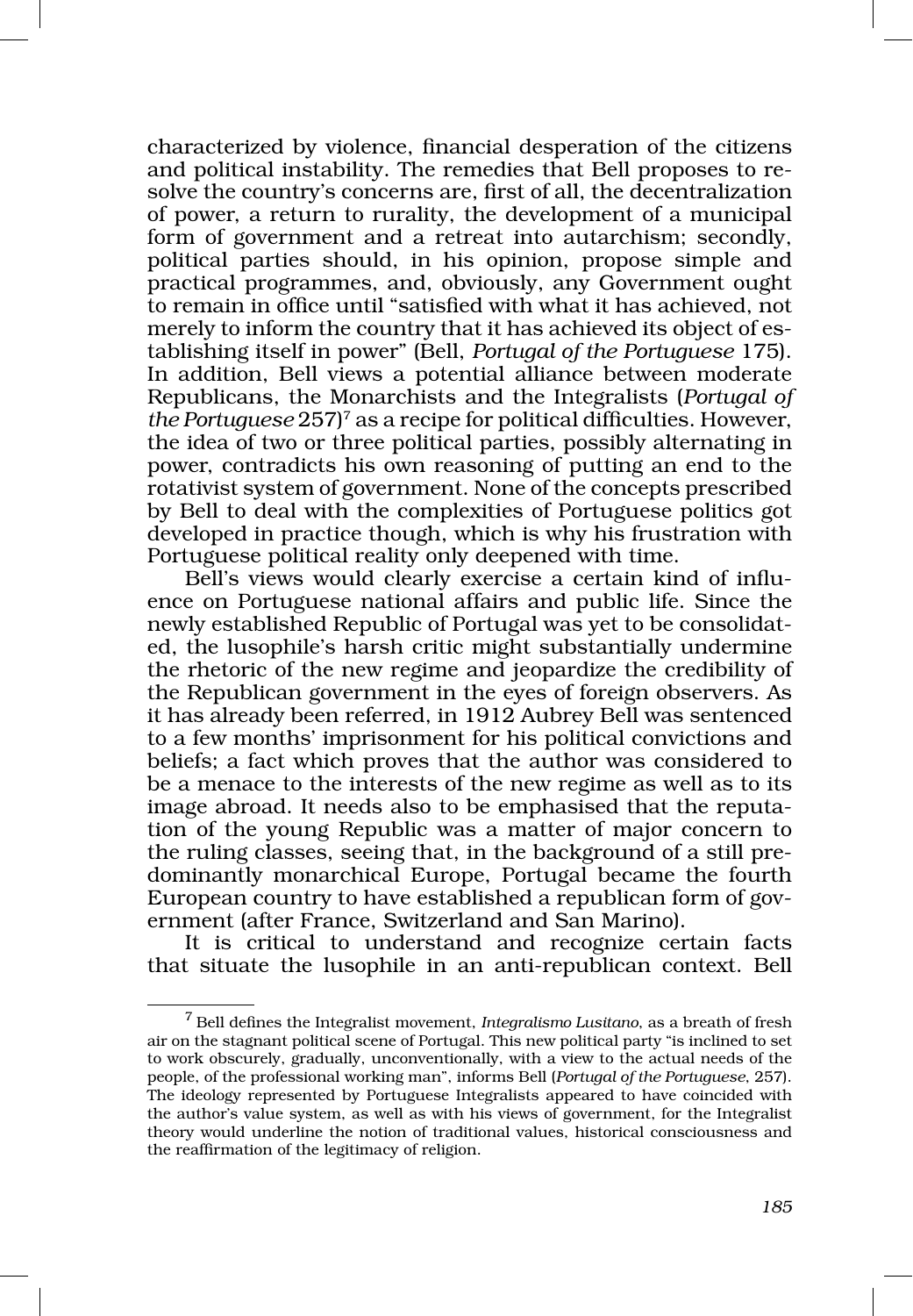characterized by violence, financial desperation of the citizens and political instability. The remedies that Bell proposes to re‑ solve the country's concerns are, first of all, the decentralization of power, a return to rurality, the development of a municipal form of government and a retreat into autarchism; secondly, political parties should, in his opinion, propose simple and practical programmes, and, obviously, any Government ought to remain in office until "satisfied with what it has achieved, not merely to inform the country that it has achieved its object of establishing itself in power" (Bell, *Portugal of the Portuguese* 175). In addition, Bell views a potential alliance between moderate Republicans, the Monarchists and the Integralists (*Portugal of the Portuguese* 257)7 as a recipe for political difficulties. However, the idea of two or three political parties, possibly alternating in power, contradicts his own reasoning of putting an end to the rotativist system of government. None of the concepts prescribed by Bell to deal with the complexities of Portuguese politics got developed in practice though, which is why his frustration with Portuguese political reality only deepened with time.

Bell's views would clearly exercise a certain kind of influence on Portuguese national affairs and public life. Since the newly established Republic of Portugal was yet to be consolidated, the lusophile's harsh critic might substantially undermine the rhetoric of the new regime and jeopardize the credibility of the Republican government in the eyes of foreign observers. As it has already been referred, in 1912 Aubrey Bell was sentenced to a few months' imprisonment for his political convictions and beliefs; a fact which proves that the author was considered to be a menace to the interests of the new regime as well as to its image abroad. It needs also to be emphasised that the reputation of the young Republic was a matter of major concern to the ruling classes, seeing that, in the background of a still pre‑ dominantly monarchical Europe, Portugal became the fourth European country to have established a republican form of government (after France, Switzerland and San Marino).

It is critical to understand and recognize certain facts that situate the lusophile in an anti‑republican context. Bell

<sup>7</sup> Bell defines the Integralist movement, *Integralismo Lusitano*, as a breath of fresh air on the stagnant political scene of Portugal. This new political party "is inclined to set to work obscurely, gradually, unconventionally, with a view to the actual needs of the people, of the professional working man", informs Bell (*Portugal of the Portuguese*, 257). The ideology represented by Portuguese Integralists appeared to have coincided with the author's value system, as well as with his views of government, for the Integralist theory would underline the notion of traditional values, historical consciousness and the reaffirmation of the legitimacy of religion.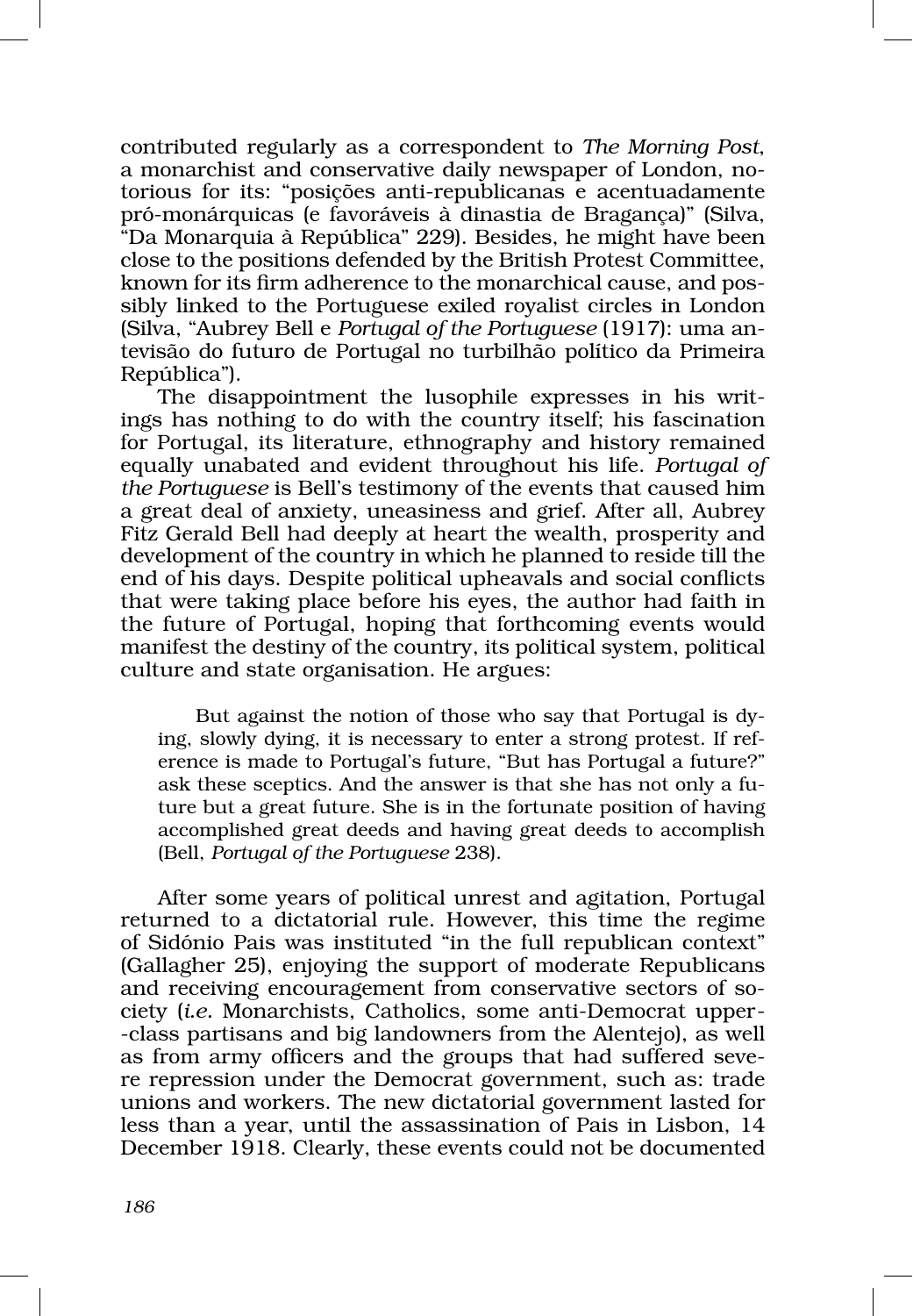contributed regularly as a correspondent to *The Morning Post*, a monarchist and conservative daily newspaper of London, notorious for its: "posições anti‑republicanas e acentuadamente pró‑monárquicas (e favoráveis à dinastia de Bragança)" (Silva, "Da Monarquia à República" 229). Besides, he might have been close to the positions defended by the British Protest Committee, known for its firm adherence to the monarchical cause, and possibly linked to the Portuguese exiled royalist circles in London (Silva, "Aubrey Bell e *Portugal of the Portuguese* (1917): uma an‑ tevisão do futuro de Portugal no turbilhão político da Primeira República").

The disappointment the lusophile expresses in his writings has nothing to do with the country itself; his fascination for Portugal, its literature, ethnography and history remained equally unabated and evident throughout his life. *Portugal of the Portuguese* is Bell's testimony of the events that caused him a great deal of anxiety, uneasiness and grief. After all, Aubrey Fitz Gerald Bell had deeply at heart the wealth, prosperity and development of the country in which he planned to reside till the end of his days. Despite political upheavals and social conflicts that were taking place before his eyes, the author had faith in the future of Portugal, hoping that forthcoming events would manifest the destiny of the country, its political system, political culture and state organisation. He argues:

But against the notion of those who say that Portugal is dying, slowly dying, it is necessary to enter a strong protest. If reference is made to Portugal's future, "But has Portugal a future?" ask these sceptics. And the answer is that she has not only a future but a great future. She is in the fortunate position of having accomplished great deeds and having great deeds to accomplish (Bell, *Portugal of the Portuguese* 238).

After some years of political unrest and agitation, Portugal returned to a dictatorial rule. However, this time the regime of Sidónio Pais was instituted "in the full republican context" (Gallagher 25), enjoying the support of moderate Republicans and receiving encouragement from conservative sectors of society (*i.e.* Monarchists, Catholics, some anti‑Democrat upper‑ ‑class partisans and big landowners from the Alentejo), as well as from army officers and the groups that had suffered severe repression under the Democrat government, such as: trade unions and workers. The new dictatorial government lasted for less than a year, until the assassination of Pais in Lisbon, 14 December 1918. Clearly, these events could not be documented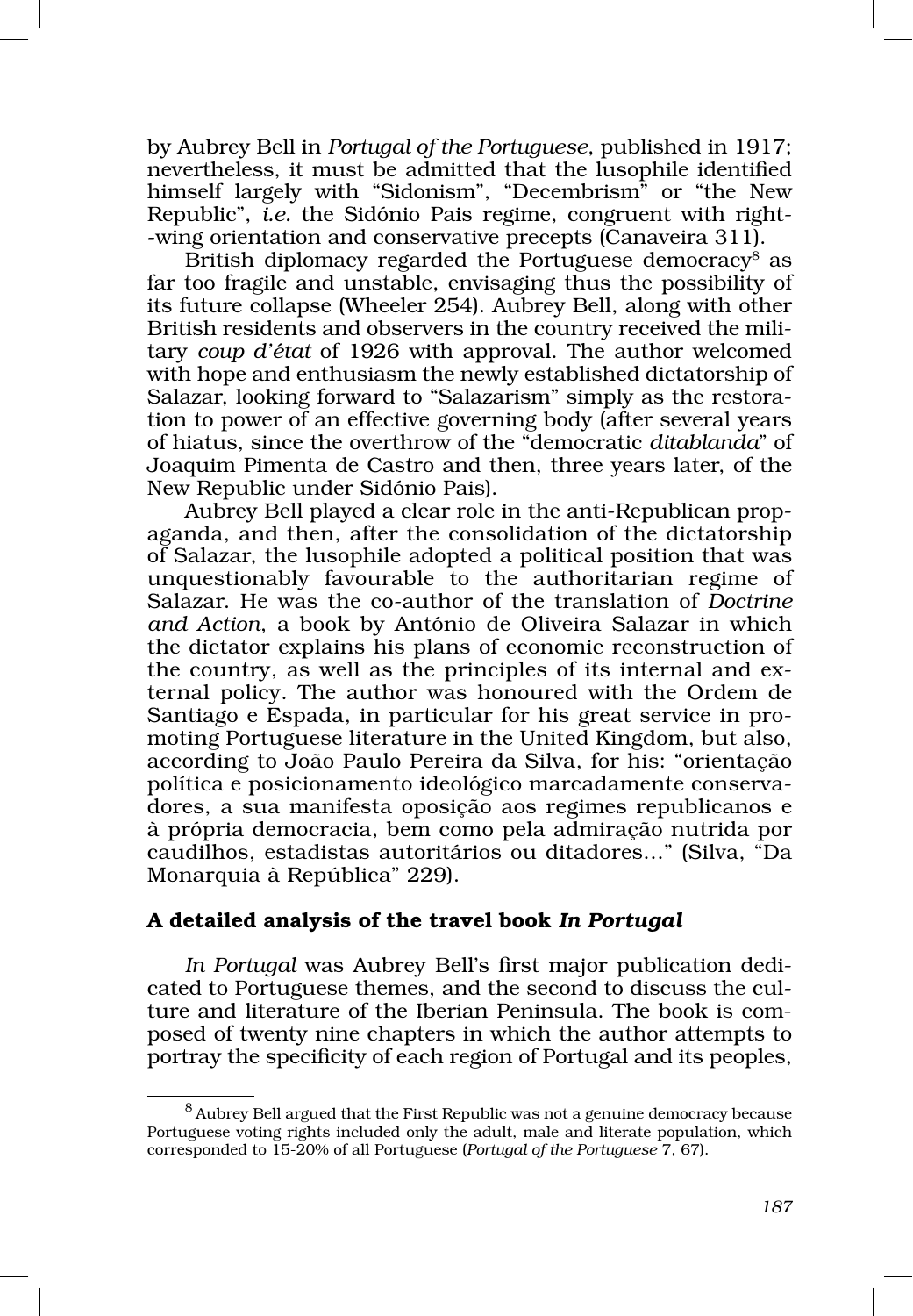by Aubrey Bell in *Portugal of the Portuguese*, published in 1917; nevertheless, it must be admitted that the lusophile identified himself largely with "Sidonism", "Decembrism" or "the New Republic", *i.e.* the Sidónio Pais regime, congruent with right-‑wing orientation and conservative precepts (Canaveira 311).

British diplomacy regarded the Portuguese democracy<sup>8</sup> as far too fragile and unstable, envisaging thus the possibility of its future collapse (Wheeler 254). Aubrey Bell, along with other British residents and observers in the country received the military *coup d'état* of 1926 with approval. The author welcomed with hope and enthusiasm the newly established dictatorship of Salazar, looking forward to "Salazarism" simply as the restoration to power of an effective governing body (after several years of hiatus, since the overthrow of the "democratic *ditablanda*" of Joaquim Pimenta de Castro and then, three years later, of the New Republic under Sidónio Pais).

Aubrey Bell played a clear role in the anti-Republican propaganda, and then, after the consolidation of the dictatorship of Salazar, the lusophile adopted a political position that was unquestionably favourable to the authoritarian regime of Salazar. He was the co‑author of the translation of *Doctrine and Action*, a book by António de Oliveira Salazar in which the dictator explains his plans of economic reconstruction of the country, as well as the principles of its internal and external policy. The author was honoured with the Ordem de Santiago e Espada, in particular for his great service in promoting Portuguese literature in the United Kingdom, but also, according to João Paulo Pereira da Silva, for his: "orientação política e posicionamento ideológico marcadamente conservadores, a sua manifesta oposição aos regimes republicanos e à própria democracia, bem como pela admiração nutrida por caudilhos, estadistas autoritários ou ditadores..." (Silva, "Da Monarquia à República" 229).

# A detailed analysis of the travel book *In Portugal*

*In Portugal* was Aubrey Bell's first major publication dedi‑ cated to Portuguese themes, and the second to discuss the culture and literature of the Iberian Peninsula. The book is composed of twenty nine chapters in which the author attempts to portray the specificity of each region of Portugal and its peoples,

<sup>8</sup> Aubrey Bell argued that the First Republic was not a genuine democracy because Portuguese voting rights included only the adult, male and literate population, which corresponded to 15‑20% of all Portuguese (*Portugal of the Portuguese* 7, 67).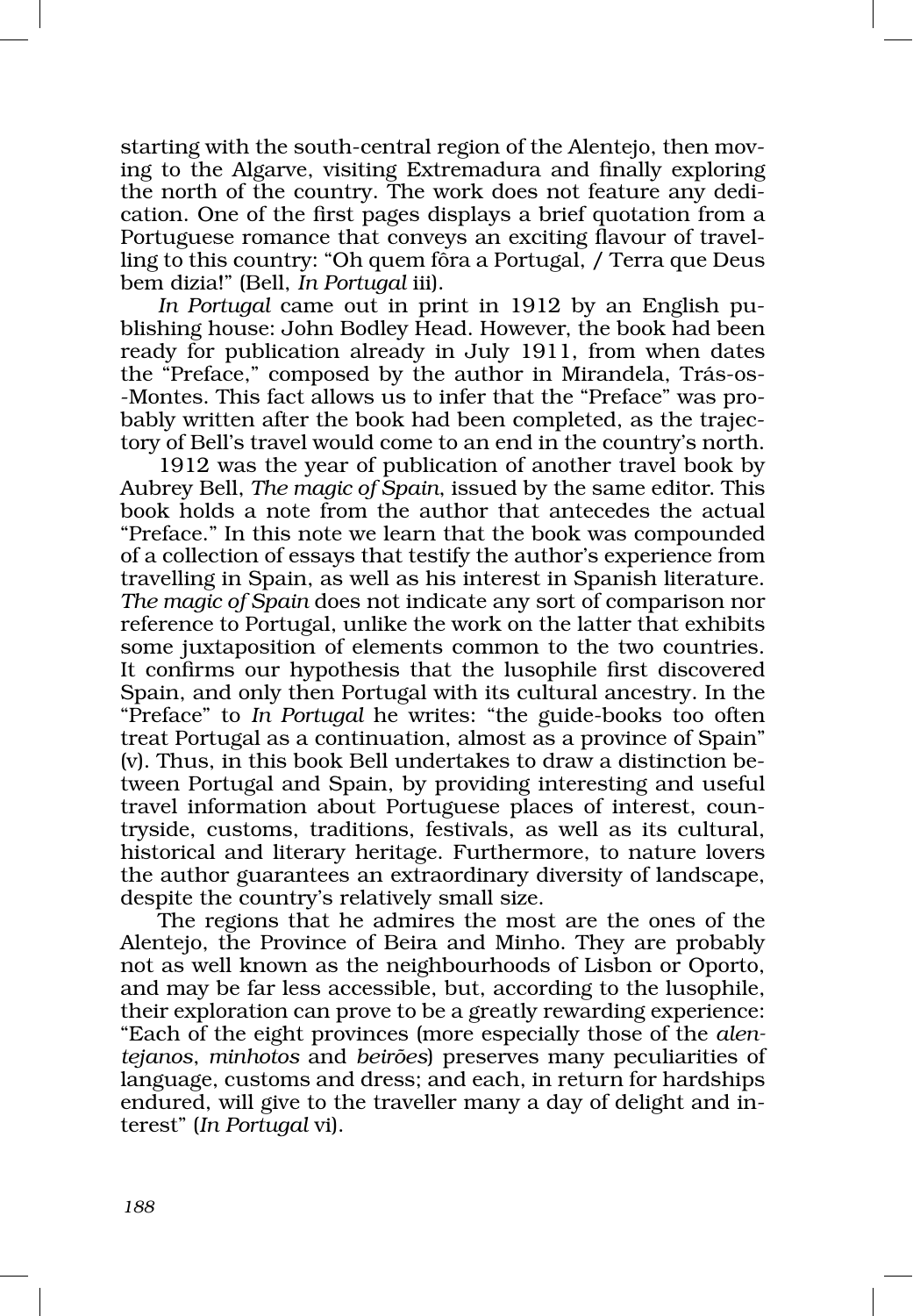starting with the south-central region of the Alentejo, then moving to the Algarve, visiting Extremadura and finally exploring the north of the country. The work does not feature any dedication. One of the first pages displays a brief quotation from a Portuguese romance that conveys an exciting flavour of travel ling to this country: "Oh quem fôra a Portugal, / Terra que Deus bem dizia!" (Bell, *In Portugal* iii).

In Portugal came out in print in 1912 by an English publishing house: John Bodley Head. However, the book had been ready for publication already in July 1911, from when dates the "Preface," composed by the author in Mirandela, Trás-os-‑Montes. This fact allows us to infer that the "Preface" was pro‑ bably written after the book had been completed, as the trajectory of Bell's travel would come to an end in the country's north.

1912 was the year of publication of another travel book by Aubrey Bell, *The magic of Spain*, issued by the same editor. This book holds a note from the author that antecedes the actual "Preface." In this note we learn that the book was compounded of a collection of essays that testify the author's experience from travelling in Spain, as well as his interest in Spanish literature. *The magic of Spain* does not indicate any sort of comparison nor reference to Portugal, unlike the work on the latter that exhibits some juxtaposition of elements common to the two countries. It confirms our hypothesis that the lusophile first discovered Spain, and only then Portugal with its cultural ancestry. In the "Preface" to *In Portugal* he writes: "the guide‑books too often treat Portugal as a continuation, almost as a province of Spain" (v). Thus, in this book Bell undertakes to draw a distinction be‑ tween Portugal and Spain, by providing interesting and useful travel information about Portuguese places of interest, countryside, customs, traditions, festivals, as well as its cultural, historical and literary heritage. Furthermore, to nature lovers the author guarantees an extraordinary diversity of landscape, despite the country's relatively small size.

The regions that he admires the most are the ones of the Alentejo, the Province of Beira and Minho. They are probably not as well known as the neighbourhoods of Lisbon or Oporto, and may be far less accessible, but, according to the lusophile, their exploration can prove to be a greatly rewarding experience: "Each of the eight provinces (more especially those of the *alen‑ tejanos*, *minhotos* and *beirões*) preserves many peculiarities of language, customs and dress; and each, in return for hardships endured, will give to the traveller many a day of delight and interest" (*In Portugal* vi).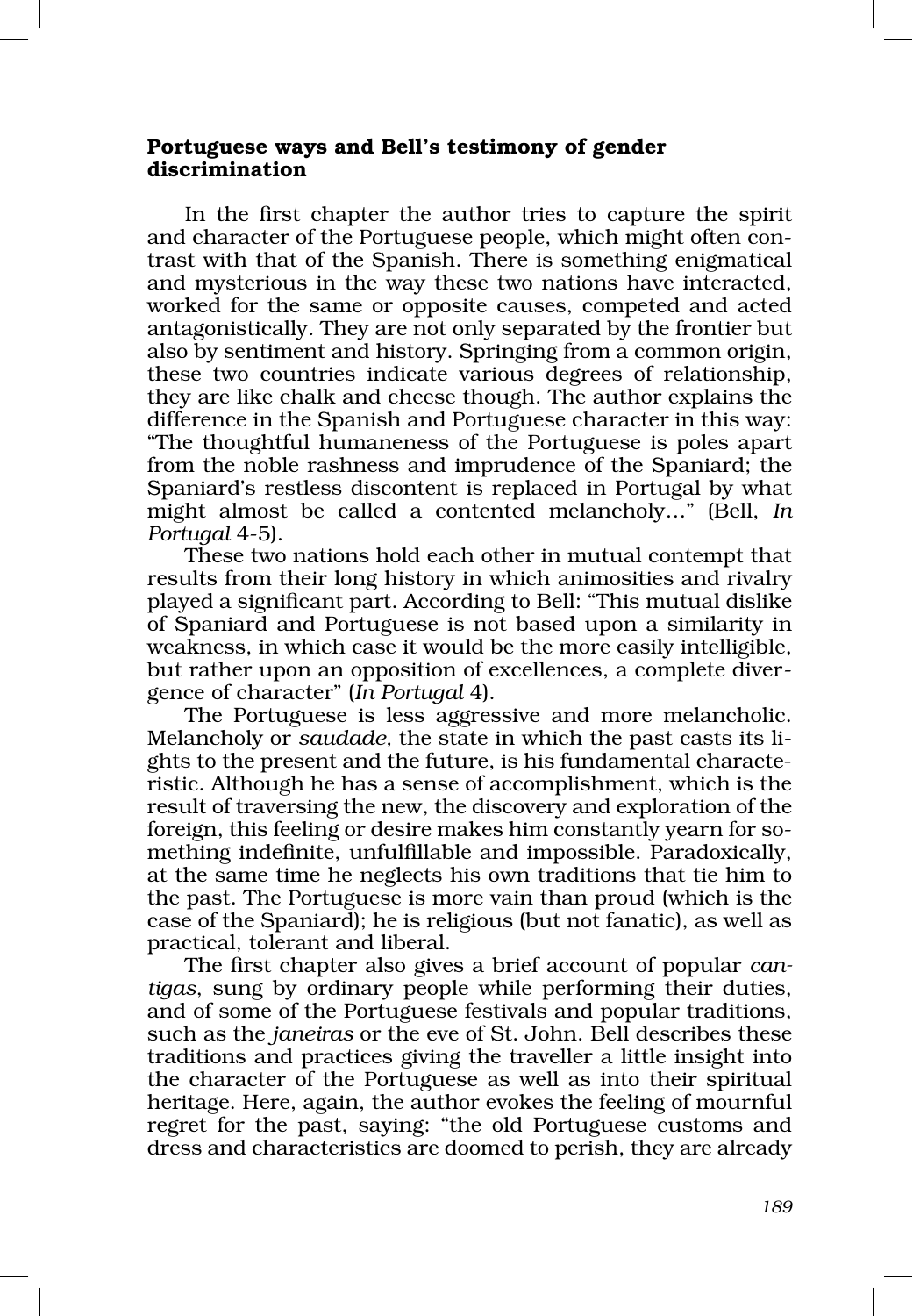## Portuguese ways and Bell's testimony of gender discrimination

In the first chapter the author tries to capture the spirit and character of the Portuguese people, which might often contrast with that of the Spanish. There is something enigmatical and mysterious in the way these two nations have interacted, worked for the same or opposite causes, competed and acted antagonistically. They are not only separated by the frontier but also by sentiment and history. Springing from a common origin, these two countries indicate various degrees of relationship, they are like chalk and cheese though. The author explains the difference in the Spanish and Portuguese character in this way: "The thoughtful humaneness of the Portuguese is poles apart from the noble rashness and imprudence of the Spaniard; the Spaniard's restless discontent is replaced in Portugal by what might almost be called a contented melancholy…" (Bell, *In Portugal* 4‑5).

These two nations hold each other in mutual contempt that results from their long history in which animosities and rivalry played a significant part. According to Bell: "This mutual dislike of Spaniard and Portuguese is not based upon a similarity in weakness, in which case it would be the more easily intelligible, but rather upon an opposition of excellences, a complete diver gence of character" (*In Portugal* 4).

The Portuguese is less aggressive and more melancholic. Melancholy or *saudade*, the state in which the past casts its lights to the present and the future, is his fundamental characte‑ ristic. Although he has a sense of accomplishment, which is the result of traversing the new, the discovery and exploration of the foreign, this feeling or desire makes him constantly yearn for something indefinite, unfulfillable and impossible. Paradoxically, at the same time he neglects his own traditions that tie him to the past. The Portuguese is more vain than proud (which is the case of the Spaniard); he is religious (but not fanatic), as well as practical, tolerant and liberal.

The first chapter also gives a brief account of popular *can‑ tigas*, sung by ordinary people while performing their duties, and of some of the Portuguese festivals and popular traditions, such as the *janeiras* or the eve of St. John. Bell describes these traditions and practices giving the traveller a little insight into the character of the Portuguese as well as into their spiritual heritage. Here, again, the author evokes the feeling of mournful regret for the past, saying: "the old Portuguese customs and dress and characteristics are doomed to perish, they are already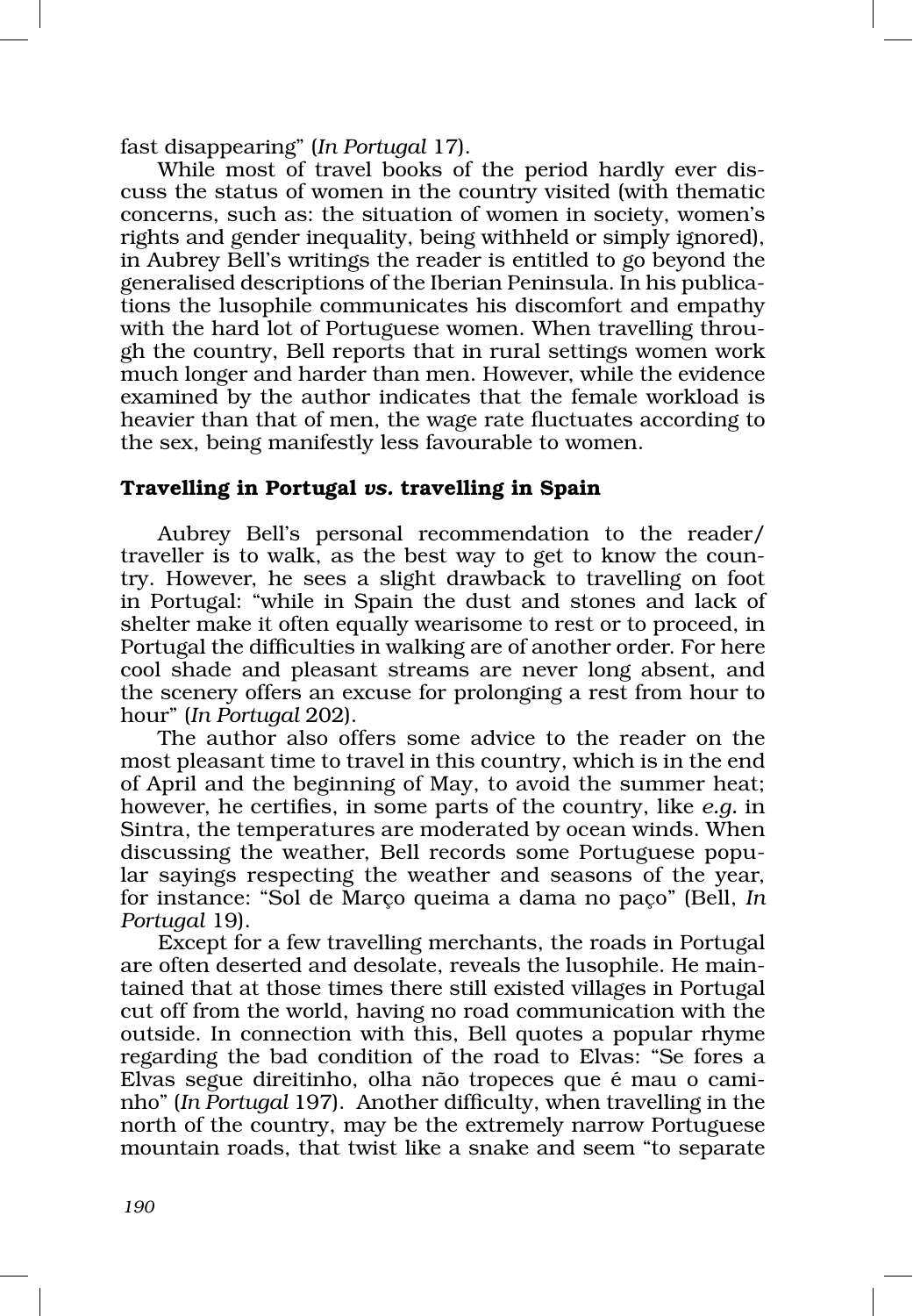fast disappearing" (*In Portugal* 17).

While most of travel books of the period hardly ever discuss the status of women in the country visited (with thematic concerns, such as: the situation of women in society, women's rights and gender inequality, being withheld or simply ignored), in Aubrey Bell's writings the reader is entitled to go beyond the generalised descriptions of the Iberian Peninsula. In his publications the lusophile communicates his discomfort and empathy with the hard lot of Portuguese women. When travelling throu gh the country, Bell reports that in rural settings women work much longer and harder than men. However, while the evidence examined by the author indicates that the female workload is heavier than that of men, the wage rate fluctuates according to the sex, being manifestly less favourable to women.

## Travelling in Portugal *vs.* travelling in Spain

Aubrey Bell's personal recommendation to the reader/ traveller is to walk, as the best way to get to know the country. However, he sees a slight drawback to travelling on foot in Portugal: "while in Spain the dust and stones and lack of shelter make it often equally wearisome to rest or to proceed, in Portugal the difficulties in walking are of another order. For here cool shade and pleasant streams are never long absent, and the scenery offers an excuse for prolonging a rest from hour to hour" (*In Portugal* 202).

The author also offers some advice to the reader on the most pleasant time to travel in this country, which is in the end of April and the beginning of May, to avoid the summer heat; however, he certifies, in some parts of the country, like *e.g.* in Sintra, the temperatures are moderated by ocean winds. When discussing the weather, Bell records some Portuguese popular sayings respecting the weather and seasons of the year, for instance: "Sol de Março queima a dama no paço" (Bell, *In Portugal* 19).

Except for a few travelling merchants, the roads in Portugal are often deserted and desolate, reveals the lusophile. He main‑ tained that at those times there still existed villages in Portugal cut off from the world, having no road communication with the outside. In connection with this, Bell quotes a popular rhyme regarding the bad condition of the road to Elvas: "Se fores a Elvas segue direitinho, olha não tropeces que é mau o cami nho" (*In Portugal* 197). Another difficulty, when travelling in the north of the country, may be the extremely narrow Portuguese mountain roads, that twist like a snake and seem "to separate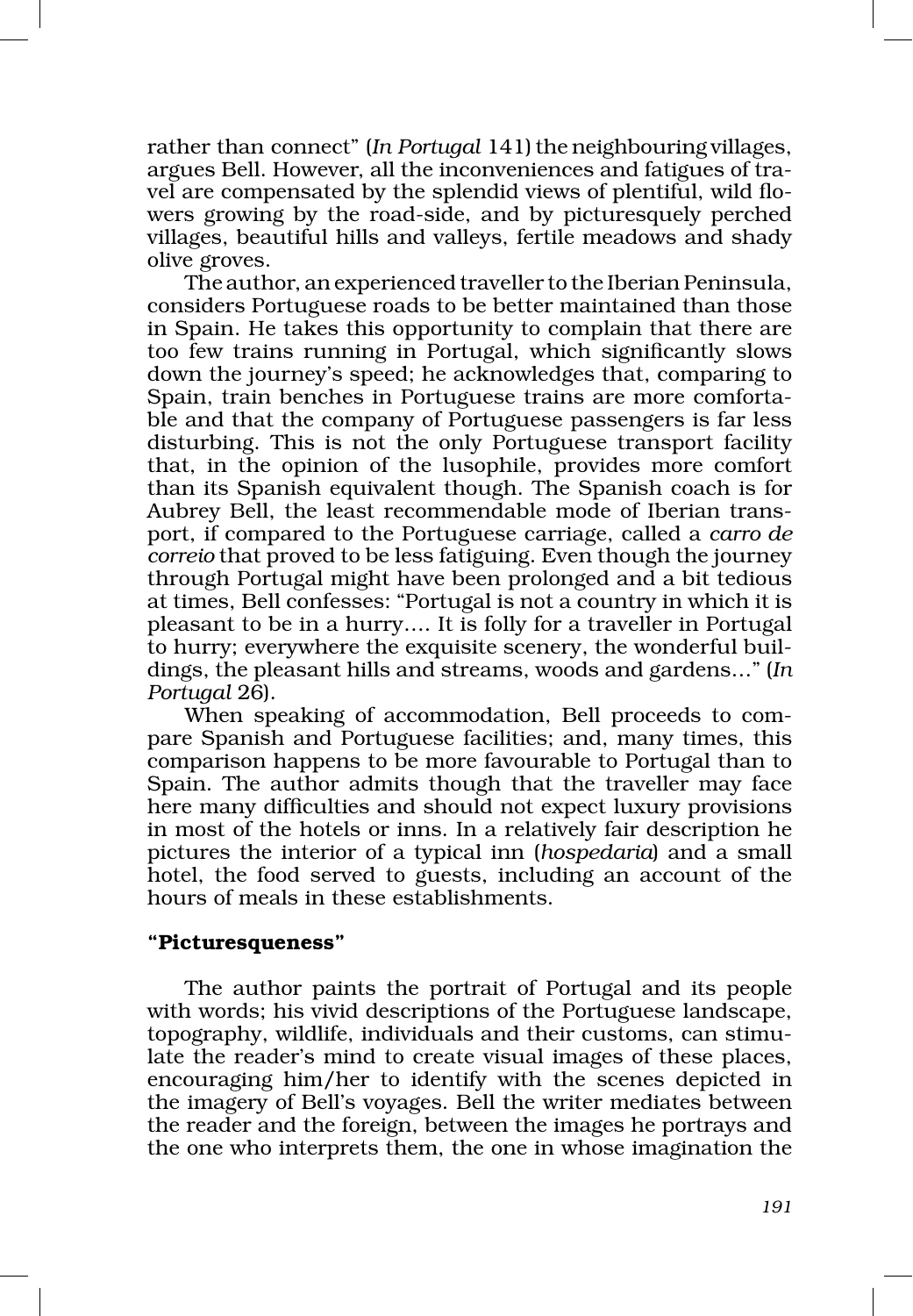rather than connect" (*In Portugal* 141) the neighbouring villages, argues Bell. However, all the inconveniences and fatigues of tra‑ vel are compensated by the splendid views of plentiful, wild flowers growing by the road‑side, and by picturesquely perched villages, beautiful hills and valleys, fertile meadows and shady olive groves.

The author, an experienced traveller to the Iberian Peninsula, considers Portuguese roads to be better maintained than those in Spain. He takes this opportunity to complain that there are too few trains running in Portugal, which significantly slows down the journey's speed; he acknowledges that, comparing to Spain, train benches in Portuguese trains are more comfortable and that the company of Portuguese passengers is far less disturbing. This is not the only Portuguese transport facility that, in the opinion of the lusophile, provides more comfort than its Spanish equivalent though. The Spanish coach is for Aubrey Bell, the least recommendable mode of Iberian trans‑ port, if compared to the Portuguese carriage, called a *carro de correio* that proved to be less fatiguing. Even though the journey through Portugal might have been prolonged and a bit tedious at times, Bell confesses: "Portugal is not a country in which it is pleasant to be in a hurry…. It is folly for a traveller in Portugal to hurry; everywhere the exquisite scenery, the wonderful buildings, the pleasant hills and streams, woods and gardens…" (*In Portugal* 26).

When speaking of accommodation, Bell proceeds to compare Spanish and Portuguese facilities; and, many times, this comparison happens to be more favourable to Portugal than to Spain. The author admits though that the traveller may face here many difficulties and should not expect luxury provisions in most of the hotels or inns. In a relatively fair description he pictures the interior of a typical inn (*hospedaria*) and a small hotel, the food served to guests, including an account of the hours of meals in these establishments.

#### "Picturesqueness"

The author paints the portrait of Portugal and its people with words; his vivid descriptions of the Portuguese landscape, topography, wildlife, individuals and their customs, can stimu‑ late the reader's mind to create visual images of these places, encouraging him/her to identify with the scenes depicted in the imagery of Bell's voyages. Bell the writer mediates between the reader and the foreign, between the images he portrays and the one who interprets them, the one in whose imagination the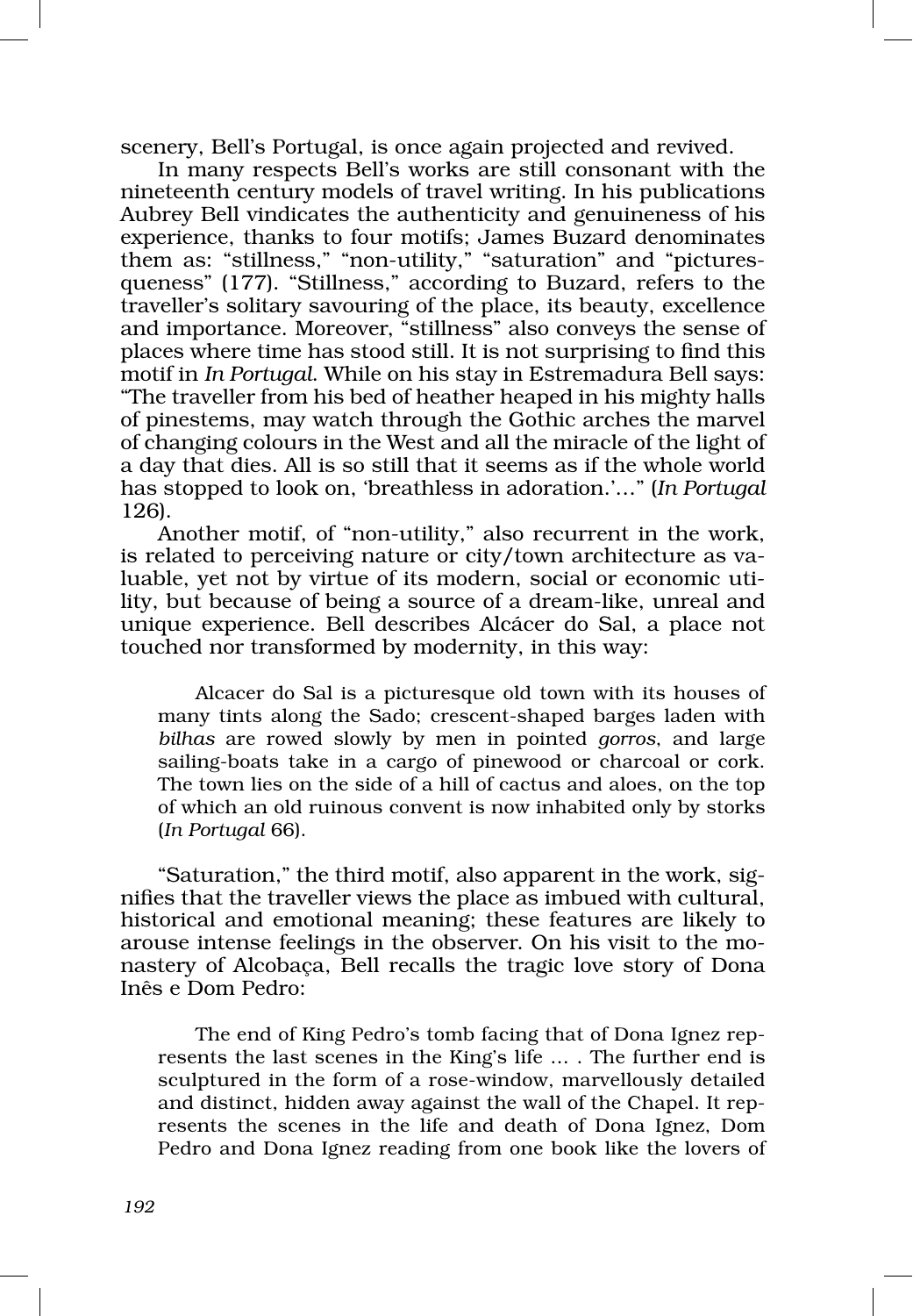scenery, Bell's Portugal, is once again projected and revived.

In many respects Bell's works are still consonant with the nineteenth century models of travel writing. In his publications Aubrey Bell vindicates the authenticity and genuineness of his experience, thanks to four motifs; James Buzard denominates them as: "stillness," "non-utility," "saturation" and "picturesqueness" (177). "Stillness," according to Buzard, refers to the traveller's solitary savouring of the place, its beauty, excellence and importance. Moreover, "stillness" also conveys the sense of places where time has stood still. It is not surprising to find this motif in *In Portugal*. While on his stay in Estremadura Bell says: "The traveller from his bed of heather heaped in his mighty halls of pinestems, may watch through the Gothic arches the marvel of changing colours in the West and all the miracle of the light of a day that dies. All is so still that it seems as if the whole world has stopped to look on, 'breathless in adoration.'…" (*In Portugal* 126).

Another motif, of "non-utility," also recurrent in the work, is related to perceiving nature or city/town architecture as valuable, yet not by virtue of its modern, social or economic utility, but because of being a source of a dream‑like, unreal and unique experience. Bell describes Alcácer do Sal, a place not touched nor transformed by modernity, in this way:

Alcacer do Sal is a picturesque old town with its houses of many tints along the Sado; crescent‑shaped barges laden with *bilhas* are rowed slowly by men in pointed *gorros*, and large sailing-boats take in a cargo of pinewood or charcoal or cork. The town lies on the side of a hill of cactus and aloes, on the top of which an old ruinous convent is now inhabited only by storks (*In Portugal* 66).

"Saturation," the third motif, also apparent in the work, signifies that the traveller views the place as imbued with cultural, historical and emotional meaning; these features are likely to arouse intense feelings in the observer. On his visit to the monastery of Alcobaça, Bell recalls the tragic love story of Dona Inês e Dom Pedro:

The end of King Pedro's tomb facing that of Dona Ignez represents the last scenes in the King's life … . The further end is sculptured in the form of a rose‑window, marvellously detailed and distinct, hidden away against the wall of the Chapel. It represents the scenes in the life and death of Dona Ignez, Dom Pedro and Dona Ignez reading from one book like the lovers of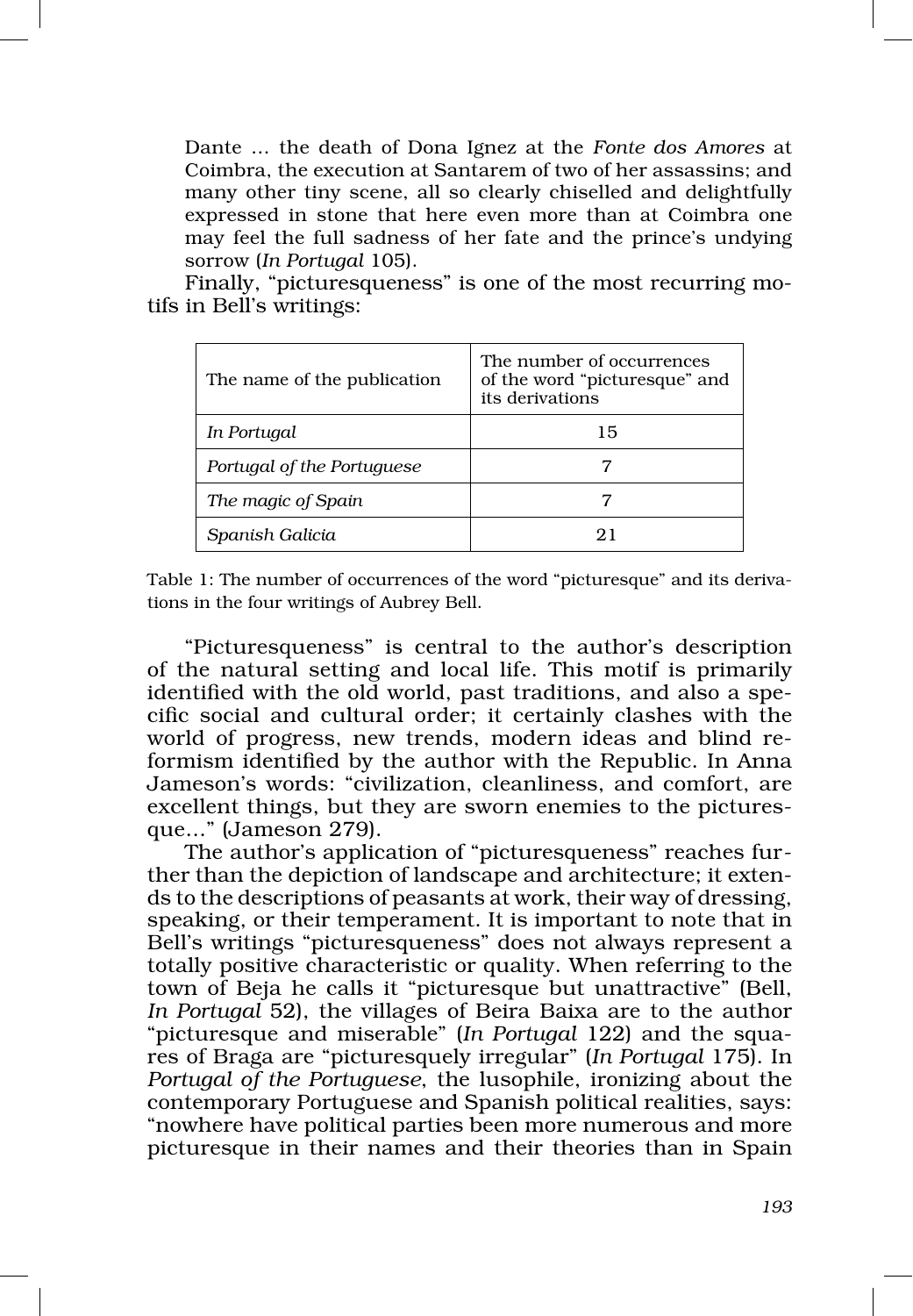Dante … the death of Dona Ignez at the *Fonte dos Amores* at Coimbra, the execution at Santarem of two of her assassins; and many other tiny scene, all so clearly chiselled and delightfully expressed in stone that here even more than at Coimbra one may feel the full sadness of her fate and the prince's undying sorrow (*In Portugal* 105).

Finally, "picturesqueness" is one of the most recurring motifs in Bell's writings:

| The name of the publication | The number of occurrences<br>of the word "picturesque" and<br>its derivations |
|-----------------------------|-------------------------------------------------------------------------------|
| In Portugal                 | 15                                                                            |
| Portugal of the Portuguese  |                                                                               |
| The magic of Spain          |                                                                               |
| Spanish Galicia             | 21                                                                            |

Table 1: The number of occurrences of the word "picturesque" and its derivations in the four writings of Aubrey Bell.

"Picturesqueness" is central to the author's description of the natural setting and local life. This motif is primarily identified with the old world, past traditions, and also a specific social and cultural order; it certainly clashes with the world of progress, new trends, modern ideas and blind reformism identified by the author with the Republic. In Anna Jameson's words: "civilization, cleanliness, and comfort, are excellent things, but they are sworn enemies to the picturesque…" (Jameson 279).

The author's application of "picturesqueness" reaches further than the depiction of landscape and architecture; it extends to the descriptions of peasants at work, their way of dressing, speaking, or their temperament. It is important to note that in Bell's writings "picturesqueness" does not always represent a totally positive characteristic or quality. When referring to the town of Beja he calls it "picturesque but unattractive" (Bell, *In Portugal* 52), the villages of Beira Baixa are to the author "picturesque and miserable" (*In Portugal* 122) and the squa‑ res of Braga are "picturesquely irregular" (*In Portugal* 175). In *Portugal of the Portuguese*, the lusophile, ironizing about the contemporary Portuguese and Spanish political realities, says: "nowhere have political parties been more numerous and more picturesque in their names and their theories than in Spain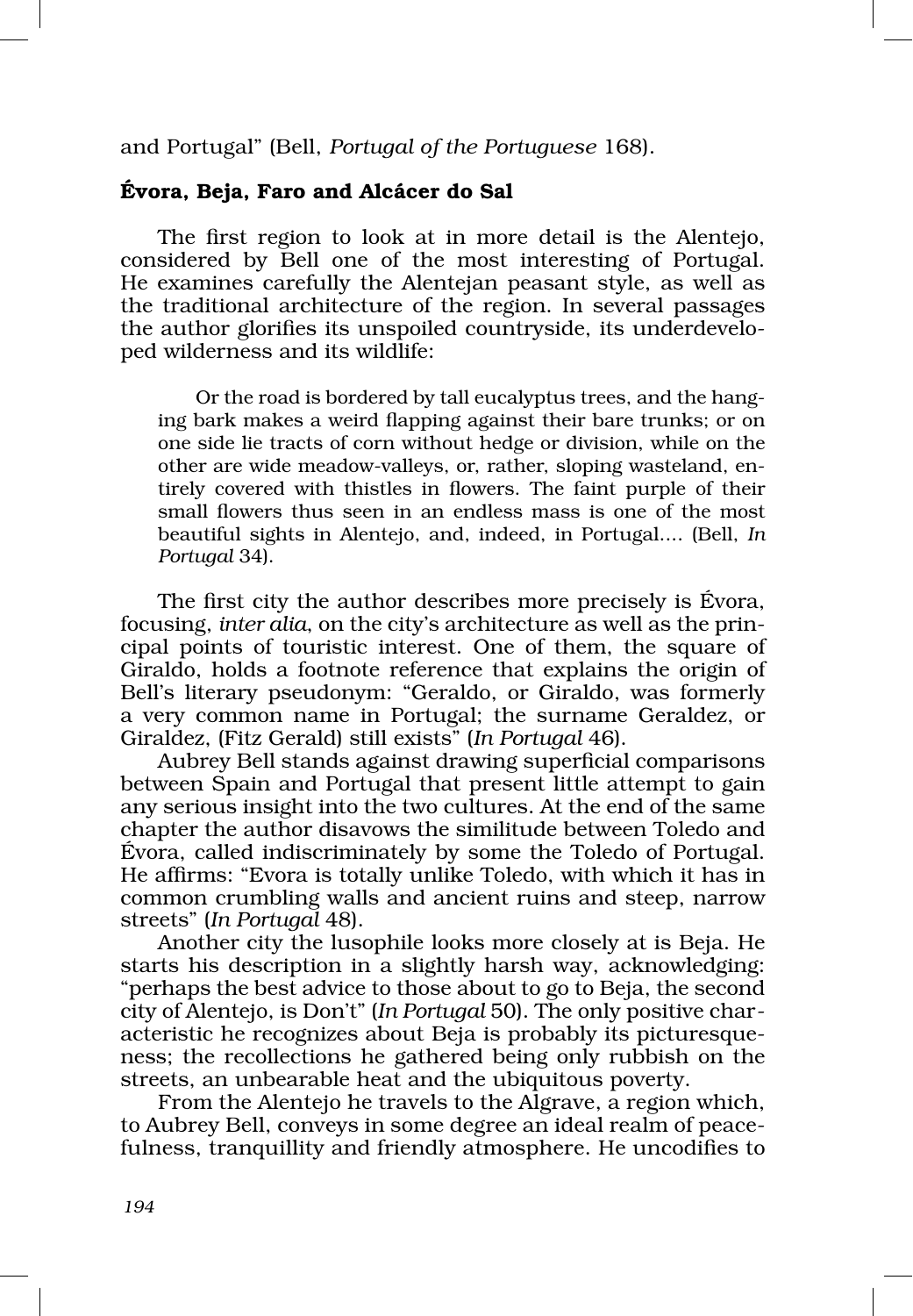and Portugal" (Bell, *Portugal of the Portuguese* 168).

## Évora, Beja, Faro and Alcácer do Sal

The first region to look at in more detail is the Alentejo, considered by Bell one of the most interesting of Portugal. He examines carefully the Alentejan peasant style, as well as the traditional architecture of the region. In several passages the author glorifies its unspoiled countryside, its underdeveloped wilderness and its wildlife:

Or the road is bordered by tall eucalyptus trees, and the hanging bark makes a weird flapping against their bare trunks; or on one side lie tracts of corn without hedge or division, while on the other are wide meadow-valleys, or, rather, sloping wasteland, entirely covered with thistles in flowers. The faint purple of their small flowers thus seen in an endless mass is one of the most beautiful sights in Alentejo, and, indeed, in Portugal.... (Bell, *In Portugal* 34).

The first city the author describes more precisely is Évora, focusing, *inter alia*, on the city's architecture as well as the principal points of touristic interest. One of them, the square of Giraldo, holds a footnote reference that explains the origin of Bell's literary pseudonym: "Geraldo, or Giraldo, was formerly a very common name in Portugal; the surname Geraldez, or Giraldez, (Fitz Gerald) still exists" (*In Portugal* 46).

Aubrey Bell stands against drawing superficial comparisons between Spain and Portugal that present little attempt to gain any serious insight into the two cultures. At the end of the same chapter the author disavows the similitude between Toledo and Évora, called indiscriminately by some the Toledo of Portugal. He affirms: "Evora is totally unlike Toledo, with which it has in common crumbling walls and ancient ruins and steep, narrow streets" (*In Portugal* 48).

Another city the lusophile looks more closely at is Beja. He starts his description in a slightly harsh way, acknowledging: "perhaps the best advice to those about to go to Beja, the second city of Alentejo, is Don't" (*In Portugal* 50). The only positive char‑ acteristic he recognizes about Beja is probably its picturesque‑ ness; the recollections he gathered being only rubbish on the streets, an unbearable heat and the ubiquitous poverty.

From the Alentejo he travels to the Algrave, a region which, to Aubrey Bell, conveys in some degree an ideal realm of peace‑ fulness, tranquillity and friendly atmosphere. He uncodifies to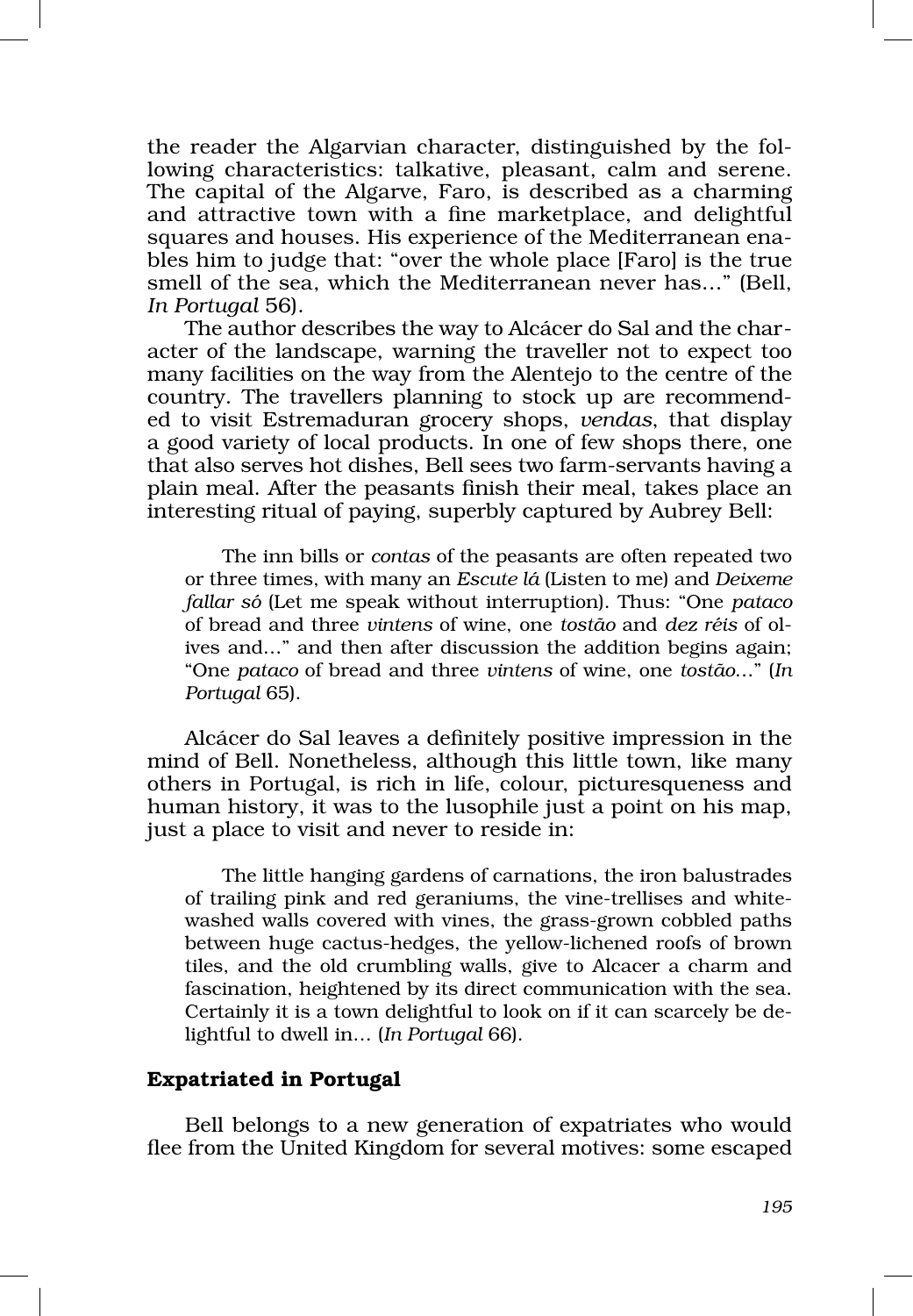the reader the Algarvian character, distinguished by the fol‑ lowing characteristics: talkative, pleasant, calm and serene. The capital of the Algarve, Faro, is described as a charming and attractive town with a fine marketplace, and delightful squares and houses. His experience of the Mediterranean ena‑ bles him to judge that: "over the whole place [Faro] is the true smell of the sea, which the Mediterranean never has…" (Bell, *In Portugal* 56).

The author describes the way to Alcácer do Sal and the character of the landscape, warning the traveller not to expect too many facilities on the way from the Alentejo to the centre of the country. The travellers planning to stock up are recommended to visit Estremaduran grocery shops, *vendas*, that display a good variety of local products. In one of few shops there, one that also serves hot dishes, Bell sees two farm‑servants having a plain meal. After the peasants finish their meal, takes place an interesting ritual of paying, superbly captured by Aubrey Bell:

The inn bills or *contas* of the peasants are often repeated two or three times, with many an *Escute lá* (Listen to me) and *Deixeme fallar só* (Let me speak without interruption). Thus: "One *pataco* of bread and three *vintens* of wine, one *tostão* and *dez réis* of ol‑ ives and…" and then after discussion the addition begins again; "One *pataco* of bread and three *vintens* of wine, one *tostão*…" (*In Portugal* 65).

Alcácer do Sal leaves a definitely positive impression in the mind of Bell. Nonetheless, although this little town, like many others in Portugal, is rich in life, colour, picturesqueness and human history, it was to the lusophile just a point on his map, just a place to visit and never to reside in:

The little hanging gardens of carnations, the iron balustrades of trailing pink and red geraniums, the vine-trellises and white– washed walls covered with vines, the grass‑grown cobbled paths between huge cactus‑hedges, the yellow‑lichened roofs of brown tiles, and the old crumbling walls, give to Alcacer a charm and fascination, heightened by its direct communication with the sea. Certainly it is a town delightful to look on if it can scarcely be de‑ lightful to dwell in… (*In Portugal* 66).

## Expatriated in Portugal

Bell belongs to a new generation of expatriates who would flee from the United Kingdom for several motives: some escaped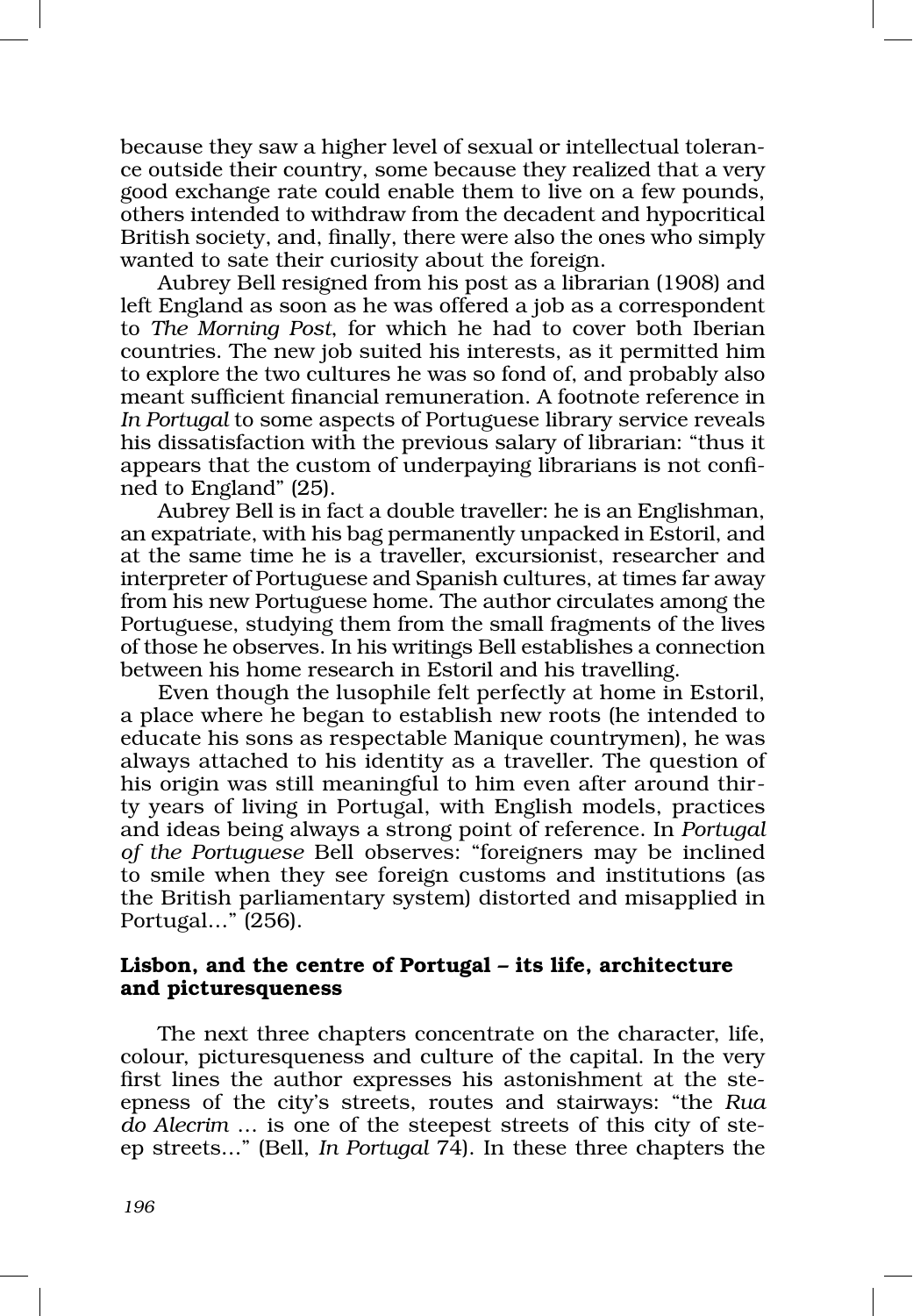because they saw a higher level of sexual or intellectual toleran‑ ce outside their country, some because they realized that a very good exchange rate could enable them to live on a few pounds, others intended to withdraw from the decadent and hypocritical British society, and, finally, there were also the ones who simply wanted to sate their curiosity about the foreign.

Aubrey Bell resigned from his post as a librarian (1908) and left England as soon as he was offered a job as a correspondent to *The Morning Post*, for which he had to cover both Iberian countries. The new job suited his interests, as it permitted him to explore the two cultures he was so fond of, and probably also meant sufficient financial remuneration. A footnote reference in *In Portugal* to some aspects of Portuguese library service reveals his dissatisfaction with the previous salary of librarian: "thus it appears that the custom of underpaying librarians is not confined to England" (25).

Aubrey Bell is in fact a double traveller: he is an Englishman, an expatriate, with his bag permanently unpacked in Estoril, and at the same time he is a traveller, excursionist, researcher and interpreter of Portuguese and Spanish cultures, at times far away from his new Portuguese home. The author circulates among the Portuguese, studying them from the small fragments of the lives of those he observes. In his writings Bell establishes a connection between his home research in Estoril and his travelling.

Even though the lusophile felt perfectly at home in Estoril, a place where he began to establish new roots (he intended to educate his sons as respectable Manique countrymen), he was always attached to his identity as a traveller. The question of his origin was still meaningful to him even after around thirty years of living in Portugal, with English models, practices and ideas being always a strong point of reference. In *Portugal of the Portuguese* Bell observes: "foreigners may be inclined to smile when they see foreign customs and institutions (as the British parliamentary system) distorted and misapplied in Portugal…" (256).

# Lisbon, and the centre of Portugal – its life, architecture and picturesqueness

The next three chapters concentrate on the character, life, colour, picturesqueness and culture of the capital. In the very first lines the author expresses his astonishment at the steepness of the city's streets, routes and stairways: "the *Rua*  do Alecrim ... is one of the steepest streets of this city of steep streets…" (Bell, *In Portugal* 74). In these three chapters the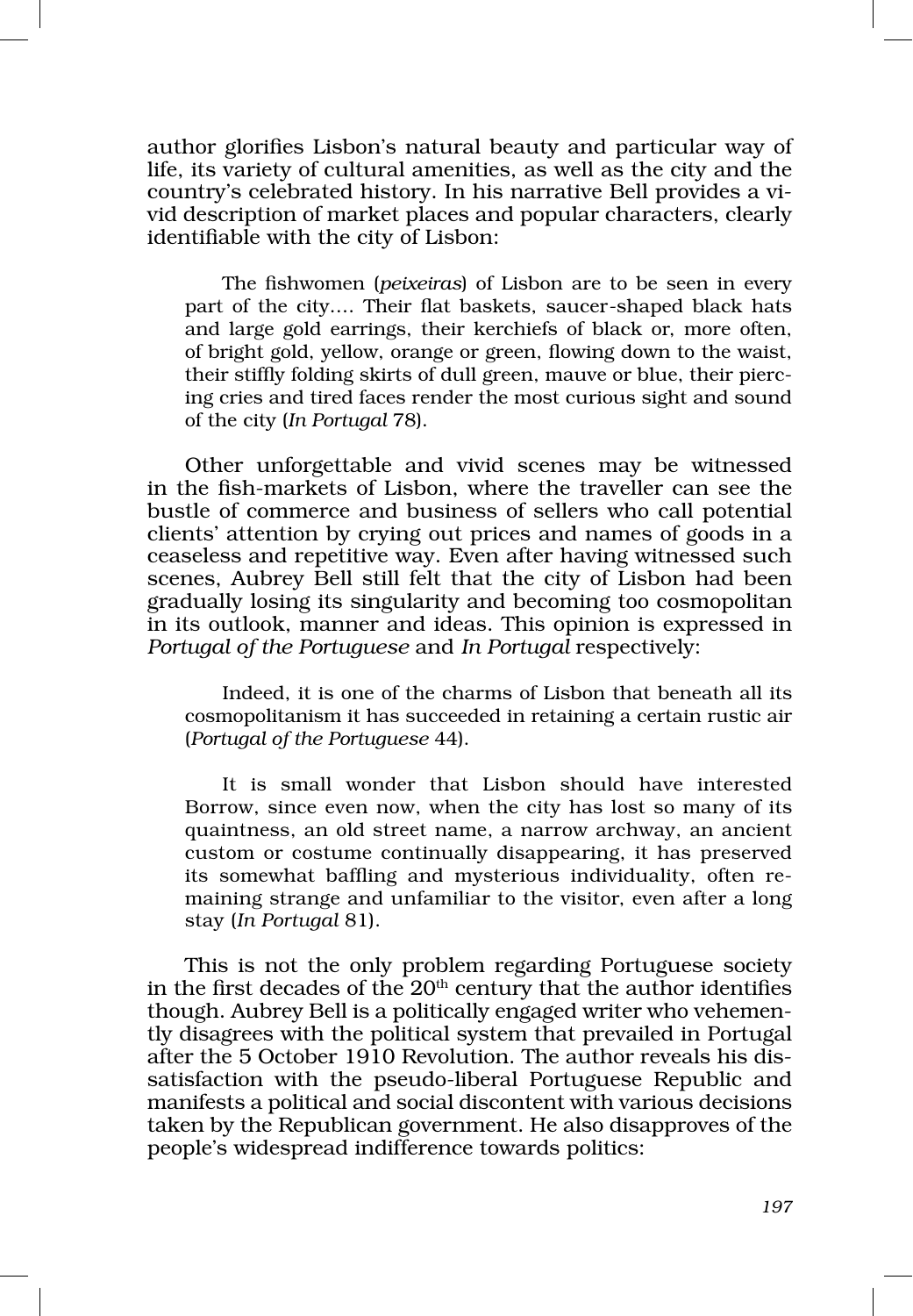author glorifies Lisbon's natural beauty and particular way of life, its variety of cultural amenities, as well as the city and the country's celebrated history. In his narrative Bell provides a vivid description of market places and popular characters, clearly identifiable with the city of Lisbon:

The fishwomen (*peixeiras*) of Lisbon are to be seen in every part of the city.... Their flat baskets, saucer-shaped black hats and large gold earrings, their kerchiefs of black or, more often, of bright gold, yellow, orange or green, flowing down to the waist, their stiffly folding skirts of dull green, mauve or blue, their piercing cries and tired faces render the most curious sight and sound of the city (*In Portugal* 78).

Other unforgettable and vivid scenes may be witnessed in the fish‑markets of Lisbon, where the traveller can see the bustle of commerce and business of sellers who call potential clients' attention by crying out prices and names of goods in a ceaseless and repetitive way. Even after having witnessed such scenes, Aubrey Bell still felt that the city of Lisbon had been gradually losing its singularity and becoming too cosmopolitan in its outlook, manner and ideas. This opinion is expressed in *Portugal of the Portuguese* and *In Portugal respectively:* 

Indeed, it is one of the charms of Lisbon that beneath all its cosmopolitanism it has succeeded in retaining a certain rustic air (*Portugal of the Portuguese* 44).

It is small wonder that Lisbon should have interested Borrow, since even now, when the city has lost so many of its quaintness, an old street name, a narrow archway, an ancient custom or costume continually disappearing, it has preserved its somewhat baffling and mysterious individuality, often re‑ maining strange and unfamiliar to the visitor, even after a long stay (*In Portugal* 81).

This is not the only problem regarding Portuguese society in the first decades of the  $20<sup>th</sup>$  century that the author identifies though. Aubrey Bell is a politically engaged writer who vehemently disagrees with the political system that prevailed in Portugal after the 5 October 1910 Revolution. The author reveals his dis‑ satisfaction with the pseudo-liberal Portuguese Republic and manifests a political and social discontent with various decisions taken by the Republican government. He also disapproves of the people's widespread indifference towards politics: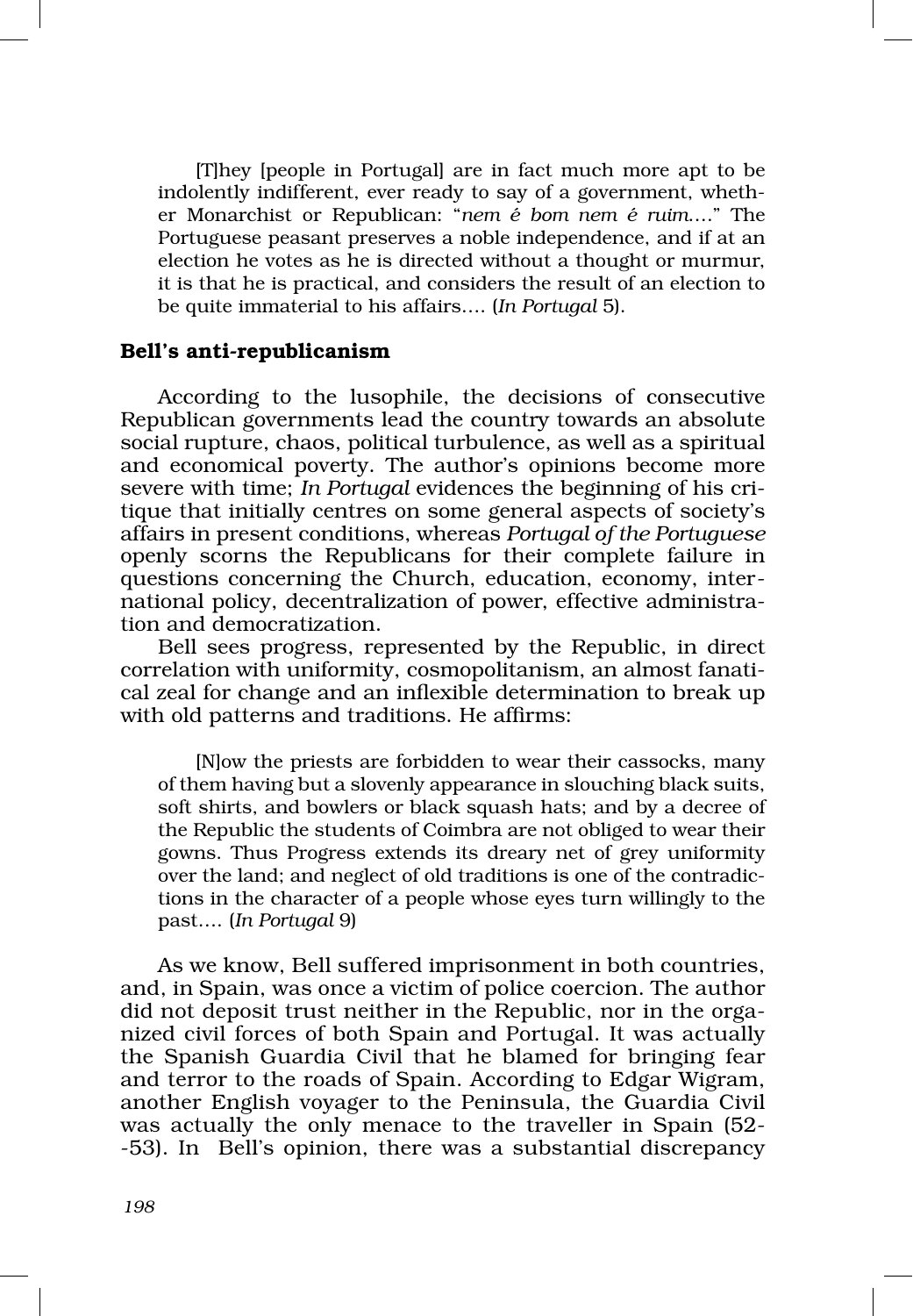[T]hey [people in Portugal] are in fact much more apt to be indolently indifferent, ever ready to say of a government, whether Monarchist or Republican: "*nem é bom nem é ruim*…." The Portuguese peasant preserves a noble independence, and if at an election he votes as he is directed without a thought or murmur, it is that he is practical, and considers the result of an election to be quite immaterial to his affairs…. (*In Portugal* 5).

#### Bell's anti‑republicanism

According to the lusophile, the decisions of consecutive Republican governments lead the country towards an absolute social rupture, chaos, political turbulence, as well as a spiritual and economical poverty. The author's opinions become more severe with time; *In Portugal* evidences the beginning of his critique that initially centres on some general aspects of society's affairs in present conditions, whereas *Portugal of the Portuguese* openly scorns the Republicans for their complete failure in questions concerning the Church, education, economy, international policy, decentralization of power, effective administration and democratization.

Bell sees progress, represented by the Republic, in direct correlation with uniformity, cosmopolitanism, an almost fanatical zeal for change and an inflexible determination to break up with old patterns and traditions. He affirms:

[N]ow the priests are forbidden to wear their cassocks, many of them having but a slovenly appearance in slouching black suits, soft shirts, and bowlers or black squash hats; and by a decree of the Republic the students of Coimbra are not obliged to wear their gowns. Thus Progress extends its dreary net of grey uniformity over the land; and neglect of old traditions is one of the contradictions in the character of a people whose eyes turn willingly to the past…. (*In Portugal* 9)

As we know, Bell suffered imprisonment in both countries, and, in Spain, was once a victim of police coercion. The author did not deposit trust neither in the Republic, nor in the organized civil forces of both Spain and Portugal. It was actually the Spanish Guardia Civil that he blamed for bringing fear and terror to the roads of Spain. According to Edgar Wigram, another English voyager to the Peninsula, the Guardia Civil was actually the only menace to the traveller in Spain (52– ‑53). In Bell's opinion, there was a substantial discrepancy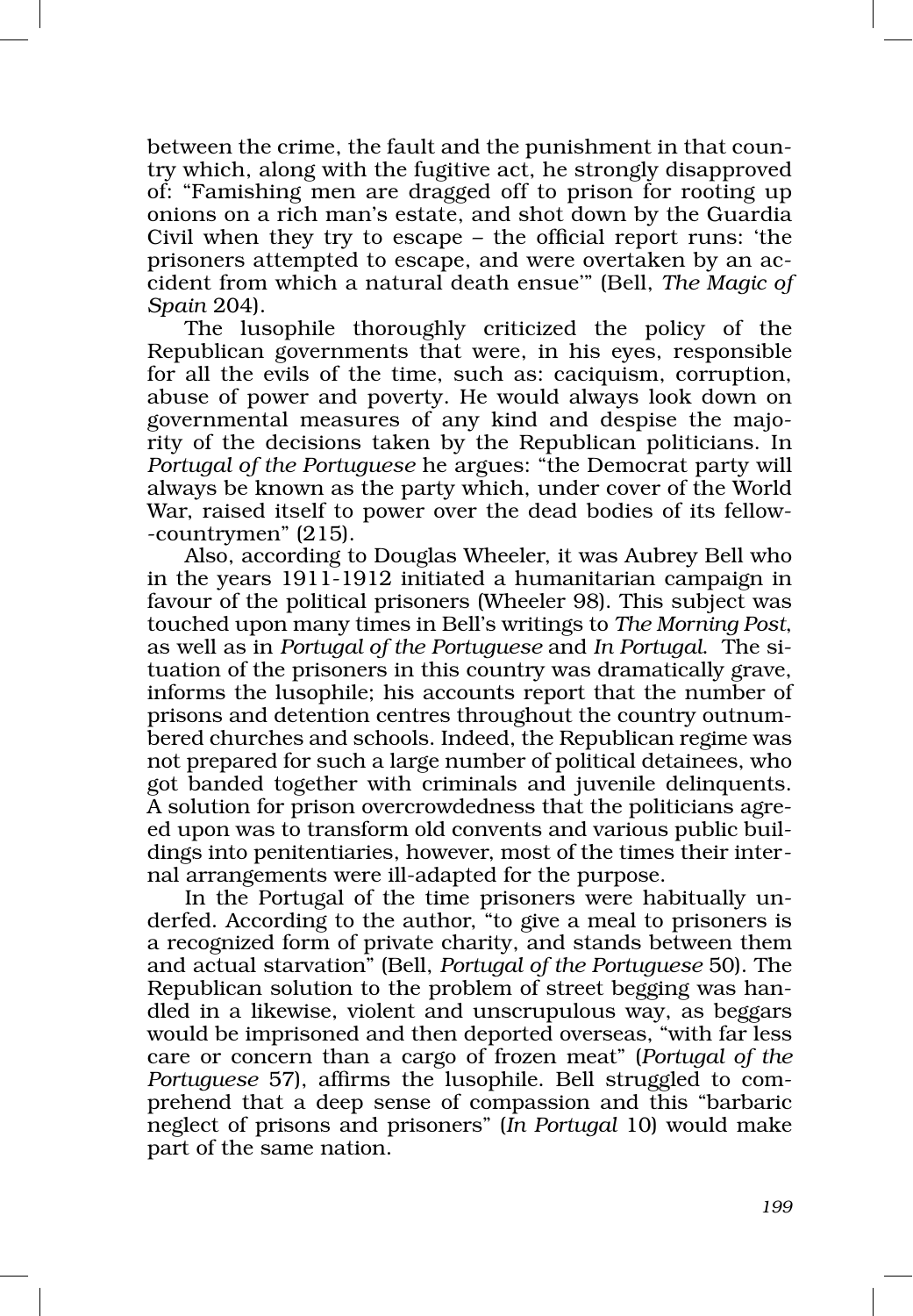between the crime, the fault and the punishment in that country which, along with the fugitive act, he strongly disapproved of: "Famishing men are dragged off to prison for rooting up onions on a rich man's estate, and shot down by the Guardia Civil when they try to escape – the official report runs: 'the prisoners attempted to escape, and were overtaken by an ac‑ cident from which a natural death ensue'" (Bell, *The Magic of Spain* 204).

The lusophile thoroughly criticized the policy of the Republican governments that were, in his eyes, responsible for all the evils of the time, such as: caciquism, corruption, abuse of power and poverty. He would always look down on governmental measures of any kind and despise the majority of the decisions taken by the Republican politicians. In *Portugal of the Portuguese* he argues: "the Democrat party will always be known as the party which, under cover of the World War, raised itself to power over the dead bodies of its fellow-‑countrymen" (215).

Also, according to Douglas Wheeler, it was Aubrey Bell who in the years 1911‑1912 initiated a humanitarian campaign in favour of the political prisoners (Wheeler 98). This subject was touched upon many times in Bell's writings to *The Morning Post*, as well as in *Portugal of the Portuguese* and *In Portugal*. The si‑ tuation of the prisoners in this country was dramatically grave, informs the lusophile; his accounts report that the number of prisons and detention centres throughout the country outnum‑ bered churches and schools. Indeed, the Republican regime was not prepared for such a large number of political detainees, who got banded together with criminals and juvenile delinquents. A solution for prison overcrowdedness that the politicians agreed upon was to transform old convents and various public buildings into penitentiaries, however, most of the times their internal arrangements were ill‑adapted for the purpose.

In the Portugal of the time prisoners were habitually underfed. According to the author, "to give a meal to prisoners is a recognized form of private charity, and stands between them and actual starvation" (Bell, *Portugal of the Portuguese* 50). The Republican solution to the problem of street begging was handled in a likewise, violent and unscrupulous way, as beggars would be imprisoned and then deported overseas, "with far less care or concern than a cargo of frozen meat" (*Portugal of the Portuguese* 57), affirms the lusophile. Bell struggled to comprehend that a deep sense of compassion and this "barbaric neglect of prisons and prisoners" (*In Portugal* 10) would make part of the same nation.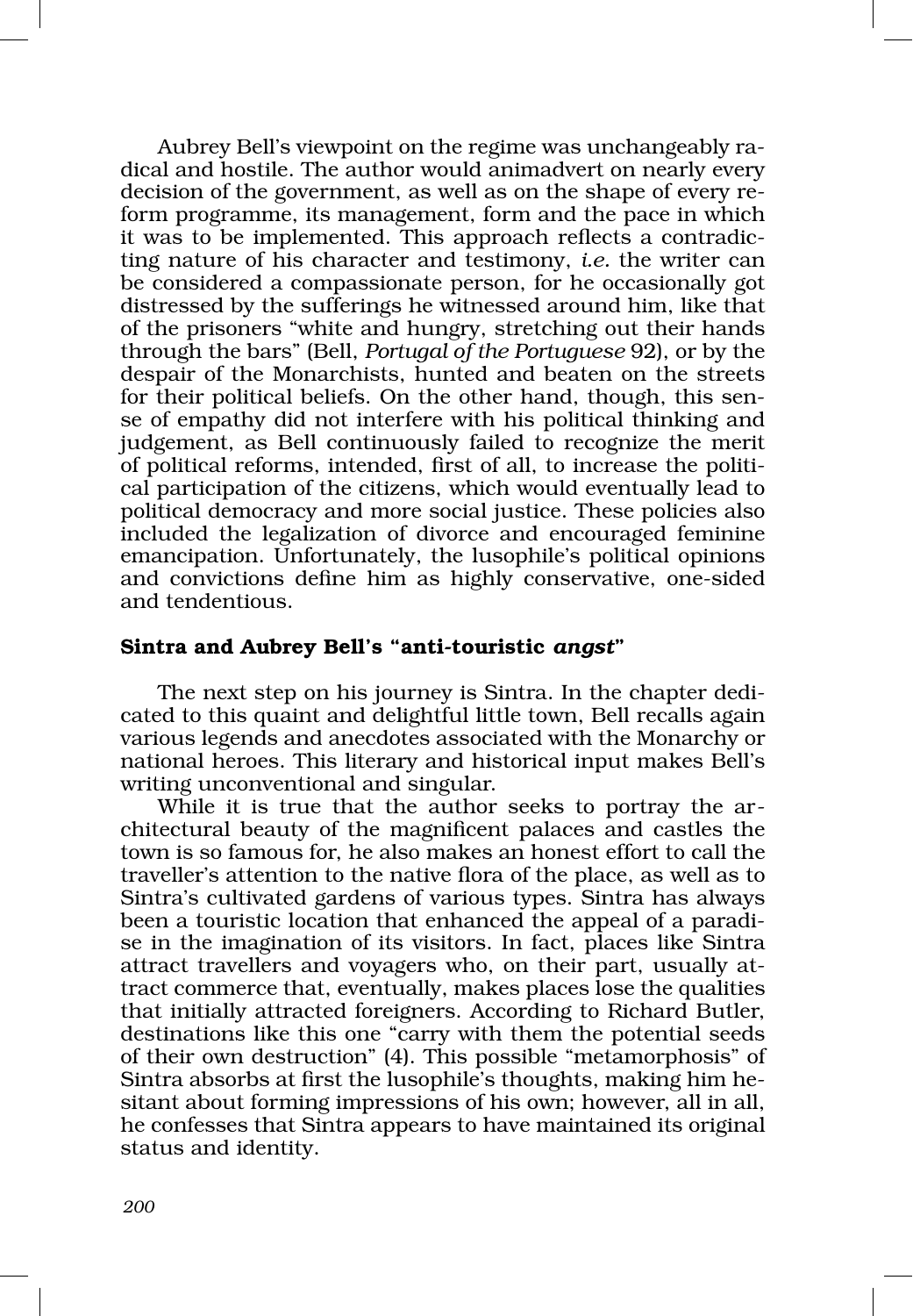Aubrey Bell's viewpoint on the regime was unchangeably radical and hostile. The author would animadvert on nearly every decision of the government, as well as on the shape of every reform programme, its management, form and the pace in which it was to be implemented. This approach reflects a contradic‑ ting nature of his character and testimony, *i.e.* the writer can be considered a compassionate person, for he occasionally got distressed by the sufferings he witnessed around him, like that of the prisoners "white and hungry, stretching out their hands through the bars" (Bell, *Portugal of the Portuguese* 92), or by the despair of the Monarchists, hunted and beaten on the streets for their political beliefs. On the other hand, though, this sense of empathy did not interfere with his political thinking and judgement, as Bell continuously failed to recognize the merit of political reforms, intended, first of all, to increase the political participation of the citizens, which would eventually lead to political democracy and more social justice. These policies also included the legalization of divorce and encouraged feminine emancipation. Unfortunately, the lusophile's political opinions and convictions define him as highly conservative, one‑sided and tendentious.

## Sintra and Aubrey Bell's "anti‑touristic *angst*"

The next step on his journey is Sintra. In the chapter dedicated to this quaint and delightful little town, Bell recalls again various legends and anecdotes associated with the Monarchy or national heroes. This literary and historical input makes Bell's writing unconventional and singular.

While it is true that the author seeks to portray the architectural beauty of the magnificent palaces and castles the town is so famous for, he also makes an honest effort to call the traveller's attention to the native flora of the place, as well as to Sintra's cultivated gardens of various types. Sintra has always been a touristic location that enhanced the appeal of a paradise in the imagination of its visitors. In fact, places like Sintra attract travellers and voyagers who, on their part, usually at‑ tract commerce that, eventually, makes places lose the qualities that initially attracted foreigners. According to Richard Butler, destinations like this one "carry with them the potential seeds of their own destruction" (4). This possible "metamorphosis" of Sintra absorbs at first the lusophile's thoughts, making him he‑ sitant about forming impressions of his own; however, all in all, he confesses that Sintra appears to have maintained its original status and identity.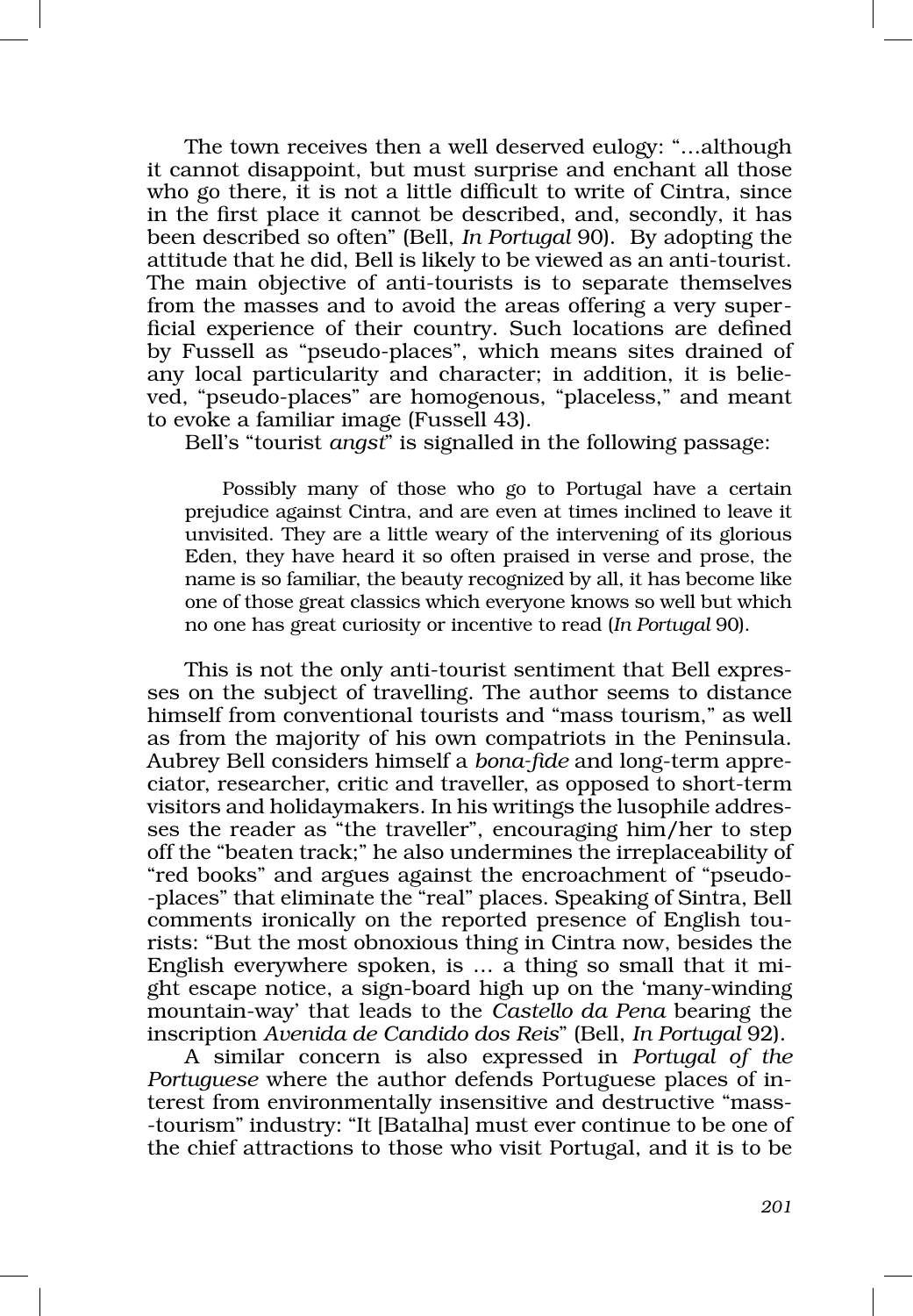The town receives then a well deserved eulogy: "…although it cannot disappoint, but must surprise and enchant all those who go there, it is not a little difficult to write of Cintra, since in the first place it cannot be described, and, secondly, it has been described so often" (Bell, *In Portugal* 90). By adopting the attitude that he did, Bell is likely to be viewed as an anti‑tourist. The main objective of anti-tourists is to separate themselves from the masses and to avoid the areas offering a very superficial experience of their country. Such locations are defined by Fussell as "pseudo‑places", which means sites drained of any local particularity and character; in addition, it is believed, "pseudo‑places" are homogenous, "placeless," and meant to evoke a familiar image (Fussell 43).

Bell's "tourist *angst*" is signalled in the following passage:

Possibly many of those who go to Portugal have a certain prejudice against Cintra, and are even at times inclined to leave it unvisited. They are a little weary of the intervening of its glorious Eden, they have heard it so often praised in verse and prose, the name is so familiar, the beauty recognized by all, it has become like one of those great classics which everyone knows so well but which no one has great curiosity or incentive to read (*In Portugal* 90).

This is not the only anti-tourist sentiment that Bell expres– ses on the subject of travelling. The author seems to distance himself from conventional tourists and "mass tourism," as well as from the majority of his own compatriots in the Peninsula. Aubrey Bell considers himself a *bona‑fide* and long‑term appre‑ ciator, researcher, critic and traveller, as opposed to short-term visitors and holidaymakers. In his writings the lusophile addres‑ ses the reader as "the traveller", encouraging him/her to step off the "beaten track;" he also undermines the irreplaceability of "red books" and argues against the encroachment of "pseudo‑ ‑places" that eliminate the "real" places. Speaking of Sintra, Bell comments ironically on the reported presence of English tourists: "But the most obnoxious thing in Cintra now, besides the English everywhere spoken, is ... a thing so small that it mi ght escape notice, a sign‑board high up on the 'many‑winding mountain‑way' that leads to the *Castello da Pena* bearing the inscription *Avenida de Candido dos Reis*" (Bell, *In Portugal* 92).

A similar concern is also expressed in *Portugal of the Portuguese* where the author defends Portuguese places of interest from environmentally insensitive and destructive "mass-‑tourism" industry: "It [Batalha] must ever continue to be one of the chief attractions to those who visit Portugal, and it is to be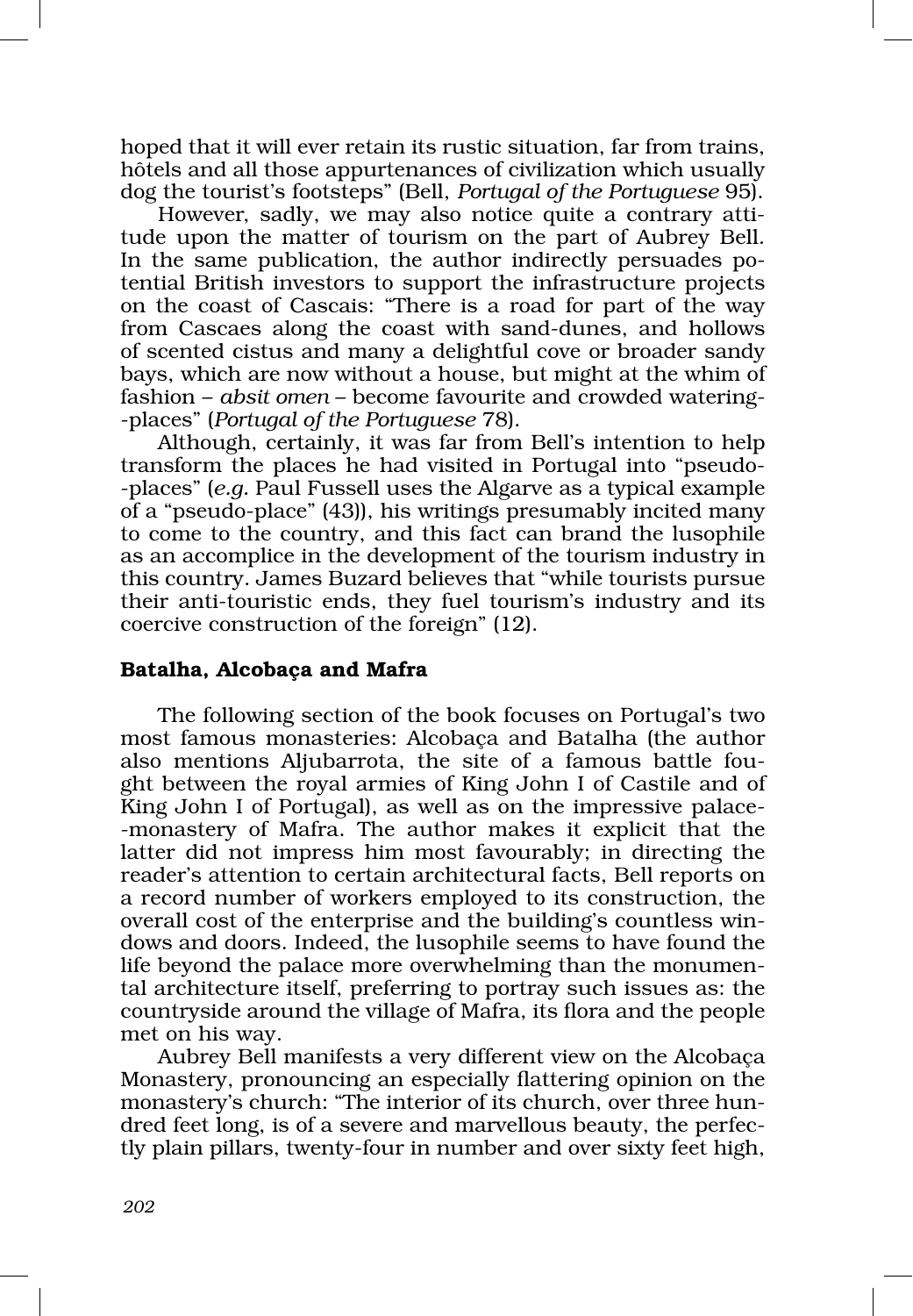hoped that it will ever retain its rustic situation, far from trains, hôtels and all those appurtenances of civilization which usually dog the tourist's footsteps" (Bell, *Portugal of the Portuguese* 95).

However, sadly, we may also notice quite a contrary attitude upon the matter of tourism on the part of Aubrey Bell. In the same publication, the author indirectly persuades potential British investors to support the infrastructure projects on the coast of Cascais: "There is a road for part of the way from Cascaes along the coast with sand‑dunes, and hollows of scented cistus and many a delightful cove or broader sandy bays, which are now without a house, but might at the whim of fashion – *absit omen* – become favourite and crowded watering-‑places" (*Portugal of the Portuguese* 78).

Although, certainly, it was far from Bell's intention to help transform the places he had visited in Portugal into "pseudo-‑places" (*e.g.* Paul Fussell uses the Algarve as a typical example of a "pseudo‑place" (43)), his writings presumably incited many to come to the country, and this fact can brand the lusophile as an accomplice in the development of the tourism industry in this country. James Buzard believes that "while tourists pursue their anti-touristic ends, they fuel tourism's industry and its coercive construction of the foreign" (12).

### Batalha, Alcobaça and Mafra

The following section of the book focuses on Portugal's two most famous monasteries: Alcobaça and Batalha (the author also mentions Aljubarrota, the site of a famous battle fought between the royal armies of King John I of Castile and of King John I of Portugal), as well as on the impressive palace-‑monastery of Mafra. The author makes it explicit that the latter did not impress him most favourably; in directing the reader's attention to certain architectural facts, Bell reports on a record number of workers employed to its construction, the overall cost of the enterprise and the building's countless win‑ dows and doors. Indeed, the lusophile seems to have found the life beyond the palace more overwhelming than the monumental architecture itself, preferring to portray such issues as: the countryside around the village of Mafra, its flora and the people met on his way.

Aubrey Bell manifests a very different view on the Alcobaça Monastery, pronouncing an especially flattering opinion on the monastery's church: "The interior of its church, over three hundred feet long, is of a severe and marvellous beauty, the perfectly plain pillars, twenty‑four in number and over sixty feet high,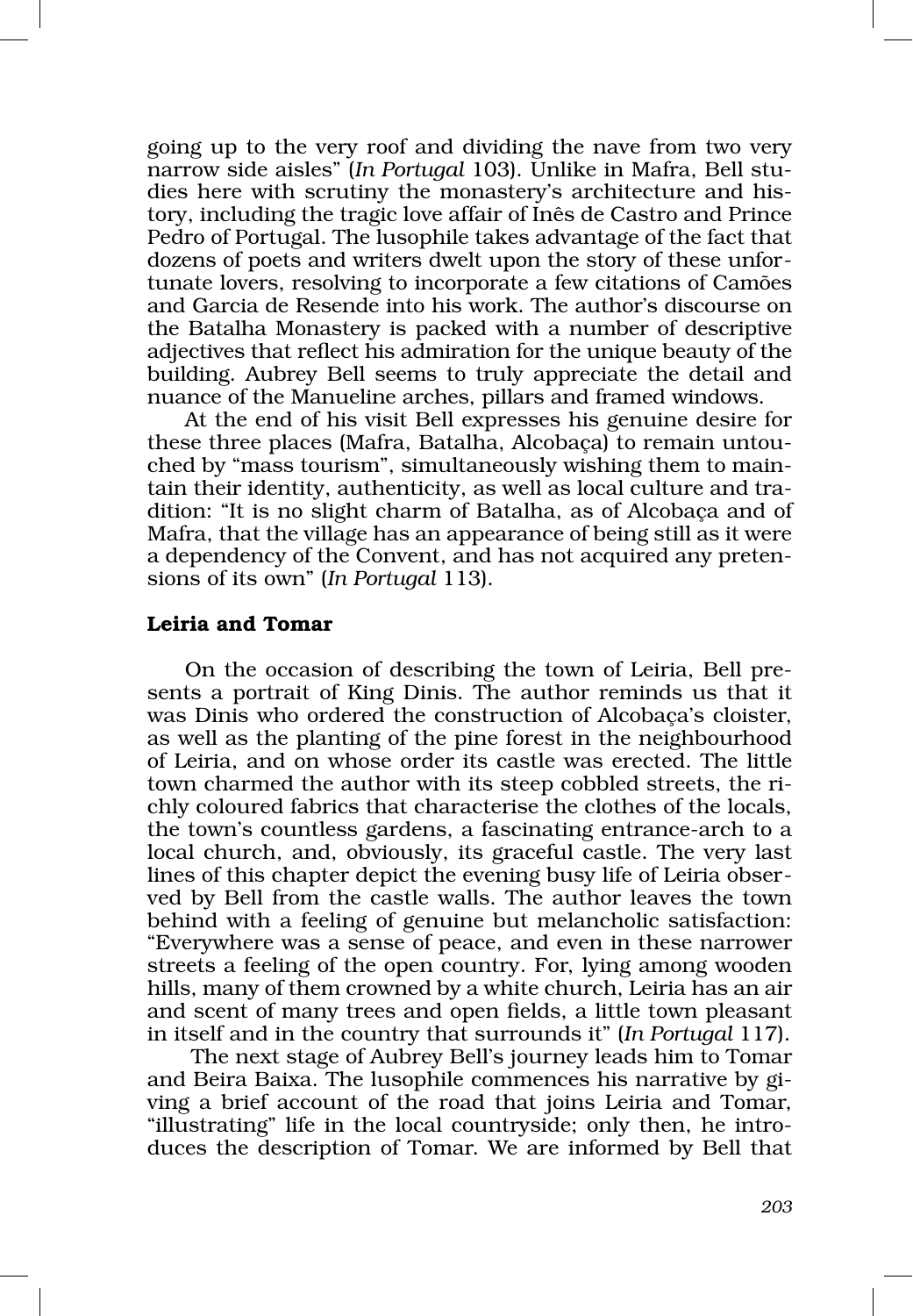going up to the very roof and dividing the nave from two very narrow side aisles" (*In Portugal 103*). Unlike in Mafra, Bell studies here with scrutiny the monastery's architecture and history, including the tragic love affair of Inês de Castro and Prince Pedro of Portugal. The lusophile takes advantage of the fact that dozens of poets and writers dwelt upon the story of these unfor‑ tunate lovers, resolving to incorporate a few citations of Camões and Garcia de Resende into his work. The author's discourse on the Batalha Monastery is packed with a number of descriptive adjectives that reflect his admiration for the unique beauty of the building. Aubrey Bell seems to truly appreciate the detail and nuance of the Manueline arches, pillars and framed windows.

At the end of his visit Bell expresses his genuine desire for these three places (Mafra, Batalha, Alcobaca) to remain untouched by "mass tourism", simultaneously wishing them to maintain their identity, authenticity, as well as local culture and tradition: "It is no slight charm of Batalha, as of Alcobaça and of Mafra, that the village has an appearance of being still as it were a dependency of the Convent, and has not acquired any pretensions of its own" (*In Portugal* 113).

### Leiria and Tomar

On the occasion of describing the town of Leiria, Bell presents a portrait of King Dinis. The author reminds us that it was Dinis who ordered the construction of Alcobaça's cloister, as well as the planting of the pine forest in the neighbourhood of Leiria, and on whose order its castle was erected. The little town charmed the author with its steep cobbled streets, the richly coloured fabrics that characterise the clothes of the locals, the town's countless gardens, a fascinating entrance‑arch to a local church, and, obviously, its graceful castle. The very last lines of this chapter depict the evening busy life of Leiria obser– ved by Bell from the castle walls. The author leaves the town behind with a feeling of genuine but melancholic satisfaction: "Everywhere was a sense of peace, and even in these narrower streets a feeling of the open country. For, lying among wooden hills, many of them crowned by a white church, Leiria has an air and scent of many trees and open fields, a little town pleasant in itself and in the country that surrounds it" (*In Portugal* 117).

 The next stage of Aubrey Bell's journey leads him to Tomar and Beira Baixa. The lusophile commences his narrative by giving a brief account of the road that joins Leiria and Tomar, "illustrating" life in the local countryside; only then, he introduces the description of Tomar. We are informed by Bell that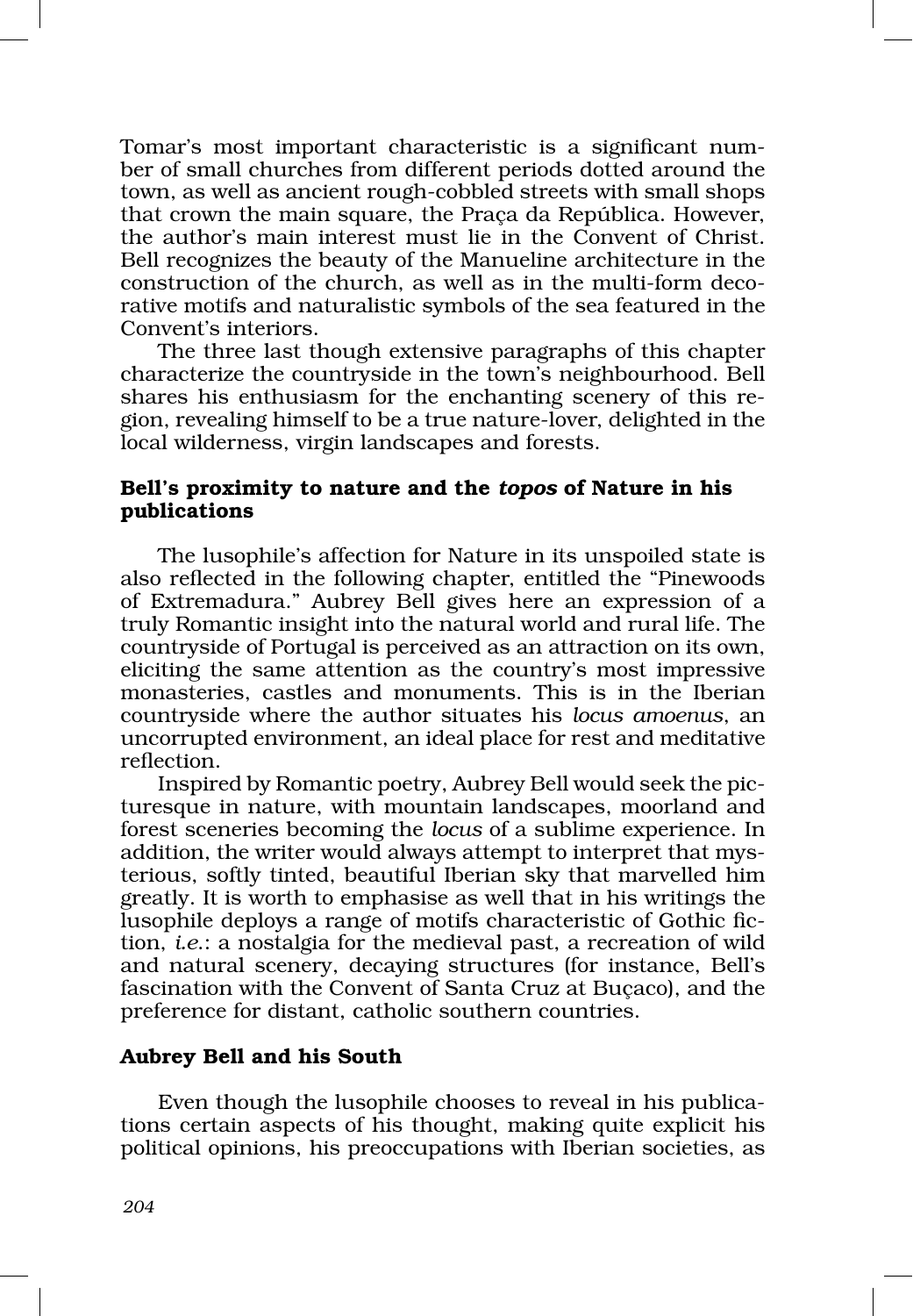Tomar's most important characteristic is a significant num‑ ber of small churches from different periods dotted around the town, as well as ancient rough‑cobbled streets with small shops that crown the main square, the Praça da República. However, the author's main interest must lie in the Convent of Christ. Bell recognizes the beauty of the Manueline architecture in the construction of the church, as well as in the multi-form decorative motifs and naturalistic symbols of the sea featured in the Convent's interiors.

The three last though extensive paragraphs of this chapter characterize the countryside in the town's neighbourhood. Bell shares his enthusiasm for the enchanting scenery of this region, revealing himself to be a true nature‑lover, delighted in the local wilderness, virgin landscapes and forests.

# Bell's proximity to nature and the *topos* of Nature in his publications

The lusophile's affection for Nature in its unspoiled state is also reflected in the following chapter, entitled the "Pinewoods of Extremadura." Aubrey Bell gives here an expression of a truly Romantic insight into the natural world and rural life. The countryside of Portugal is perceived as an attraction on its own, eliciting the same attention as the country's most impressive monasteries, castles and monuments. This is in the Iberian countryside where the author situates his *locus amoenus*, an uncorrupted environment, an ideal place for rest and meditative reflection.

Inspired by Romantic poetry, Aubrey Bell would seek the pic‑ turesque in nature, with mountain landscapes, moorland and forest sceneries becoming the *locus* of a sublime experience. In addition, the writer would always attempt to interpret that mysterious, softly tinted, beautiful Iberian sky that marvelled him greatly. It is worth to emphasise as well that in his writings the lusophile deploys a range of motifs characteristic of Gothic fic‑ tion, *i.e*.: a nostalgia for the medieval past, a recreation of wild and natural scenery, decaying structures (for instance, Bell's fascination with the Convent of Santa Cruz at Buçaco), and the preference for distant, catholic southern countries.

### Aubrey Bell and his South

Even though the lusophile chooses to reveal in his publications certain aspects of his thought, making quite explicit his political opinions, his preoccupations with Iberian societies, as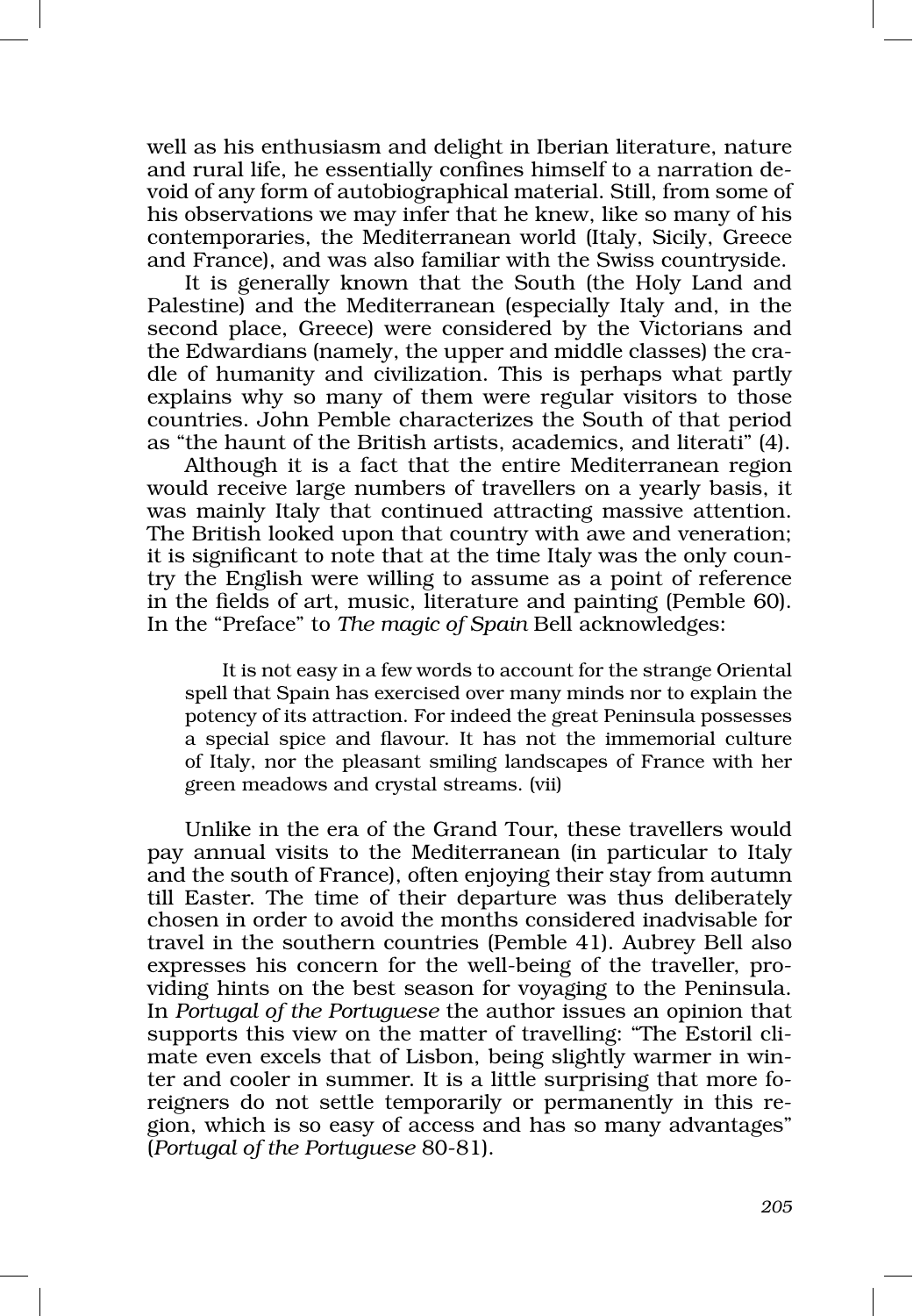well as his enthusiasm and delight in Iberian literature, nature and rural life, he essentially confines himself to a narration devoid of any form of autobiographical material. Still, from some of his observations we may infer that he knew, like so many of his contemporaries, the Mediterranean world (Italy, Sicily, Greece and France), and was also familiar with the Swiss countryside.

It is generally known that the South (the Holy Land and Palestine) and the Mediterranean (especially Italy and, in the second place, Greece) were considered by the Victorians and the Edwardians (namely, the upper and middle classes) the cra‑ dle of humanity and civilization. This is perhaps what partly explains why so many of them were regular visitors to those countries. John Pemble characterizes the South of that period as "the haunt of the British artists, academics, and literati" (4).

Although it is a fact that the entire Mediterranean region would receive large numbers of travellers on a yearly basis, it was mainly Italy that continued attracting massive attention. The British looked upon that country with awe and veneration; it is significant to note that at the time Italy was the only country the English were willing to assume as a point of reference in the fields of art, music, literature and painting (Pemble 60). In the "Preface" to *The magic of Spain* Bell acknowledges:

It is not easy in a few words to account for the strange Oriental spell that Spain has exercised over many minds nor to explain the potency of its attraction. For indeed the great Peninsula possesses a special spice and flavour. It has not the immemorial culture of Italy, nor the pleasant smiling landscapes of France with her green meadows and crystal streams. (vii)

Unlike in the era of the Grand Tour, these travellers would pay annual visits to the Mediterranean (in particular to Italy and the south of France), often enjoying their stay from autumn till Easter. The time of their departure was thus deliberately chosen in order to avoid the months considered inadvisable for travel in the southern countries (Pemble 41). Aubrey Bell also expresses his concern for the well-being of the traveller, providing hints on the best season for voyaging to the Peninsula. In *Portugal of the Portuguese* the author issues an opinion that supports this view on the matter of travelling: "The Estoril climate even excels that of Lisbon, being slightly warmer in winter and cooler in summer. It is a little surprising that more foreigners do not settle temporarily or permanently in this region, which is so easy of access and has so many advantages" (*Portugal of the Portuguese* 80‑81).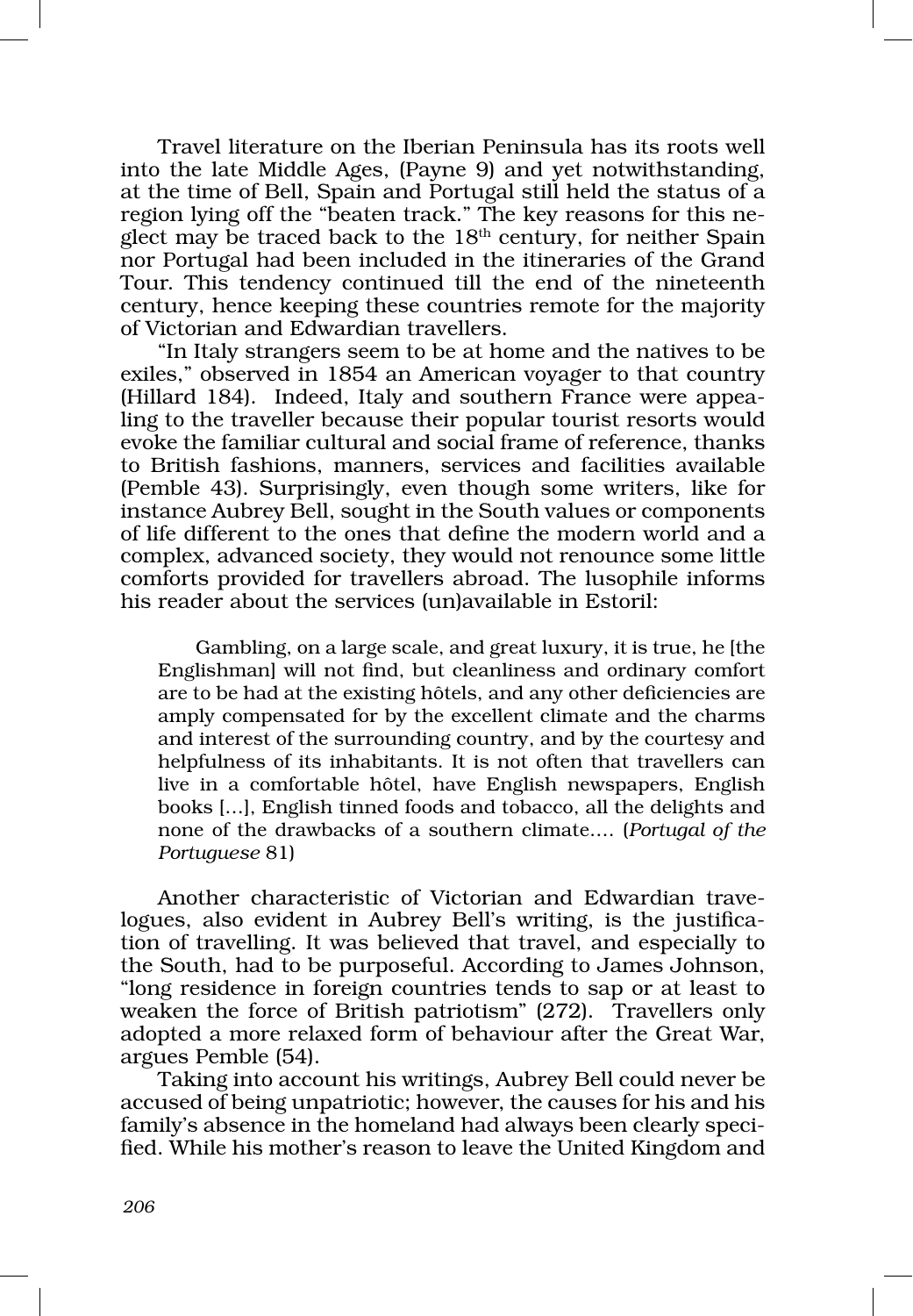Travel literature on the Iberian Peninsula has its roots well into the late Middle Ages, (Payne 9) and yet notwithstanding, at the time of Bell, Spain and Portugal still held the status of a region lying off the "beaten track." The key reasons for this neglect may be traced back to the  $18<sup>th</sup>$  century, for neither Spain nor Portugal had been included in the itineraries of the Grand Tour. This tendency continued till the end of the nineteenth century, hence keeping these countries remote for the majority of Victorian and Edwardian travellers.

"In Italy strangers seem to be at home and the natives to be exiles," observed in 1854 an American voyager to that country (Hillard 184). Indeed, Italy and southern France were appea‑ ling to the traveller because their popular tourist resorts would evoke the familiar cultural and social frame of reference, thanks to British fashions, manners, services and facilities available (Pemble 43). Surprisingly, even though some writers, like for instance Aubrey Bell, sought in the South values or components of life different to the ones that define the modern world and a complex, advanced society, they would not renounce some little comforts provided for travellers abroad. The lusophile informs his reader about the services (un)available in Estoril:

Gambling, on a large scale, and great luxury, it is true, he [the Englishman] will not find, but cleanliness and ordinary comfort are to be had at the existing hôtels, and any other deficiencies are amply compensated for by the excellent climate and the charms and interest of the surrounding country, and by the courtesy and helpfulness of its inhabitants. It is not often that travellers can live in a comfortable hôtel, have English newspapers, English books […], English tinned foods and tobacco, all the delights and none of the drawbacks of a southern climate…. (*Portugal of the Portuguese* 81)

Another characteristic of Victorian and Edwardian travelogues, also evident in Aubrey Bell's writing, is the justification of travelling. It was believed that travel, and especially to the South, had to be purposeful. According to James Johnson, "long residence in foreign countries tends to sap or at least to weaken the force of British patriotism" (272). Travellers only adopted a more relaxed form of behaviour after the Great War, argues Pemble (54).

Taking into account his writings, Aubrey Bell could never be accused of being unpatriotic; however, the causes for his and his family's absence in the homeland had always been clearly specified. While his mother's reason to leave the United Kingdom and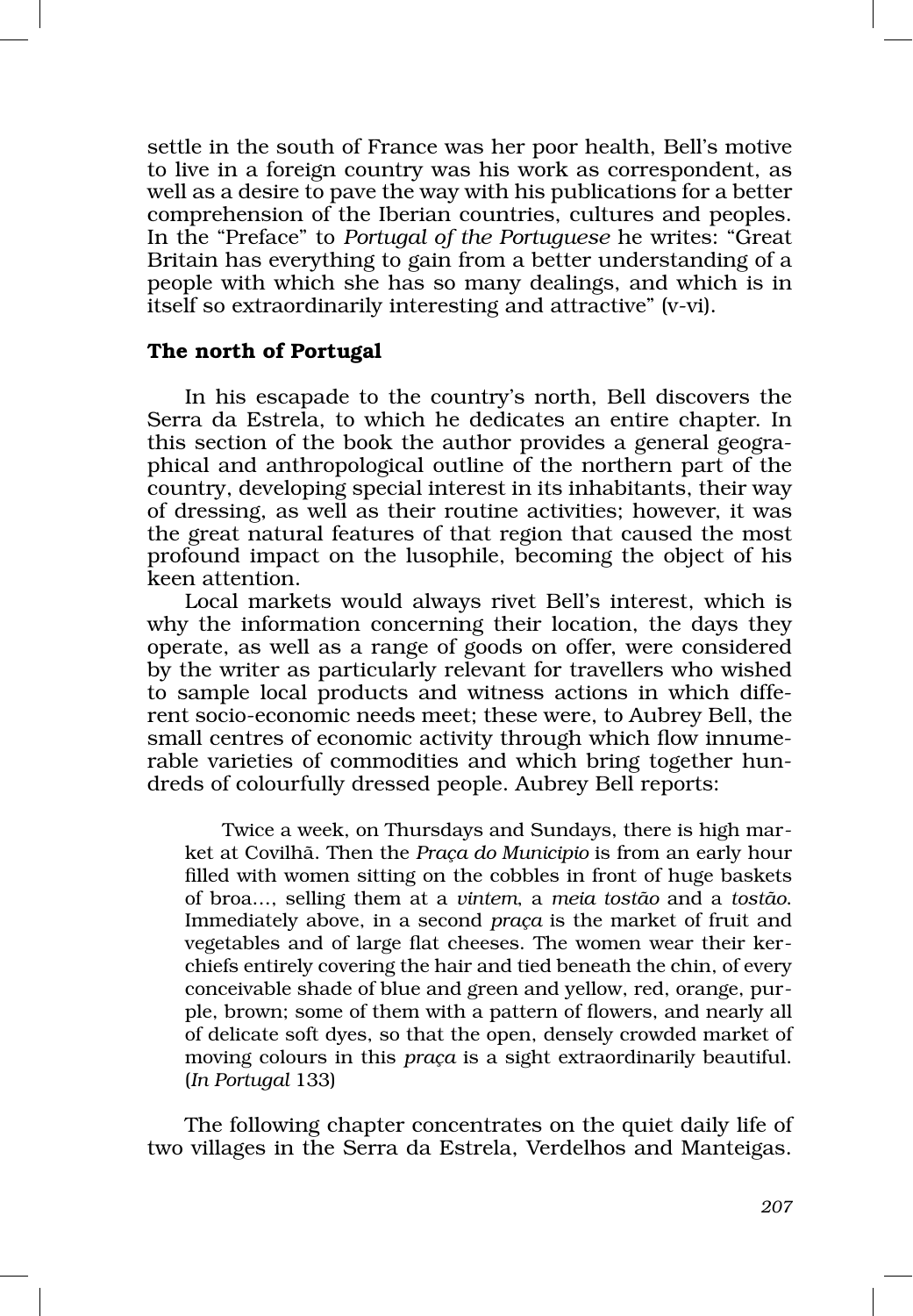settle in the south of France was her poor health, Bell's motive to live in a foreign country was his work as correspondent, as well as a desire to pave the way with his publications for a better comprehension of the Iberian countries, cultures and peoples. In the "Preface" to *Portugal of the Portuguese* he writes: "Great Britain has everything to gain from a better understanding of a people with which she has so many dealings, and which is in itself so extraordinarily interesting and attractive" (v‑vi).

#### The north of Portugal

In his escapade to the country's north, Bell discovers the Serra da Estrela, to which he dedicates an entire chapter. In this section of the book the author provides a general geographical and anthropological outline of the northern part of the country, developing special interest in its inhabitants, their way of dressing, as well as their routine activities; however, it was the great natural features of that region that caused the most profound impact on the lusophile, becoming the object of his keen attention.

Local markets would always rivet Bell's interest, which is why the information concerning their location, the days they operate, as well as a range of goods on offer, were considered by the writer as particularly relevant for travellers who wished to sample local products and witness actions in which different socio‑economic needs meet; these were, to Aubrey Bell, the small centres of economic activity through which flow innumerable varieties of commodities and which bring together hundreds of colourfully dressed people. Aubrey Bell reports:

Twice a week, on Thursdays and Sundays, there is high market at Covilhã. Then the *Praça do Municipio* is from an early hour filled with women sitting on the cobbles in front of huge baskets of broa…, selling them at a *vintem*, a *meia tostão* and a *tostão*. Immediately above, in a second *praça* is the market of fruit and vegetables and of large flat cheeses. The women wear their ker‑ chiefs entirely covering the hair and tied beneath the chin, of every conceivable shade of blue and green and yellow, red, orange, pur‑ ple, brown; some of them with a pattern of flowers, and nearly all of delicate soft dyes, so that the open, densely crowded market of moving colours in this *praça* is a sight extraordinarily beautiful. (*In Portugal* 133)

The following chapter concentrates on the quiet daily life of two villages in the Serra da Estrela, Verdelhos and Manteigas.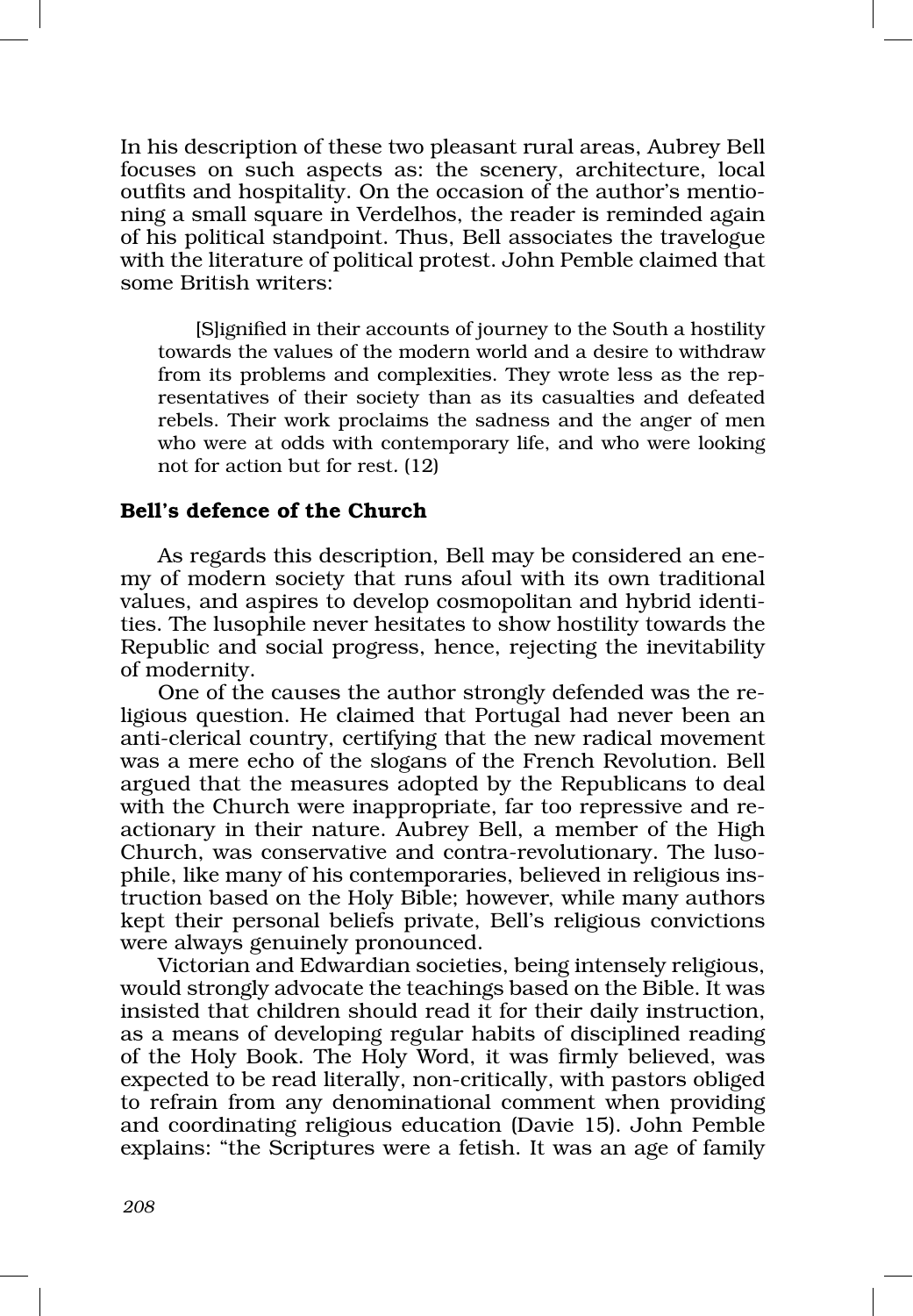In his description of these two pleasant rural areas, Aubrey Bell focuses on such aspects as: the scenery, architecture, local outfits and hospitality. On the occasion of the author's mentioning a small square in Verdelhos, the reader is reminded again of his political standpoint. Thus, Bell associates the travelogue with the literature of political protest. John Pemble claimed that some British writers:

[S]ignified in their accounts of journey to the South a hostility towards the values of the modern world and a desire to withdraw from its problems and complexities. They wrote less as the representatives of their society than as its casualties and defeated rebels. Their work proclaims the sadness and the anger of men who were at odds with contemporary life, and who were looking not for action but for rest*.* (12)

## Bell's defence of the Church

As regards this description, Bell may be considered an enemy of modern society that runs afoul with its own traditional values, and aspires to develop cosmopolitan and hybrid identi‑ ties. The lusophile never hesitates to show hostility towards the Republic and social progress, hence, rejecting the inevitability of modernity.

One of the causes the author strongly defended was the re‑ ligious question. He claimed that Portugal had never been an anti‑clerical country, certifying that the new radical movement was a mere echo of the slogans of the French Revolution. Bell argued that the measures adopted by the Republicans to deal with the Church were inappropriate, far too repressive and reactionary in their nature. Aubrey Bell, a member of the High Church, was conservative and contra-revolutionary. The lusophile, like many of his contemporaries, believed in religious instruction based on the Holy Bible; however, while many authors kept their personal beliefs private, Bell's religious convictions were always genuinely pronounced.

Victorian and Edwardian societies, being intensely religious, would strongly advocate the teachings based on the Bible. It was insisted that children should read it for their daily instruction, as a means of developing regular habits of disciplined reading of the Holy Book. The Holy Word, it was firmly believed, was expected to be read literally, non‑critically, with pastors obliged to refrain from any denominational comment when providing and coordinating religious education (Davie 15). John Pemble explains: "the Scriptures were a fetish. It was an age of family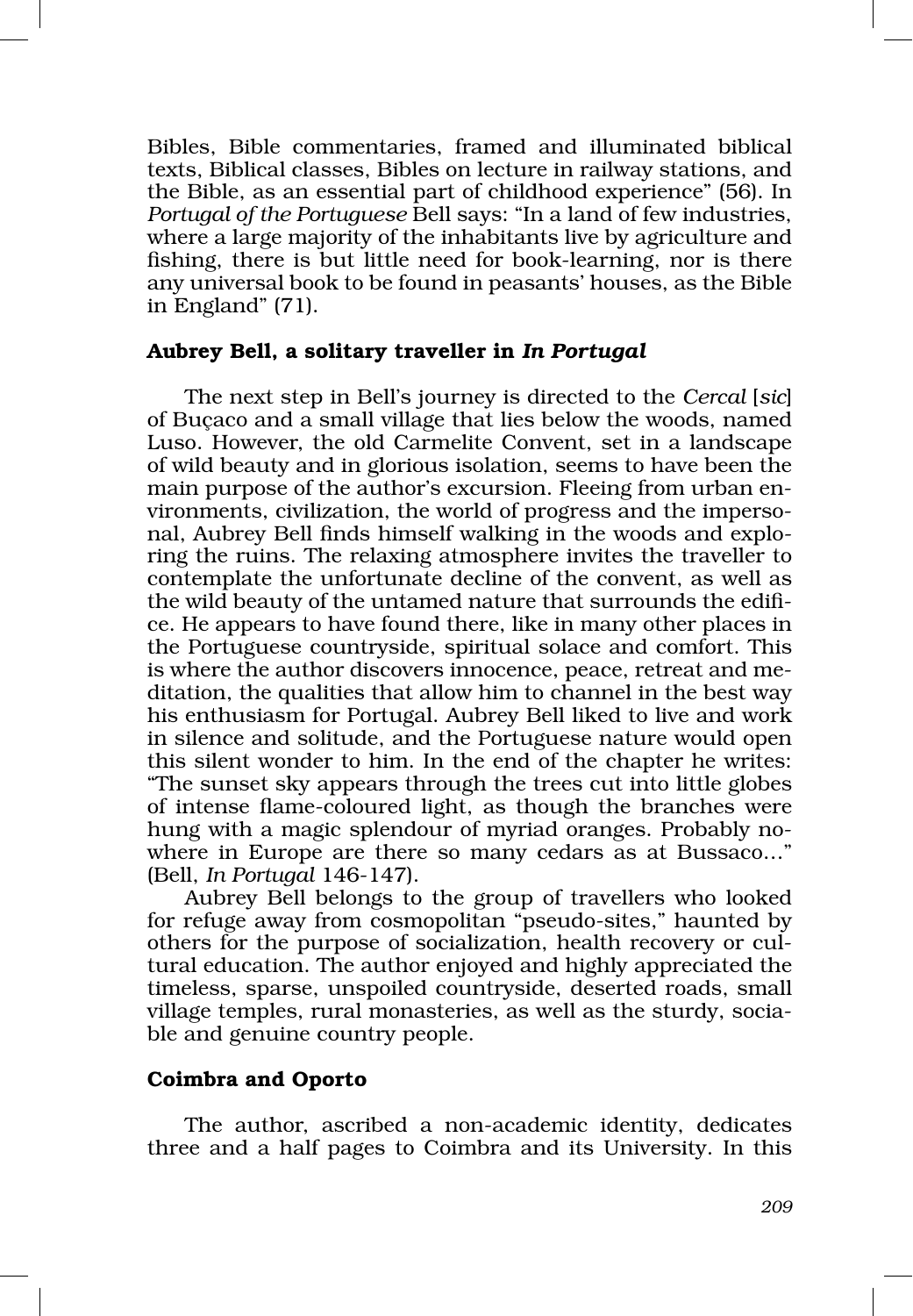Bibles, Bible commentaries, framed and illuminated biblical texts, Biblical classes, Bibles on lecture in railway stations, and the Bible, as an essential part of childhood experience" (56). In *Portugal of the Portuguese* Bell says: "In a land of few industries, where a large majority of the inhabitants live by agriculture and fishing, there is but little need for book‑learning, nor is there any universal book to be found in peasants' houses, as the Bible in England" (71).

## Aubrey Bell, a solitary traveller in *In Portugal*

The next step in Bell's journey is directed to the *Cercal* [*sic*] of Buçaco and a small village that lies below the woods, named Luso. However, the old Carmelite Convent, set in a landscape of wild beauty and in glorious isolation, seems to have been the main purpose of the author's excursion. Fleeing from urban environments, civilization, the world of progress and the imperso‑ nal, Aubrey Bell finds himself walking in the woods and exploring the ruins. The relaxing atmosphere invites the traveller to contemplate the unfortunate decline of the convent, as well as the wild beauty of the untamed nature that surrounds the edifi‑ ce. He appears to have found there, like in many other places in the Portuguese countryside, spiritual solace and comfort. This is where the author discovers innocence, peace, retreat and me‑ ditation, the qualities that allow him to channel in the best way his enthusiasm for Portugal. Aubrey Bell liked to live and work in silence and solitude, and the Portuguese nature would open this silent wonder to him. In the end of the chapter he writes: "The sunset sky appears through the trees cut into little globes of intense flame‑coloured light, as though the branches were hung with a magic splendour of myriad oranges. Probably nowhere in Europe are there so many cedars as at Bussaco…" (Bell, *In Portugal* 146‑147).

Aubrey Bell belongs to the group of travellers who looked for refuge away from cosmopolitan "pseudo‑sites," haunted by others for the purpose of socialization, health recovery or cultural education. The author enjoyed and highly appreciated the timeless, sparse, unspoiled countryside, deserted roads, small village temples, rural monasteries, as well as the sturdy, sociable and genuine country people.

# Coimbra and Oporto

The author, ascribed a non‑academic identity, dedicates three and a half pages to Coimbra and its University. In this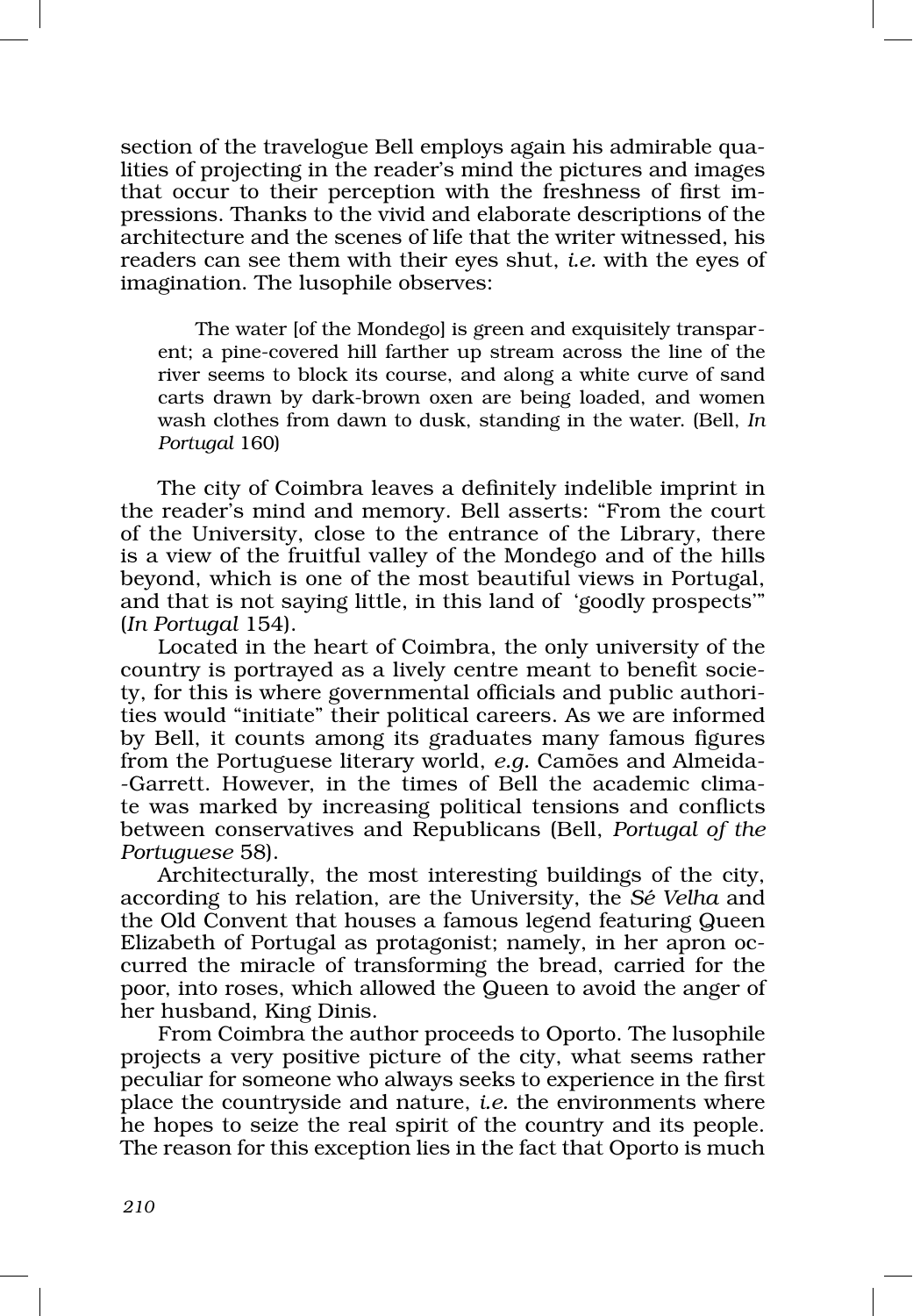section of the travelogue Bell employs again his admirable qua lities of projecting in the reader's mind the pictures and images that occur to their perception with the freshness of first impressions. Thanks to the vivid and elaborate descriptions of the architecture and the scenes of life that the writer witnessed, his readers can see them with their eyes shut, *i.e.* with the eyes of imagination. The lusophile observes:

The water [of the Mondego] is green and exquisitely transparent; a pine‑covered hill farther up stream across the line of the river seems to block its course, and along a white curve of sand carts drawn by dark‑brown oxen are being loaded, and women wash clothes from dawn to dusk, standing in the water. (Bell, *In Portugal* 160)

The city of Coimbra leaves a definitely indelible imprint in the reader's mind and memory. Bell asserts: "From the court of the University, close to the entrance of the Library, there is a view of the fruitful valley of the Mondego and of the hills beyond, which is one of the most beautiful views in Portugal, and that is not saying little, in this land of 'goodly prospects'" (*In Portugal* 154).

Located in the heart of Coimbra, the only university of the country is portrayed as a lively centre meant to benefit society, for this is where governmental officials and public authorities would "initiate" their political careers. As we are informed by Bell, it counts among its graduates many famous figures from the Portuguese literary world, *e.g.* Camões and Almeida-‑Garrett. However, in the times of Bell the academic clima‑ te was marked by increasing political tensions and conflicts between conservatives and Republicans (Bell, *Portugal of the Portuguese* 58).

Architecturally, the most interesting buildings of the city, according to his relation, are the University, the *Sé Velha* and the Old Convent that houses a famous legend featuring Queen Elizabeth of Portugal as protagonist; namely, in her apron oc‑ curred the miracle of transforming the bread, carried for the poor, into roses, which allowed the Queen to avoid the anger of her husband, King Dinis.

From Coimbra the author proceeds to Oporto. The lusophile projects a very positive picture of the city, what seems rather peculiar for someone who always seeks to experience in the first place the countryside and nature, *i.e.* the environments where he hopes to seize the real spirit of the country and its people. The reason for this exception lies in the fact that Oporto is much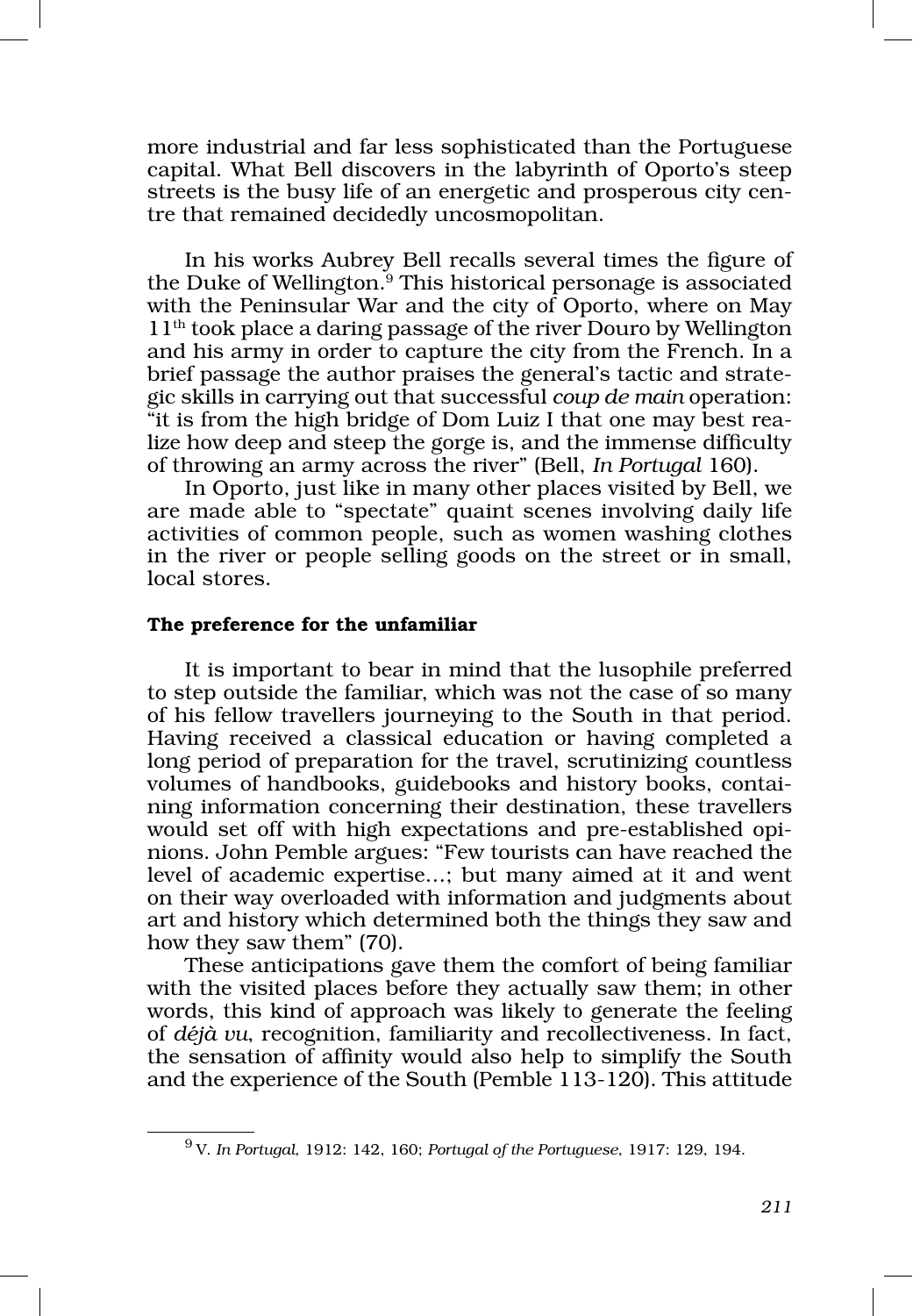more industrial and far less sophisticated than the Portuguese capital. What Bell discovers in the labyrinth of Oporto's steep streets is the busy life of an energetic and prosperous city centre that remained decidedly uncosmopolitan.

In his works Aubrey Bell recalls several times the figure of the Duke of Wellington.9 This historical personage is associated with the Peninsular War and the city of Oporto, where on May 11th took place a daring passage of the river Douro by Wellington and his army in order to capture the city from the French. In a brief passage the author praises the general's tactic and strate– gic skills in carrying out that successful *coup de main* operation: "it is from the high bridge of Dom Luiz I that one may best rea‑ lize how deep and steep the gorge is, and the immense difficulty of throwing an army across the river" (Bell, *In Portugal* 160).

In Oporto, just like in many other places visited by Bell, we are made able to "spectate" quaint scenes involving daily life activities of common people, such as women washing clothes in the river or people selling goods on the street or in small, local stores.

#### The preference for the unfamiliar

It is important to bear in mind that the lusophile preferred to step outside the familiar, which was not the case of so many of his fellow travellers journeying to the South in that period. Having received a classical education or having completed a long period of preparation for the travel, scrutinizing countless volumes of handbooks, guidebooks and history books, containing information concerning their destination, these travellers would set off with high expectations and pre-established opinions. John Pemble argues: "Few tourists can have reached the level of academic expertise…; but many aimed at it and went on their way overloaded with information and judgments about art and history which determined both the things they saw and how they saw them" (70).

These anticipations gave them the comfort of being familiar with the visited places before they actually saw them; in other words, this kind of approach was likely to generate the feeling of *déjà vu*, recognition, familiarity and recollectiveness. In fact, the sensation of affinity would also help to simplify the South and the experience of the South (Pemble 113‑120). This attitude

<sup>9</sup> V. *In Portugal*, 1912: 142, 160; *Portugal of the Portuguese*, 1917: 129, 194.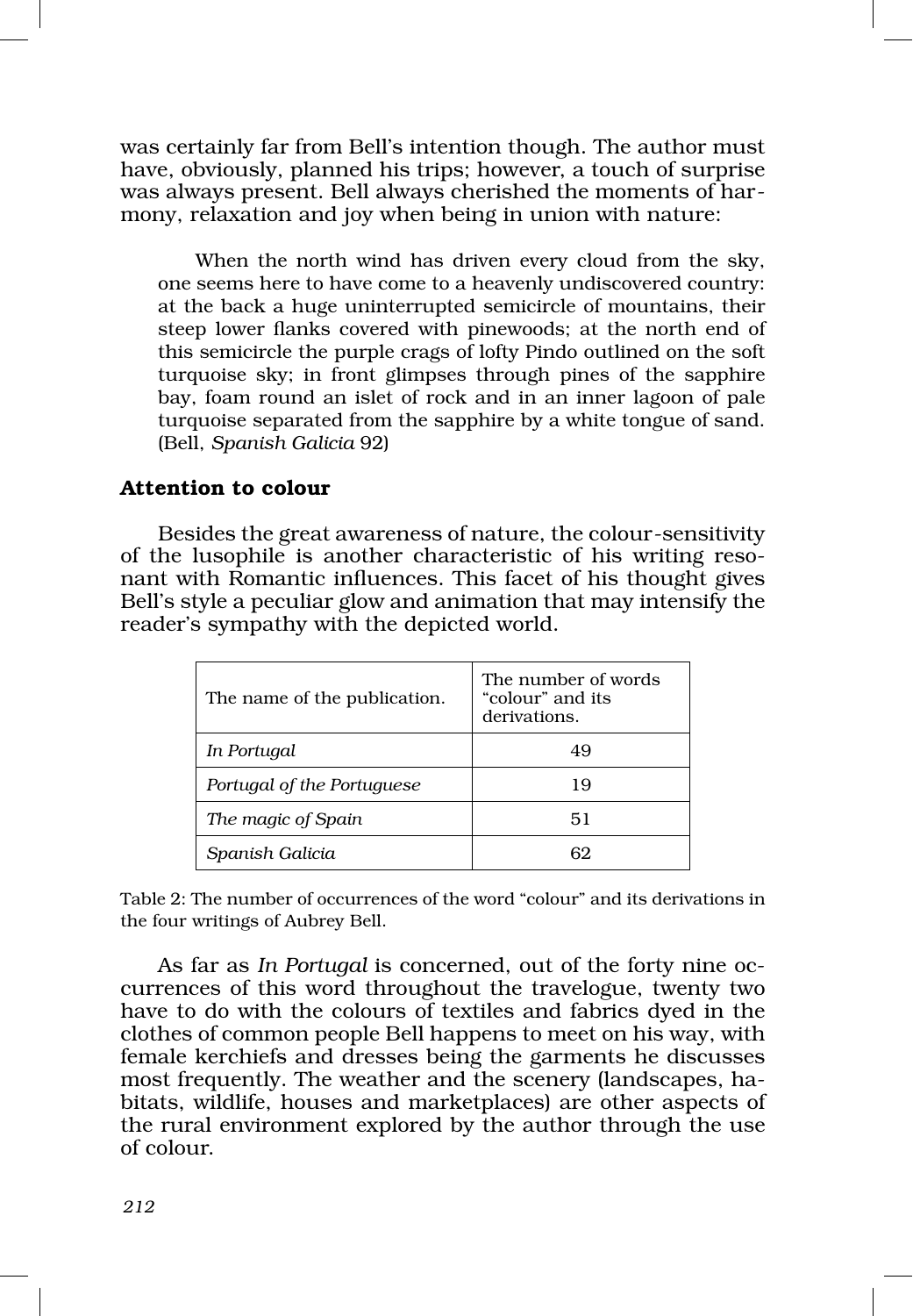was certainly far from Bell's intention though. The author must have, obviously, planned his trips; however, a touch of surprise was always present. Bell always cherished the moments of harmony, relaxation and joy when being in union with nature:

When the north wind has driven every cloud from the sky, one seems here to have come to a heavenly undiscovered country: at the back a huge uninterrupted semicircle of mountains, their steep lower flanks covered with pinewoods; at the north end of this semicircle the purple crags of lofty Pindo outlined on the soft turquoise sky; in front glimpses through pines of the sapphire bay, foam round an islet of rock and in an inner lagoon of pale turquoise separated from the sapphire by a white tongue of sand. (Bell, *Spanish Galicia* 92)

# Attention to colour

Besides the great awareness of nature, the colour‑sensitivity of the lusophile is another characteristic of his writing resonant with Romantic influences. This facet of his thought gives Bell's style a peculiar glow and animation that may intensify the reader's sympathy with the depicted world.

| The name of the publication. | The number of words<br>"colour" and its<br>derivations. |
|------------------------------|---------------------------------------------------------|
| In Portugal                  | 49                                                      |
| Portugal of the Portuguese   | 19                                                      |
| The magic of Spain           | 51                                                      |
| Spanish Galicia              |                                                         |

Table 2: The number of occurrences of the word "colour" and its derivations in the four writings of Aubrey Bell.

As far as *In Portugal* is concerned, out of the forty nine oc‑ currences of this word throughout the travelogue, twenty two have to do with the colours of textiles and fabrics dyed in the clothes of common people Bell happens to meet on his way, with female kerchiefs and dresses being the garments he discusses most frequently. The weather and the scenery (landscapes, habitats, wildlife, houses and marketplaces) are other aspects of the rural environment explored by the author through the use of colour.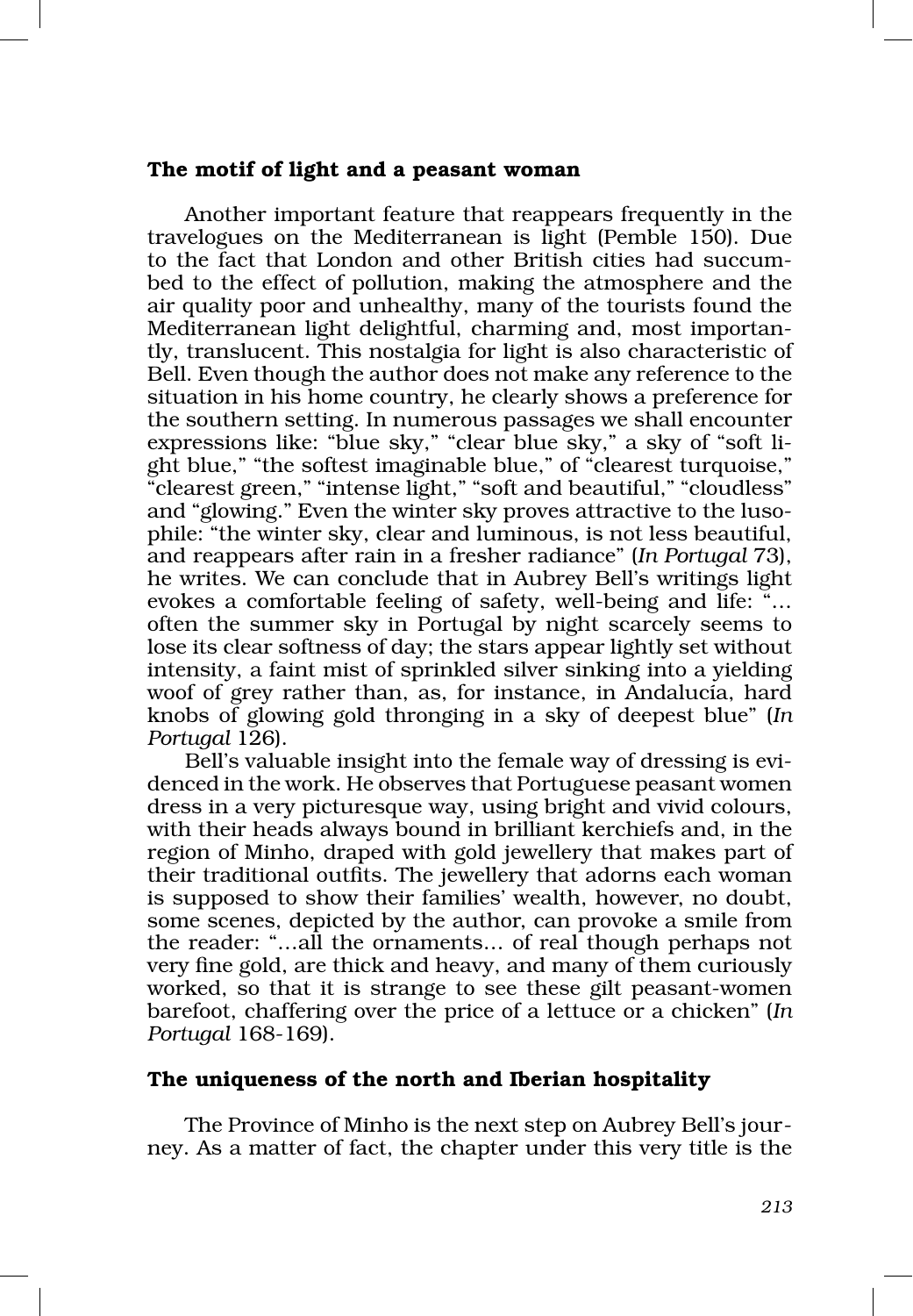#### The motif of light and a peasant woman

Another important feature that reappears frequently in the travelogues on the Mediterranean is light (Pemble 150). Due to the fact that London and other British cities had succum‑ bed to the effect of pollution, making the atmosphere and the air quality poor and unhealthy, many of the tourists found the Mediterranean light delightful, charming and, most importantly, translucent. This nostalgia for light is also characteristic of Bell. Even though the author does not make any reference to the situation in his home country, he clearly shows a preference for the southern setting. In numerous passages we shall encounter expressions like: "blue sky," "clear blue sky," a sky of "soft light blue," "the softest imaginable blue," of "clearest turquoise," "clearest green," "intense light," "soft and beautiful," "cloudless" and "glowing." Even the winter sky proves attractive to the lusophile: "the winter sky, clear and luminous, is not less beautiful, and reappears after rain in a fresher radiance" (*In Portugal* 73), he writes. We can conclude that in Aubrey Bell's writings light evokes a comfortable feeling of safety, well‑being and life: "… often the summer sky in Portugal by night scarcely seems to lose its clear softness of day; the stars appear lightly set without intensity, a faint mist of sprinkled silver sinking into a yielding woof of grey rather than, as, for instance, in Andalucía, hard knobs of glowing gold thronging in a sky of deepest blue" (*In Portugal* 126).

Bell's valuable insight into the female way of dressing is evidenced in the work. He observes that Portuguese peasant women dress in a very picturesque way, using bright and vivid colours, with their heads always bound in brilliant kerchiefs and, in the region of Minho, draped with gold jewellery that makes part of their traditional outfits. The jewellery that adorns each woman is supposed to show their families' wealth, however, no doubt, some scenes, depicted by the author, can provoke a smile from the reader: "…all the ornaments… of real though perhaps not very fine gold, are thick and heavy, and many of them curiously worked, so that it is strange to see these gilt peasant-women barefoot, chaffering over the price of a lettuce or a chicken" (*In Portugal* 168‑169).

## The uniqueness of the north and Iberian hospitality

The Province of Minho is the next step on Aubrey Bell's journey. As a matter of fact, the chapter under this very title is the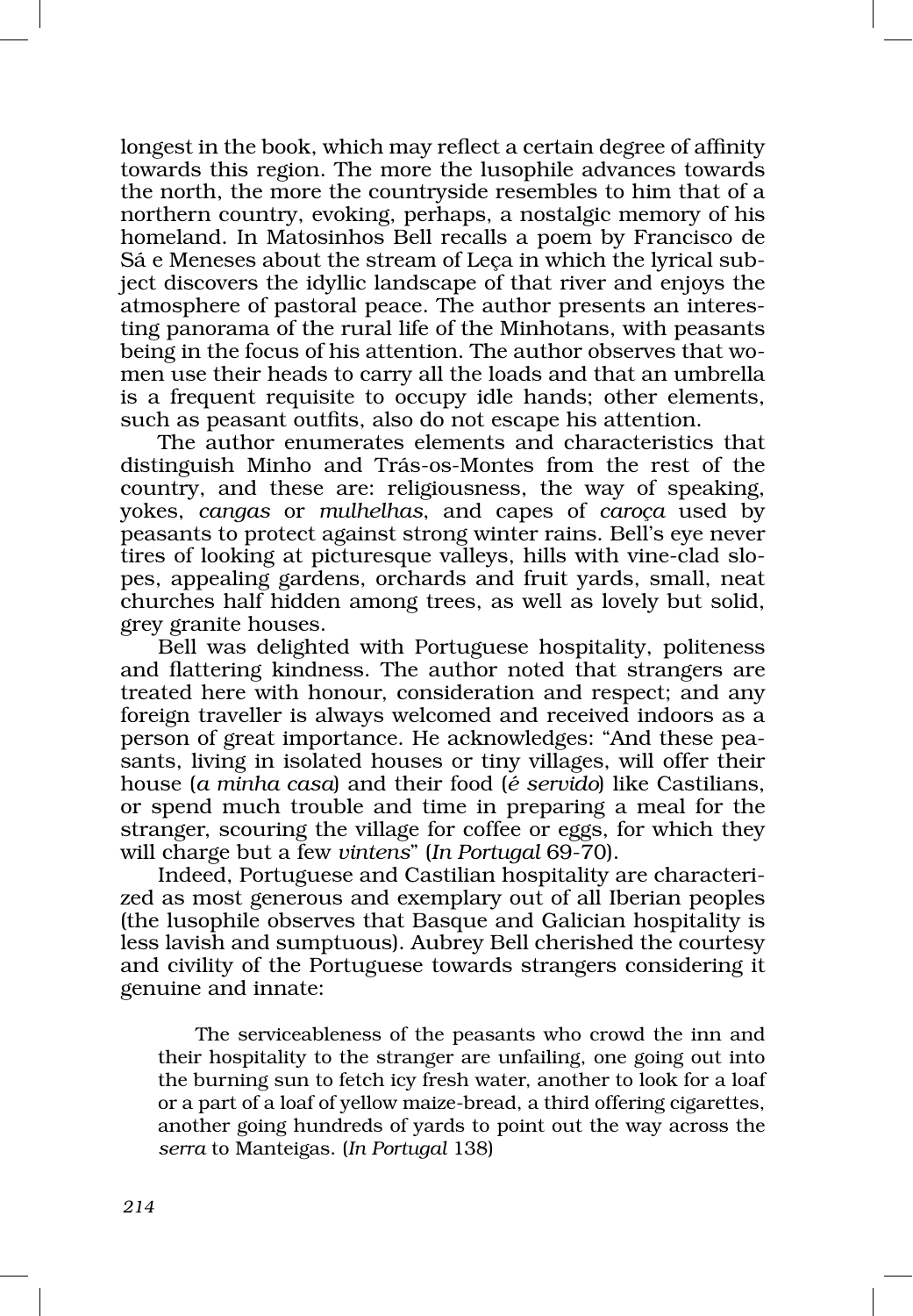longest in the book, which may reflect a certain degree of affinity towards this region. The more the lusophile advances towards the north, the more the countryside resembles to him that of a northern country, evoking, perhaps, a nostalgic memory of his homeland. In Matosinhos Bell recalls a poem by Francisco de Sá e Meneses about the stream of Leça in which the lyrical sub‑ ject discovers the idyllic landscape of that river and enjoys the atmosphere of pastoral peace. The author presents an interesting panorama of the rural life of the Minhotans, with peasants being in the focus of his attention. The author observes that women use their heads to carry all the loads and that an umbrella is a frequent requisite to occupy idle hands; other elements, such as peasant outfits, also do not escape his attention.

The author enumerates elements and characteristics that distinguish Minho and Trás‑os‑Montes from the rest of the country, and these are: religiousness, the way of speaking, yokes, *cangas* or *mulhelhas*, and capes of *caroça* used by peasants to protect against strong winter rains. Bell's eye never tires of looking at picturesque valleys, hills with vine-clad slopes, appealing gardens, orchards and fruit yards, small, neat churches half hidden among trees, as well as lovely but solid, grey granite houses.

Bell was delighted with Portuguese hospitality, politeness and flattering kindness. The author noted that strangers are treated here with honour, consideration and respect; and any foreign traveller is always welcomed and received indoors as a person of great importance. He acknowledges: "And these pea‑ sants, living in isolated houses or tiny villages, will offer their house (*a minha casa*) and their food (*é servido*) like Castilians, or spend much trouble and time in preparing a meal for the stranger, scouring the village for coffee or eggs, for which they will charge but a few *vintens*" (*In Portugal* 69‑70).

Indeed, Portuguese and Castilian hospitality are characterized as most generous and exemplary out of all Iberian peoples (the lusophile observes that Basque and Galician hospitality is less lavish and sumptuous). Aubrey Bell cherished the courtesy and civility of the Portuguese towards strangers considering it genuine and innate:

The serviceableness of the peasants who crowd the inn and their hospitality to the stranger are unfailing, one going out into the burning sun to fetch icy fresh water, another to look for a loaf or a part of a loaf of yellow maize‑bread, a third offering cigarettes, another going hundreds of yards to point out the way across the *serra* to Manteigas. (*In Portugal* 138)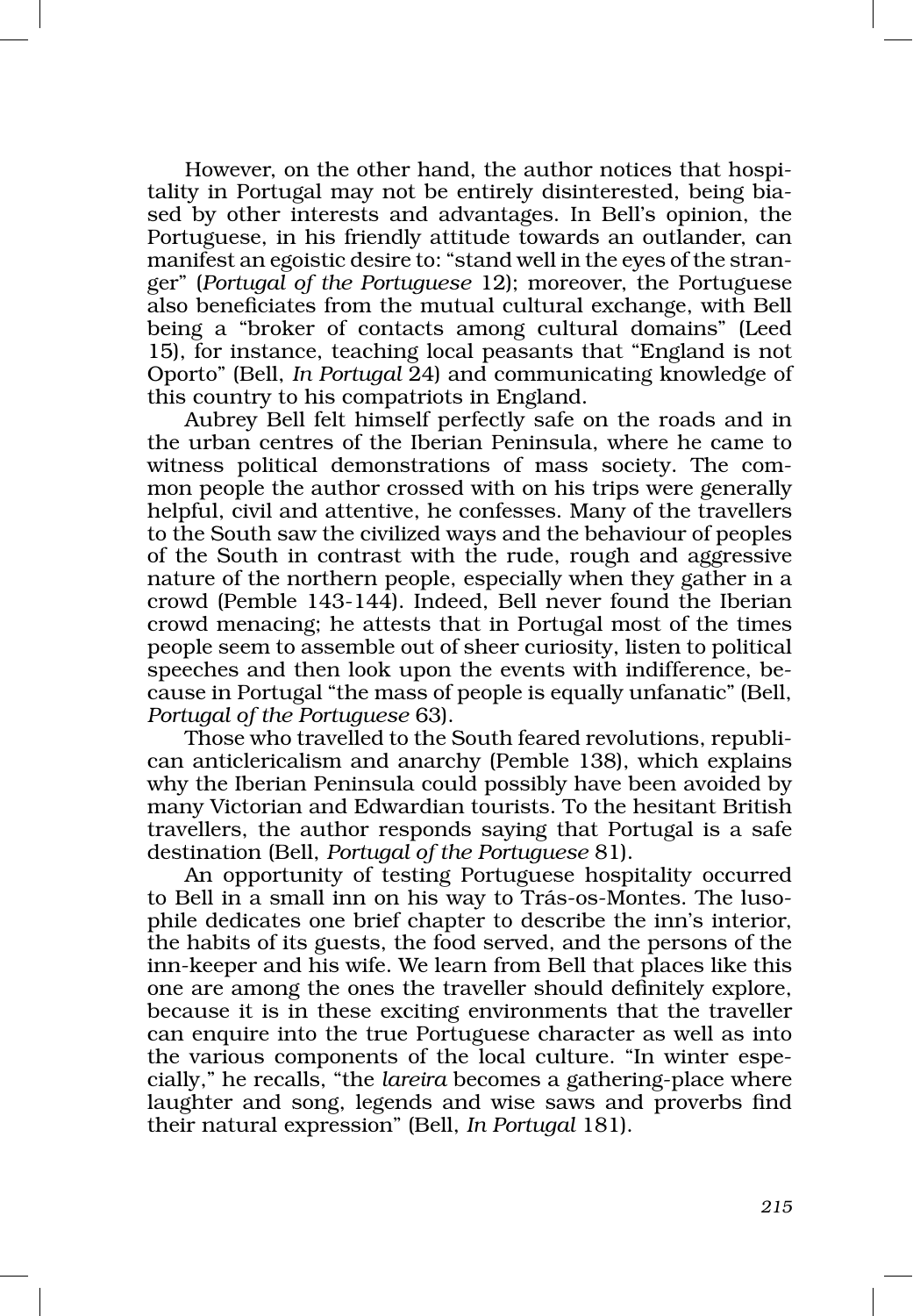However, on the other hand, the author notices that hospitality in Portugal may not be entirely disinterested, being bia‑ sed by other interests and advantages. In Bell's opinion, the Portuguese, in his friendly attitude towards an outlander, can manifest an egoistic desire to: "stand well in the eyes of the stranger" (*Portugal of the Portuguese* 12); moreover, the Portuguese also beneficiates from the mutual cultural exchange, with Bell being a "broker of contacts among cultural domains" (Leed 15), for instance, teaching local peasants that "England is not Oporto" (Bell, *In Portugal* 24) and communicating knowledge of this country to his compatriots in England.

Aubrey Bell felt himself perfectly safe on the roads and in the urban centres of the Iberian Peninsula, where he came to witness political demonstrations of mass society. The common people the author crossed with on his trips were generally helpful, civil and attentive, he confesses. Many of the travellers to the South saw the civilized ways and the behaviour of peoples of the South in contrast with the rude, rough and aggressive nature of the northern people, especially when they gather in a crowd (Pemble 143‑144). Indeed, Bell never found the Iberian crowd menacing; he attests that in Portugal most of the times people seem to assemble out of sheer curiosity, listen to political speeches and then look upon the events with indifference, be‑ cause in Portugal "the mass of people is equally unfanatic" (Bell, *Portugal of the Portuguese* 63).

Those who travelled to the South feared revolutions, republican anticlericalism and anarchy (Pemble 138), which explains why the Iberian Peninsula could possibly have been avoided by many Victorian and Edwardian tourists. To the hesitant British travellers, the author responds saying that Portugal is a safe destination (Bell, *Portugal of the Portuguese* 81).

An opportunity of testing Portuguese hospitality occurred to Bell in a small inn on his way to Trás‑os‑Montes. The luso‑ phile dedicates one brief chapter to describe the inn's interior, the habits of its guests, the food served, and the persons of the inn‑keeper and his wife. We learn from Bell that places like this one are among the ones the traveller should definitely explore, because it is in these exciting environments that the traveller can enquire into the true Portuguese character as well as into the various components of the local culture. "In winter especially," he recalls, "the *lareira* becomes a gathering‑place where laughter and song, legends and wise saws and proverbs find their natural expression" (Bell, *In Portugal* 181).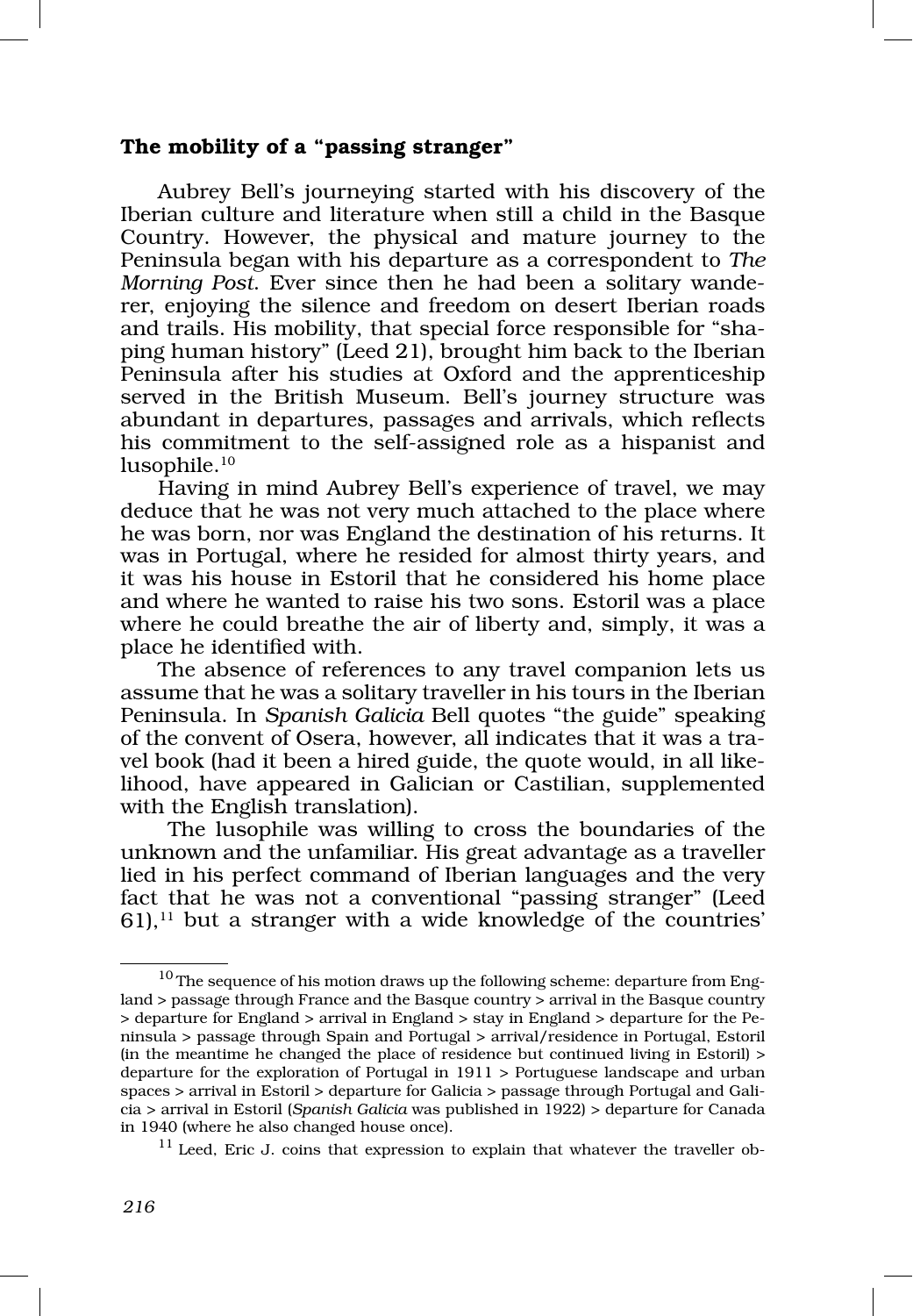#### The mobility of a "passing stranger"

Aubrey Bell's journeying started with his discovery of the Iberian culture and literature when still a child in the Basque Country. However, the physical and mature journey to the Peninsula began with his departure as a correspondent to *The Morning Post.* Ever since then he had been a solitary wande– rer, enjoying the silence and freedom on desert Iberian roads and trails. His mobility, that special force responsible for "shaping human history" (Leed 21), brought him back to the Iberian Peninsula after his studies at Oxford and the apprenticeship served in the British Museum. Bell's journey structure was abundant in departures, passages and arrivals, which reflects his commitment to the self-assigned role as a hispanist and lusophile.<sup>10</sup>

Having in mind Aubrey Bell's experience of travel, we may deduce that he was not very much attached to the place where he was born, nor was England the destination of his returns. It was in Portugal, where he resided for almost thirty years, and it was his house in Estoril that he considered his home place and where he wanted to raise his two sons. Estoril was a place where he could breathe the air of liberty and, simply, it was a place he identified with.

The absence of references to any travel companion lets us assume that he was a solitary traveller in his tours in the Iberian Peninsula. In *Spanish Galicia* Bell quotes "the guide" speaking of the convent of Osera, however, all indicates that it was a tra‑ vel book (had it been a hired guide, the quote would, in all likelihood, have appeared in Galician or Castilian, supplemented with the English translation).

 The lusophile was willing to cross the boundaries of the unknown and the unfamiliar. His great advantage as a traveller lied in his perfect command of Iberian languages and the very fact that he was not a conventional "passing stranger" (Leed  $61$ ),<sup>11</sup> but a stranger with a wide knowledge of the countries'

 $11$  Leed, Eric J. coins that expression to explain that whatever the traveller ob-

 $^{10}\!$  The sequence of his motion draws up the following scheme: departure from England > passage through France and the Basque country > arrival in the Basque country > departure for England > arrival in England > stay in England > departure for the Pe‑ ninsula > passage through Spain and Portugal > arrival/residence in Portugal, Estoril (in the meantime he changed the place of residence but continued living in Estoril) > departure for the exploration of Portugal in 1911 > Portuguese landscape and urban spaces > arrival in Estoril > departure for Galicia > passage through Portugal and Gali‑ cia > arrival in Estoril (*Spanish Galicia* was published in 1922) > departure for Canada in 1940 (where he also changed house once).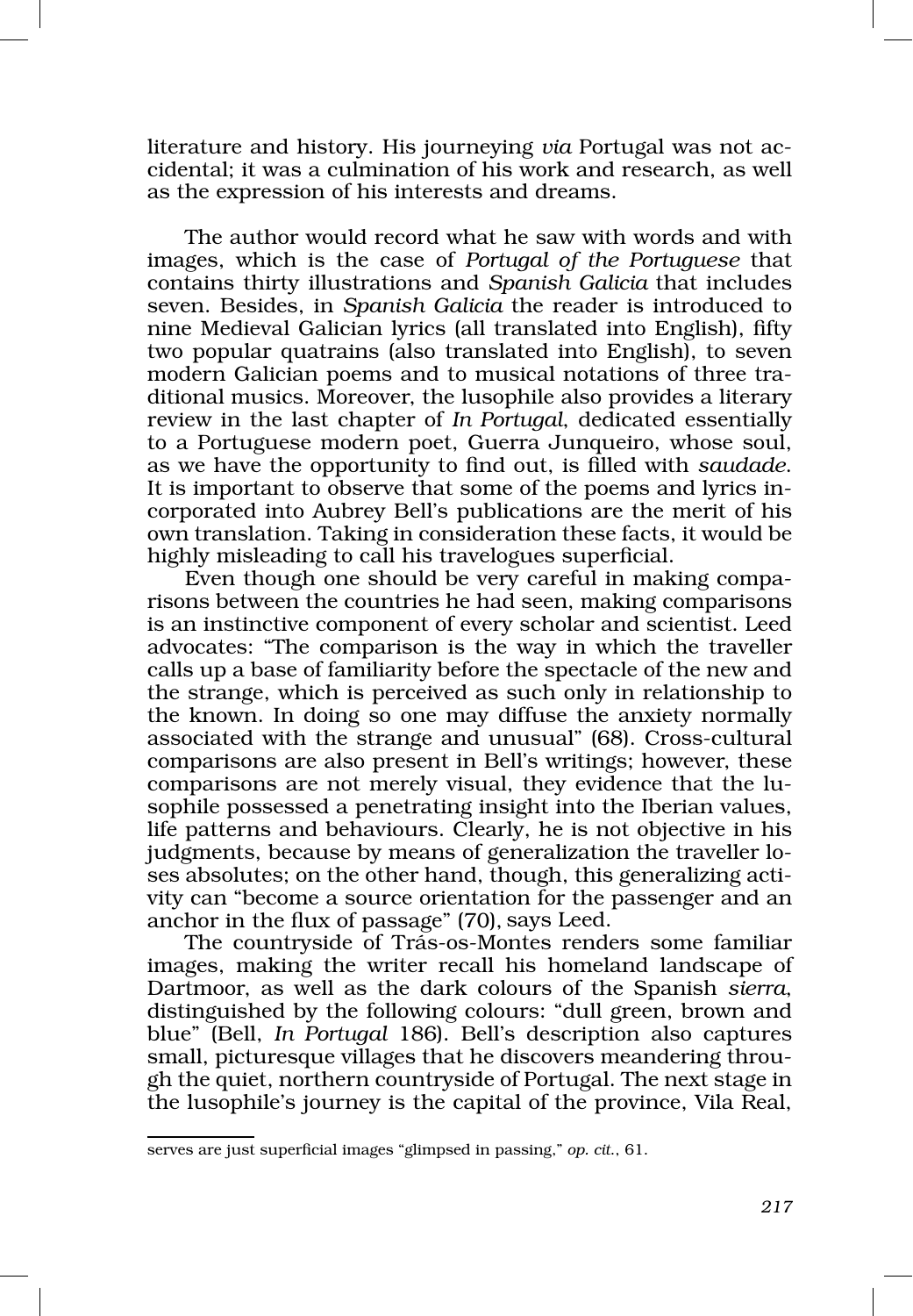literature and history. His journeying *via* Portugal was not ac‑ cidental; it was a culmination of his work and research, as well as the expression of his interests and dreams.

The author would record what he saw with words and with images, which is the case of *Portugal of the Portuguese* that contains thirty illustrations and *Spanish Galicia* that includes seven. Besides, in *Spanish Galicia* the reader is introduced to nine Medieval Galician lyrics (all translated into English), fifty two popular quatrains (also translated into English), to seven modern Galician poems and to musical notations of three traditional musics. Moreover, the lusophile also provides a literary review in the last chapter of *In Portugal*, dedicated essentially to a Portuguese modern poet, Guerra Junqueiro, whose soul, as we have the opportunity to find out, is filled with *saudade*. It is important to observe that some of the poems and lyrics incorporated into Aubrey Bell's publications are the merit of his own translation. Taking in consideration these facts, it would be highly misleading to call his travelogues superficial.

Even though one should be very careful in making compa risons between the countries he had seen, making comparisons is an instinctive component of every scholar and scientist. Leed advocates: "The comparison is the way in which the traveller calls up a base of familiarity before the spectacle of the new and the strange, which is perceived as such only in relationship to the known. In doing so one may diffuse the anxiety normally associated with the strange and unusual" (68). Cross‑cultural comparisons are also present in Bell's writings; however, these comparisons are not merely visual, they evidence that the lusophile possessed a penetrating insight into the Iberian values, life patterns and behaviours. Clearly, he is not objective in his judgments, because by means of generalization the traveller loses absolutes; on the other hand, though, this generalizing activity can "become a source orientation for the passenger and an anchor in the flux of passage" (70), says Leed.

The countryside of Trás‑os‑Montes renders some familiar images, making the writer recall his homeland landscape of Dartmoor, as well as the dark colours of the Spanish *sierra*, distinguished by the following colours: "dull green, brown and blue" (Bell, *In Portugal* 186). Bell's description also captures small, picturesque villages that he discovers meandering throu gh the quiet, northern countryside of Portugal. The next stage in the lusophile's journey is the capital of the province, Vila Real,

serves are just superficial images "glimpsed in passing," *op. cit*., 61.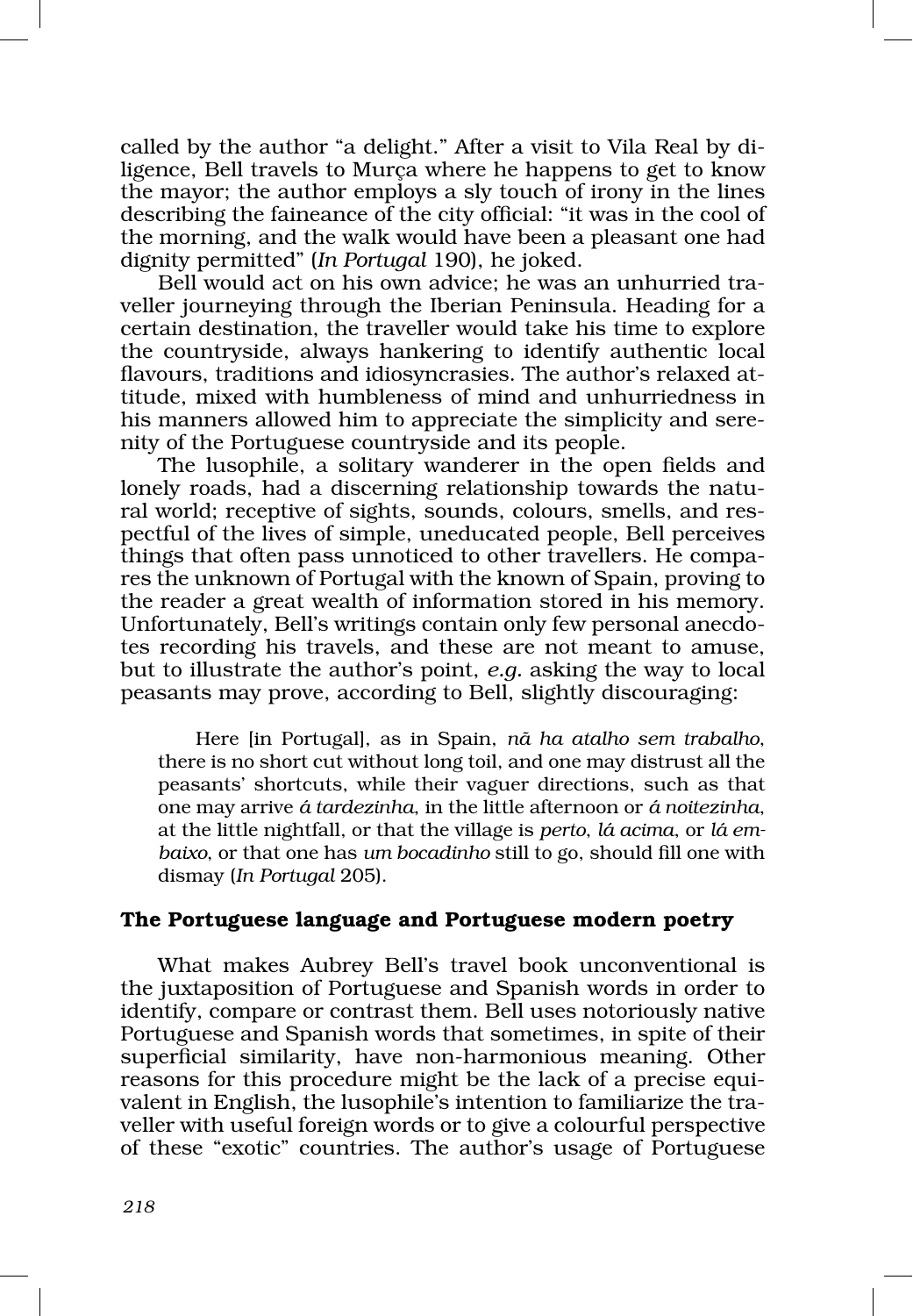called by the author "a delight." After a visit to Vila Real by diligence, Bell travels to Murça where he happens to get to know the mayor; the author employs a sly touch of irony in the lines describing the faineance of the city official: "it was in the cool of the morning, and the walk would have been a pleasant one had dignity permitted" (*In Portugal* 190), he joked.

Bell would act on his own advice; he was an unhurried traveller journeying through the Iberian Peninsula. Heading for a certain destination, the traveller would take his time to explore the countryside, always hankering to identify authentic local flavours, traditions and idiosyncrasies. The author's relaxed attitude, mixed with humbleness of mind and unhurriedness in his manners allowed him to appreciate the simplicity and serenity of the Portuguese countryside and its people.

The lusophile, a solitary wanderer in the open fields and lonely roads, had a discerning relationship towards the natural world; receptive of sights, sounds, colours, smells, and res pectful of the lives of simple, uneducated people, Bell perceives things that often pass unnoticed to other travellers. He compares the unknown of Portugal with the known of Spain, proving to the reader a great wealth of information stored in his memory. Unfortunately, Bell's writings contain only few personal anecdotes recording his travels, and these are not meant to amuse, but to illustrate the author's point, *e.g.* asking the way to local peasants may prove, according to Bell, slightly discouraging:

Here [in Portugal], as in Spain, *nã ha atalho sem trabalho*, there is no short cut without long toil, and one may distrust all the peasants' shortcuts, while their vaguer directions, such as that one may arrive *á tardezinha*, in the little afternoon or *á noitezinha*, at the little nightfall, or that the village is *perto*, *lá acima*, or *lá em‑ baixo*, or that one has *um bocadinho* still to go, should fill one with dismay (*In Portugal* 205).

### The Portuguese language and Portuguese modern poetry

What makes Aubrey Bell's travel book unconventional is the juxtaposition of Portuguese and Spanish words in order to identify, compare or contrast them. Bell uses notoriously native Portuguese and Spanish words that sometimes, in spite of their superficial similarity, have non‑harmonious meaning. Other reasons for this procedure might be the lack of a precise equivalent in English, the lusophile's intention to familiarize the traveller with useful foreign words or to give a colourful perspective of these "exotic" countries. The author's usage of Portuguese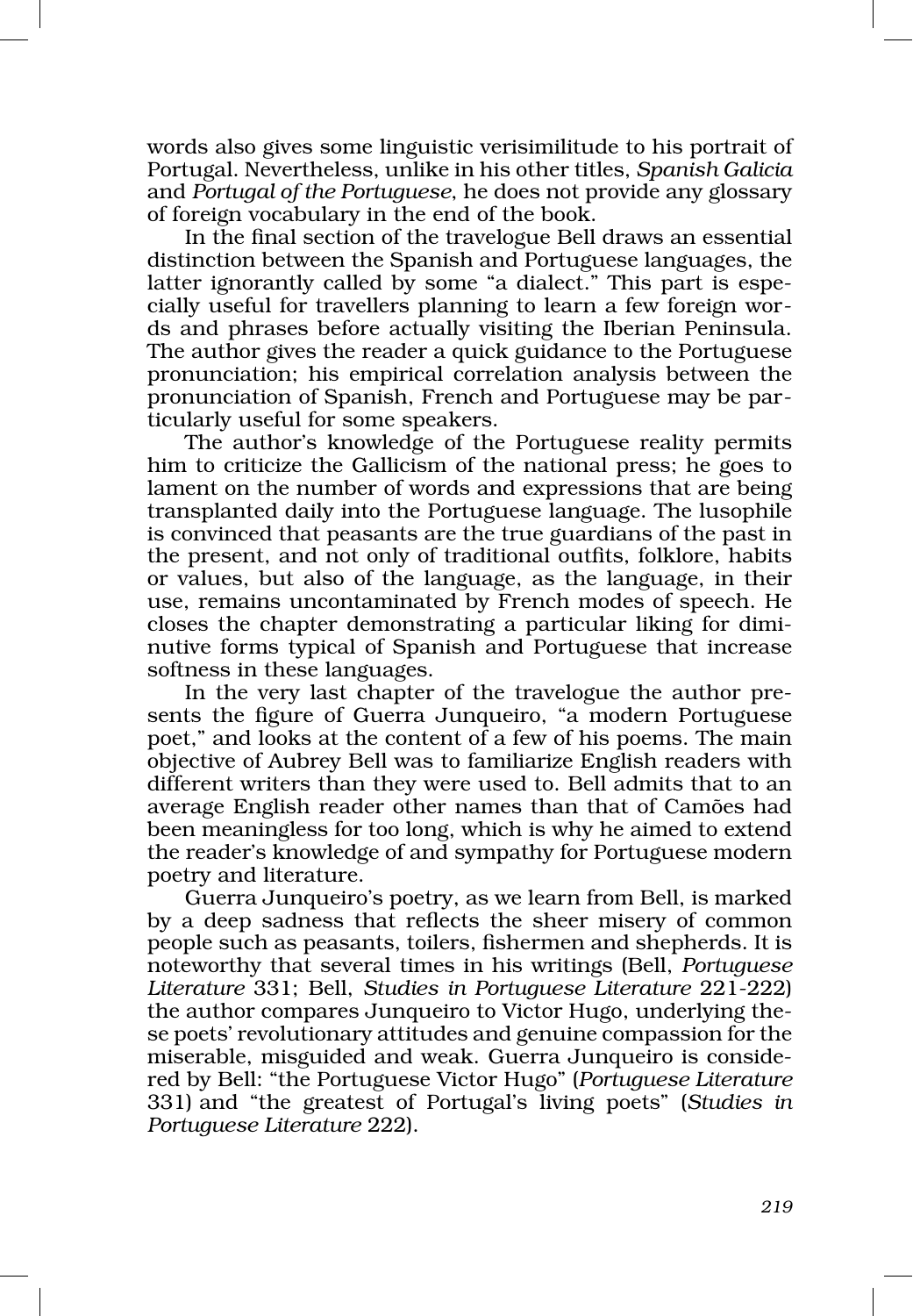words also gives some linguistic verisimilitude to his portrait of Portugal. Nevertheless, unlike in his other titles, *Spanish Galicia*  and *Portugal of the Portuguese*, he does not provide any glossary of foreign vocabulary in the end of the book.

In the final section of the travelogue Bell draws an essential distinction between the Spanish and Portuguese languages, the latter ignorantly called by some "a dialect." This part is especially useful for travellers planning to learn a few foreign words and phrases before actually visiting the Iberian Peninsula. The author gives the reader a quick guidance to the Portuguese pronunciation; his empirical correlation analysis between the pronunciation of Spanish, French and Portuguese may be particularly useful for some speakers.

The author's knowledge of the Portuguese reality permits him to criticize the Gallicism of the national press; he goes to lament on the number of words and expressions that are being transplanted daily into the Portuguese language. The lusophile is convinced that peasants are the true guardians of the past in the present, and not only of traditional outfits, folklore, habits or values, but also of the language, as the language, in their use, remains uncontaminated by French modes of speech. He closes the chapter demonstrating a particular liking for diminutive forms typical of Spanish and Portuguese that increase softness in these languages.

In the very last chapter of the travelogue the author presents the figure of Guerra Junqueiro, "a modern Portuguese poet," and looks at the content of a few of his poems. The main objective of Aubrey Bell was to familiarize English readers with different writers than they were used to. Bell admits that to an average English reader other names than that of Camões had been meaningless for too long, which is why he aimed to extend the reader's knowledge of and sympathy for Portuguese modern poetry and literature.

Guerra Junqueiro's poetry, as we learn from Bell, is marked by a deep sadness that reflects the sheer misery of common people such as peasants, toilers, fishermen and shepherds. It is noteworthy that several times in his writings (Bell, *Portuguese Literature* 331; Bell, *Studies in Portuguese Literature* 221‑222) the author compares Junqueiro to Victor Hugo, underlying the‑ se poets' revolutionary attitudes and genuine compassion for the miserable, misguided and weak. Guerra Junqueiro is conside‑ red by Bell: "the Portuguese Victor Hugo" (*Portuguese Literature* 331) and "the greatest of Portugal's living poets" (*Studies in Portuguese Literature* 222).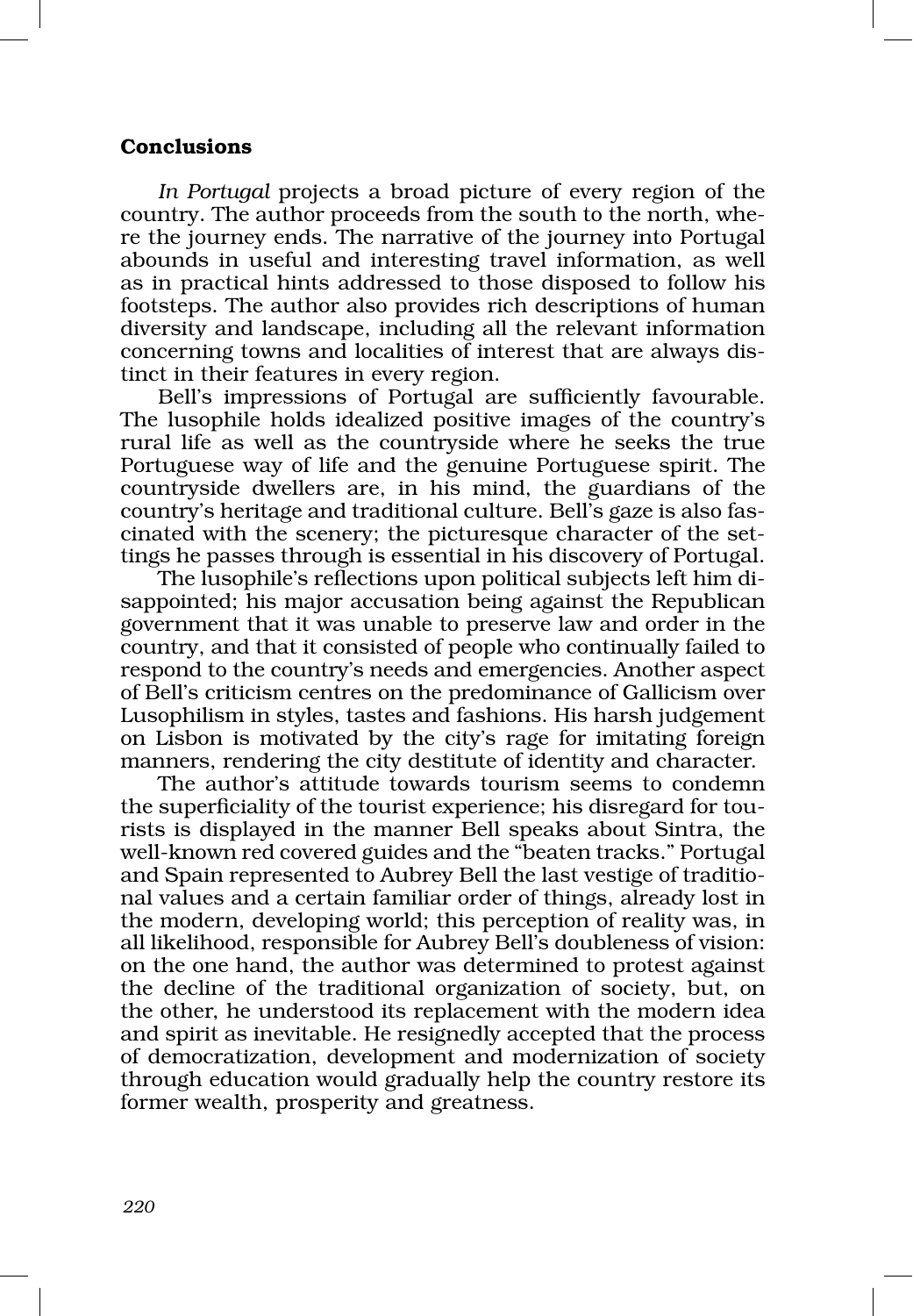## Conclusions

*In Portugal* projects a broad picture of every region of the country. The author proceeds from the south to the north, where the journey ends. The narrative of the journey into Portugal abounds in useful and interesting travel information, as well as in practical hints addressed to those disposed to follow his footsteps. The author also provides rich descriptions of human diversity and landscape, including all the relevant information concerning towns and localities of interest that are always dis‑ tinct in their features in every region.

Bell's impressions of Portugal are sufficiently favourable. The lusophile holds idealized positive images of the country's rural life as well as the countryside where he seeks the true Portuguese way of life and the genuine Portuguese spirit. The countryside dwellers are, in his mind, the guardians of the country's heritage and traditional culture. Bell's gaze is also fas‑ cinated with the scenery; the picturesque character of the settings he passes through is essential in his discovery of Portugal.

The lusophile's reflections upon political subjects left him disappointed; his major accusation being against the Republican government that it was unable to preserve law and order in the country, and that it consisted of people who continually failed to respond to the country's needs and emergencies. Another aspect of Bell's criticism centres on the predominance of Gallicism over Lusophilism in styles, tastes and fashions. His harsh judgement on Lisbon is motivated by the city's rage for imitating foreign manners, rendering the city destitute of identity and character.

The author's attitude towards tourism seems to condemn the superficiality of the tourist experience; his disregard for tourists is displayed in the manner Bell speaks about Sintra, the well-known red covered guides and the "beaten tracks." Portugal and Spain represented to Aubrey Bell the last vestige of traditional values and a certain familiar order of things, already lost in the modern, developing world; this perception of reality was, in all likelihood, responsible for Aubrey Bell's doubleness of vision: on the one hand, the author was determined to protest against the decline of the traditional organization of society, but, on the other, he understood its replacement with the modern idea and spirit as inevitable. He resignedly accepted that the process of democratization, development and modernization of society through education would gradually help the country restore its former wealth, prosperity and greatness.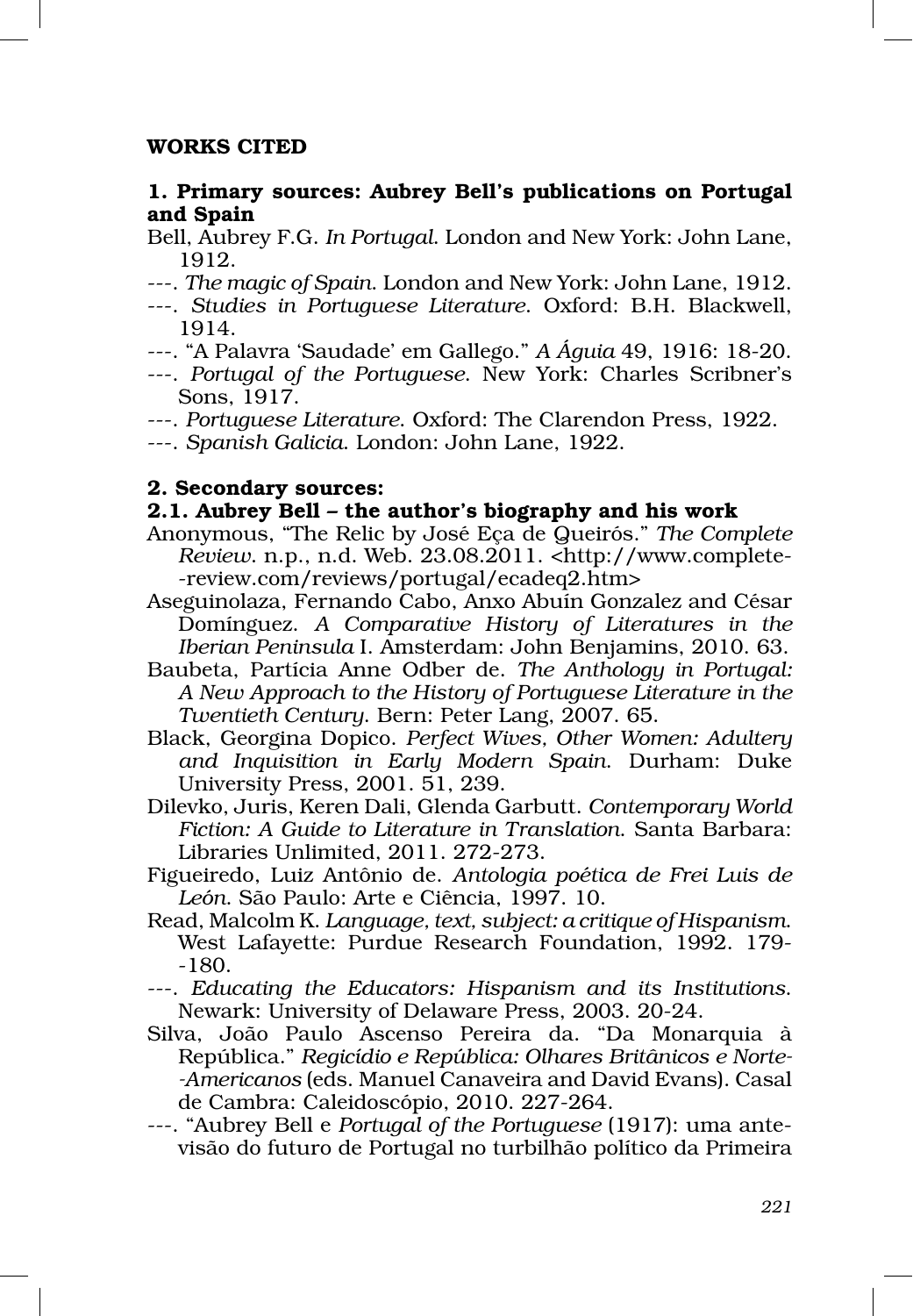# WORKS CITED

# 1. Primary sources: Aubrey Bell's publications on Portugal and Spain

- Bell, Aubrey F.G. *In Portugal*. London and New York: John Lane, 1912.
- ‑‑‑. *The magic of Spain*. London and New York: John Lane, 1912.
- ‑‑‑. *Studies in Portuguese Literature*. Oxford: B.H. Blackwell, 1914.
- ‑‑‑. "A Palavra 'Saudade' em Gallego." *A Águia* 49, 1916: 18‑20.
- ‑‑‑. *Portugal of the Portuguese*. New York: Charles Scribner's Sons, 1917.
- ‑‑‑. *Portuguese Literature*. Oxford: The Clarendon Press, 1922.
- ‑‑‑. *Spanish Galicia*. London: John Lane, 1922.

## 2. Secondary sources:

## 2.1. Aubrey Bell – the author's biography and his work

- Anonymous, "The Relic by José Eça de Queirós." *The Complete Review*. n.p., n.d. Web. 23.08.2011. <http://www.complete‑ ‑review.com/reviews/portugal/ecadeq2.htm>
- Aseguinolaza, Fernando Cabo, Anxo Abuín Gonzalez and César Domínguez. *A Comparative History of Literatures in the Iberian Peninsula* I. Amsterdam: John Benjamins, 2010. 63.
- Baubeta, Partícia Anne Odber de. *The Anthology in Portugal: A New Approach to the History of Portuguese Literature in the Twentieth Century*. Bern: Peter Lang, 2007. 65.
- Black, Georgina Dopico. *Perfect Wives, Other Women: Adultery and Inquisition in Early Modern Spain*. Durham: Duke University Press, 2001. 51, 239.
- Dilevko, Juris, Keren Dali, Glenda Garbutt. *Contemporary World Fiction: A Guide to Literature in Translation*. Santa Barbara: Libraries Unlimited, 2011. 272‑273.
- Figueiredo, Luiz Antônio de. *Antologia poética de Frei Luis de León*. São Paulo: Arte e Ciência, 1997. 10.
- Read, Malcolm K. *Language, text, subject: a critique of Hispanism*. West Lafayette: Purdue Research Foundation, 1992. 179‑ ‑180.
- ‑‑‑. *Educating the Educators: Hispanism and its Institutions*. Newark: University of Delaware Press, 2003. 20‑24.
- Silva, João Paulo Ascenso Pereira da. "Da Monarquia à República." *Regicídio e República: Olhares Britânicos e Norte‑ ‑Americanos* (eds. Manuel Canaveira and David Evans). Casal de Cambra: Caleidoscópio, 2010. 227‑264.
- ‑‑‑. "Aubrey Bell e *Portugal of the Portuguese* (1917): uma ante‑ visão do futuro de Portugal no turbilhão político da Primeira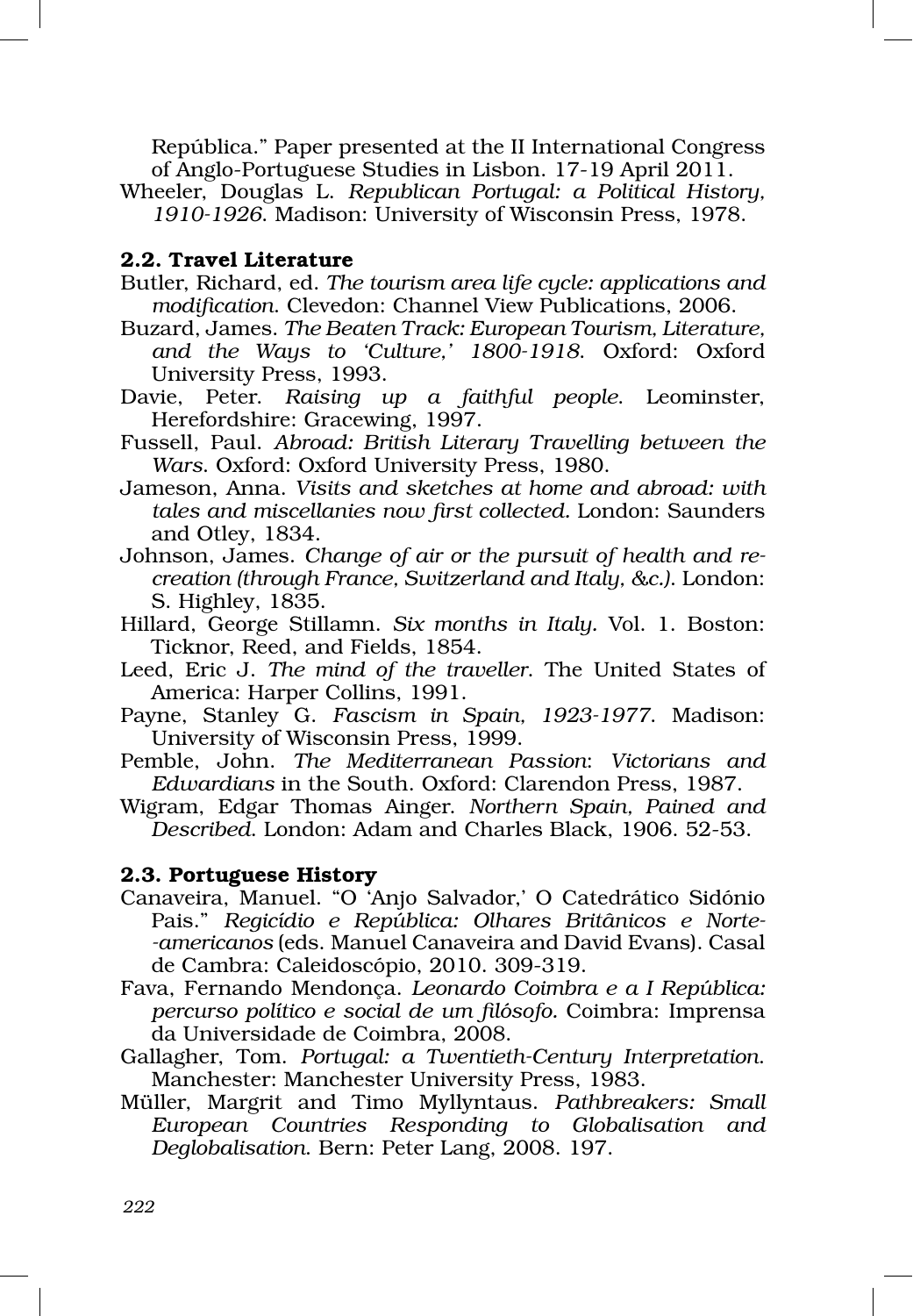República." Paper presented at the II International Congress of Anglo‑Portuguese Studies in Lisbon. 17‑19 April 2011.

Wheeler, Douglas L. *Republican Portugal: a Political History, 1910‑1926*. Madison: University of Wisconsin Press, 1978.

# 2.2. Travel Literature

- Butler, Richard, ed. *The tourism area life cycle: applications and modification*. Clevedon: Channel View Publications, 2006.
- Buzard, James. *The Beaten Track: European Tourism, Literature, and the Ways to 'Culture,' 1800‑1918*. Oxford: Oxford University Press, 1993.
- Davie, Peter. *Raising up a faithful people*. Leominster, Herefordshire: Gracewing, 1997.
- Fussell, Paul. *Abroad: British Literary Travelling between the Wars*. Oxford: Oxford University Press, 1980.
- Jameson, Anna. *Visits and sketches at home and abroad: with tales and miscellanies now first collected.* London: Saunders and Otley, 1834.
- Johnson, James. *Change of air or the pursuit of health and re‑ creation (through France, Switzerland and Italy, &c.)*. London: S. Highley, 1835.
- Hillard, George Stillamn. *Six months in Italy.* Vol. 1. Boston: Ticknor, Reed, and Fields, 1854.
- Leed, Eric J. *The mind of the traveller*. The United States of America: Harper Collins, 1991.
- Payne, Stanley G. *Fascism in Spain, 1923‑1977*. Madison: University of Wisconsin Press, 1999.
- Pemble, John. *The Mediterranean Passion*: *Victorians and Edwardians* in the South. Oxford: Clarendon Press, 1987.
- Wigram, Edgar Thomas Ainger. *Northern Spain, Pained and Described*. London: Adam and Charles Black, 1906. 52‑53.

### 2.3. Portuguese History

- Canaveira, Manuel. "O 'Anjo Salvador,' O Catedrático Sidónio Pais." *Regicídio e República: Olhares Britânicos e Norte‑ ‑americanos* (eds. Manuel Canaveira and David Evans). Casal de Cambra: Caleidoscópio, 2010. 309‑319.
- Fava, Fernando Mendonça. *Leonardo Coimbra e a I República: percurso político e social de um filósofo.* Coimbra: Imprensa da Universidade de Coimbra, 2008.
- Gallagher, Tom. *Portugal: a Twentieth‑Century Interpretation*. Manchester: Manchester University Press, 1983.
- Müller, Margrit and Timo Myllyntaus. *Pathbreakers: Small European Countries Responding to Globalisation and Deglobalisation*. Bern: Peter Lang, 2008. 197.